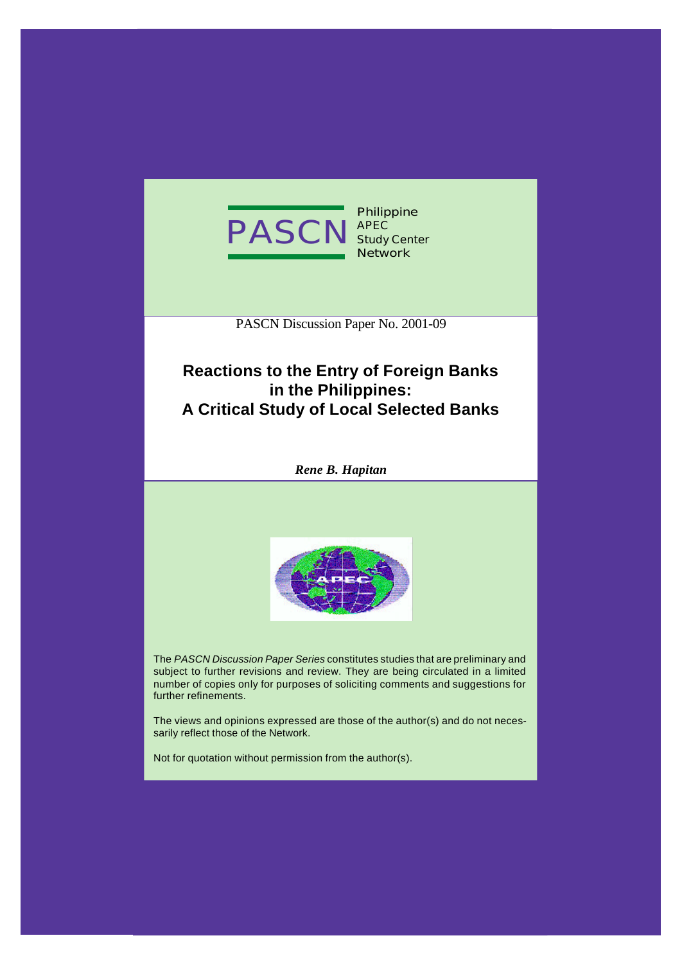

**Philippine APEC Study Center Network**

PASCN Discussion Paper No. 2001-09

# **Reactions to the Entry of Foreign Banks in the Philippines: A Critical Study of Local Selected Banks**

*Rene B. Hapitan*



The *PASCN Discussion Paper Series* constitutes studies that are preliminary and subject to further revisions and review. They are being circulated in a limited number of copies only for purposes of soliciting comments and suggestions for further refinements.

The views and opinions expressed are those of the author(s) and do not necessarily reflect those of the Network.

Not for quotation without permission from the author(s).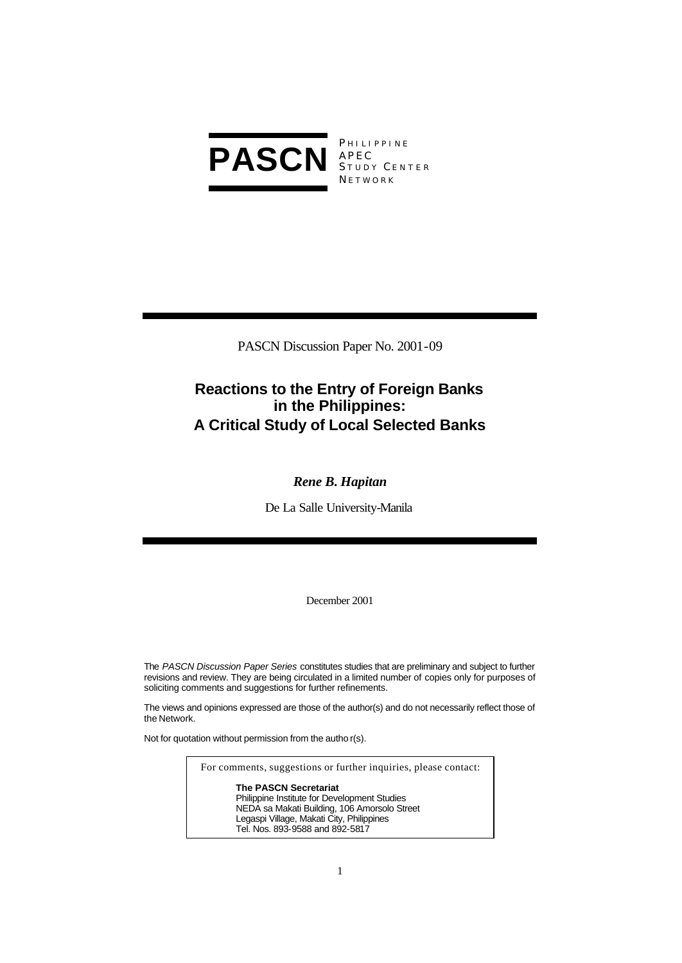

APEC S TUDY C ENTER **NETWORK** 

PASCN Discussion Paper No. 2001-09

# **Reactions to the Entry of Foreign Banks in the Philippines: A Critical Study of Local Selected Banks**

# *Rene B. Hapitan*

De La Salle University-Manila

December 2001

The *PASCN Discussion Paper Series* constitutes studies that are preliminary and subject to further revisions and review. They are being circulated in a limited number of copies only for purposes of soliciting comments and suggestions for further refinements.

The views and opinions expressed are those of the author(s) and do not necessarily reflect those of the Network.

Not for quotation without permission from the autho r(s).

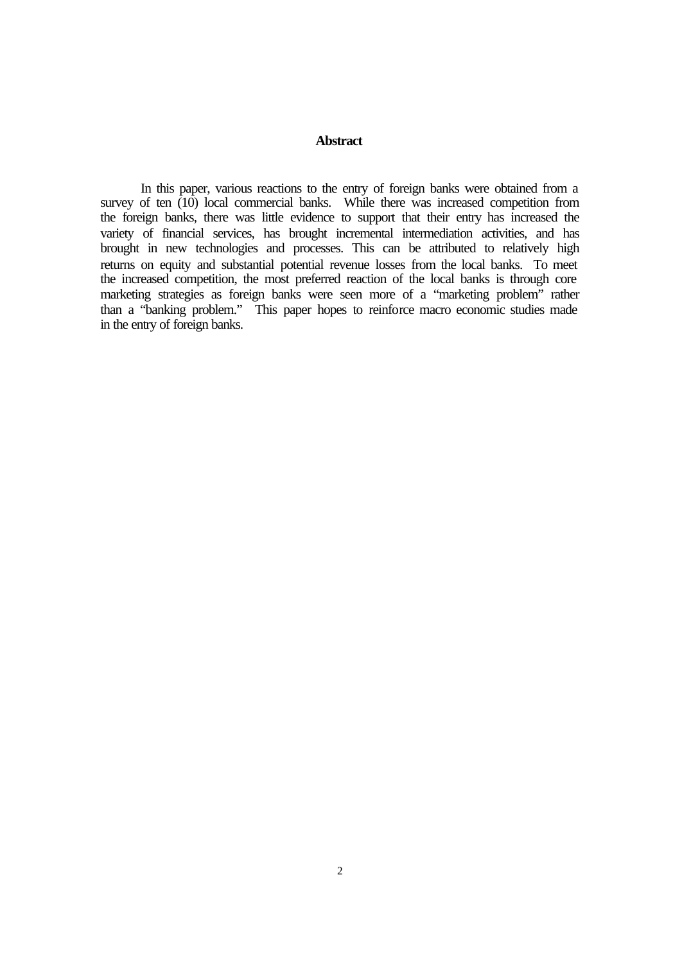#### **Abstract**

In this paper, various reactions to the entry of foreign banks were obtained from a survey of ten  $(10)$  local commercial banks. While there was increased competition from the foreign banks, there was little evidence to support that their entry has increased the variety of financial services, has brought incremental intermediation activities, and has brought in new technologies and processes. This can be attributed to relatively high returns on equity and substantial potential revenue losses from the local banks. To meet the increased competition, the most preferred reaction of the local banks is through core marketing strategies as foreign banks were seen more of a "marketing problem" rather than a "banking problem." This paper hopes to reinforce macro economic studies made in the entry of foreign banks.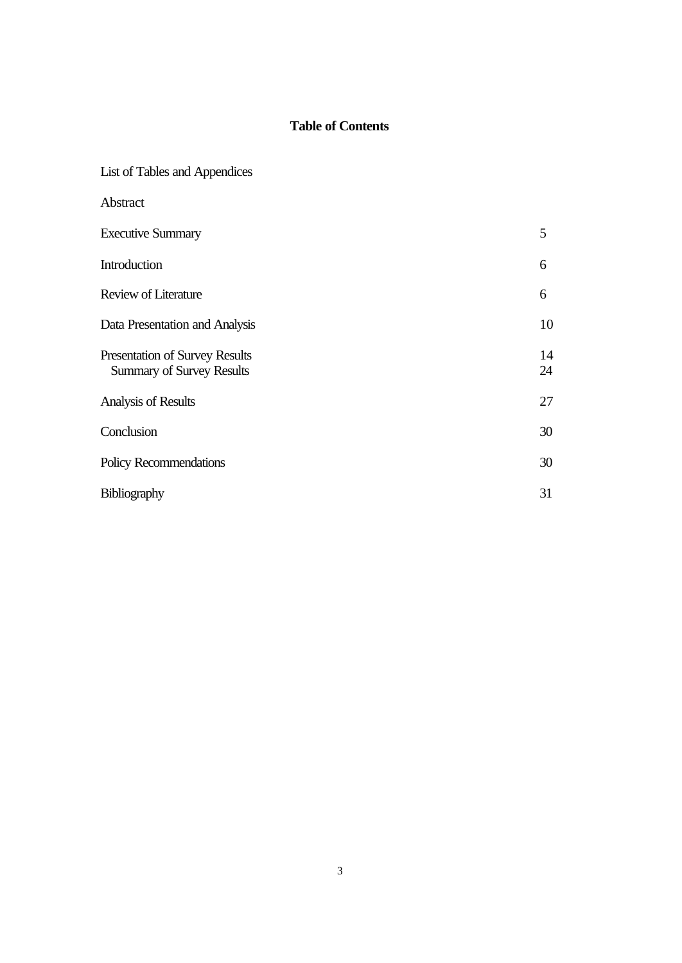# **Table of Contents**

| List of Tables and Appendices                                      |          |
|--------------------------------------------------------------------|----------|
| Abstract                                                           |          |
| <b>Executive Summary</b>                                           | 5        |
| Introduction                                                       | 6        |
| <b>Review of Literature</b>                                        | 6        |
| Data Presentation and Analysis                                     | 10       |
| Presentation of Survey Results<br><b>Summary of Survey Results</b> | 14<br>24 |
| Analysis of Results                                                | 27       |
| Conclusion                                                         | 30       |
| Policy Recommendations                                             | 30       |
| <b>Bibliography</b>                                                | 31       |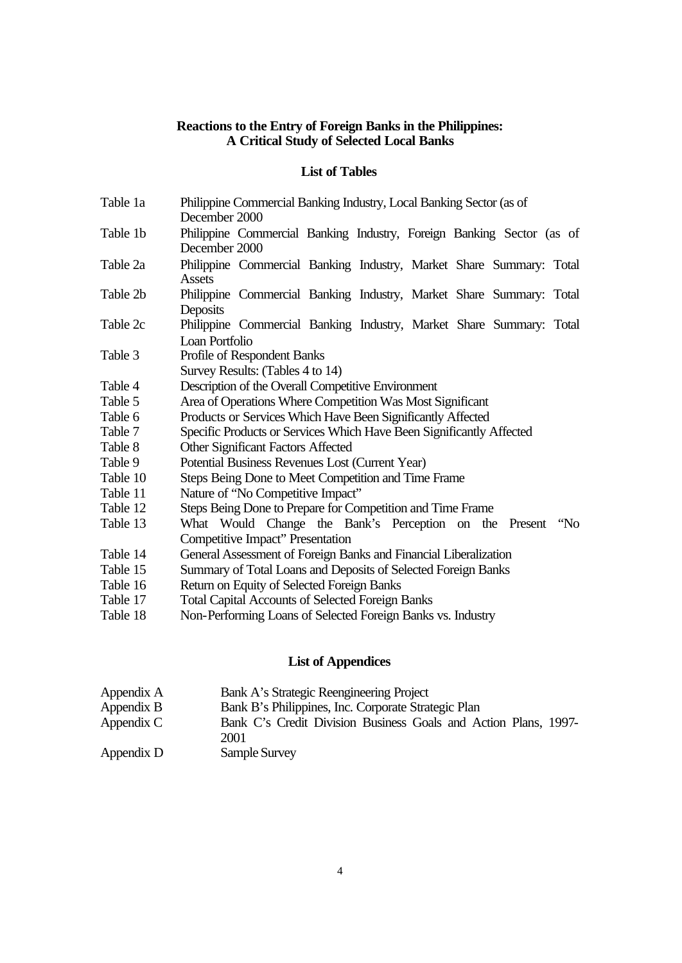## **Reactions to the Entry of Foreign Banks in the Philippines: A Critical Study of Selected Local Banks**

# **List of Tables**

| Table 1a | Philippine Commercial Banking Industry, Local Banking Sector (as of<br>December 2000   |  |  |  |  |  |
|----------|----------------------------------------------------------------------------------------|--|--|--|--|--|
| Table 1b | Philippine Commercial Banking Industry, Foreign Banking Sector (as of<br>December 2000 |  |  |  |  |  |
| Table 2a | Philippine Commercial Banking Industry, Market Share Summary: Total<br>Assets          |  |  |  |  |  |
| Table 2b | Philippine Commercial Banking Industry, Market Share Summary: Total<br>Deposits        |  |  |  |  |  |
| Table 2c | Philippine Commercial Banking Industry, Market Share Summary: Total<br>Loan Portfolio  |  |  |  |  |  |
| Table 3  | Profile of Respondent Banks<br>Survey Results: (Tables 4 to 14)                        |  |  |  |  |  |
| Table 4  | Description of the Overall Competitive Environment                                     |  |  |  |  |  |
| Table 5  | Area of Operations Where Competition Was Most Significant                              |  |  |  |  |  |
| Table 6  | Products or Services Which Have Been Significantly Affected                            |  |  |  |  |  |
| Table 7  | Specific Products or Services Which Have Been Significantly Affected                   |  |  |  |  |  |
| Table 8  | <b>Other Significant Factors Affected</b>                                              |  |  |  |  |  |
| Table 9  | Potential Business Revenues Lost (Current Year)                                        |  |  |  |  |  |
| Table 10 | Steps Being Done to Meet Competition and Time Frame                                    |  |  |  |  |  |
| Table 11 | Nature of "No Competitive Impact"                                                      |  |  |  |  |  |
| Table 12 | Steps Being Done to Prepare for Competition and Time Frame                             |  |  |  |  |  |
| Table 13 | What Would Change the Bank's Perception on the Present "No                             |  |  |  |  |  |
|          | Competitive Impact" Presentation                                                       |  |  |  |  |  |
| Table 14 | General Assessment of Foreign Banks and Financial Liberalization                       |  |  |  |  |  |
| Table 15 | Summary of Total Loans and Deposits of Selected Foreign Banks                          |  |  |  |  |  |
| Table 16 | Return on Equity of Selected Foreign Banks                                             |  |  |  |  |  |
| Table 17 | <b>Total Capital Accounts of Selected Foreign Banks</b>                                |  |  |  |  |  |
| Table 18 | Non-Performing Loans of Selected Foreign Banks vs. Industry                            |  |  |  |  |  |

# **List of Appendices**

| Appendix A | Bank A's Strategic Reengineering Project                                |  |  |  |  |
|------------|-------------------------------------------------------------------------|--|--|--|--|
| Appendix B | Bank B's Philippines, Inc. Corporate Strategic Plan                     |  |  |  |  |
| Appendix C | Bank C's Credit Division Business Goals and Action Plans, 1997-<br>2001 |  |  |  |  |
| Appendix D | Sample Survey                                                           |  |  |  |  |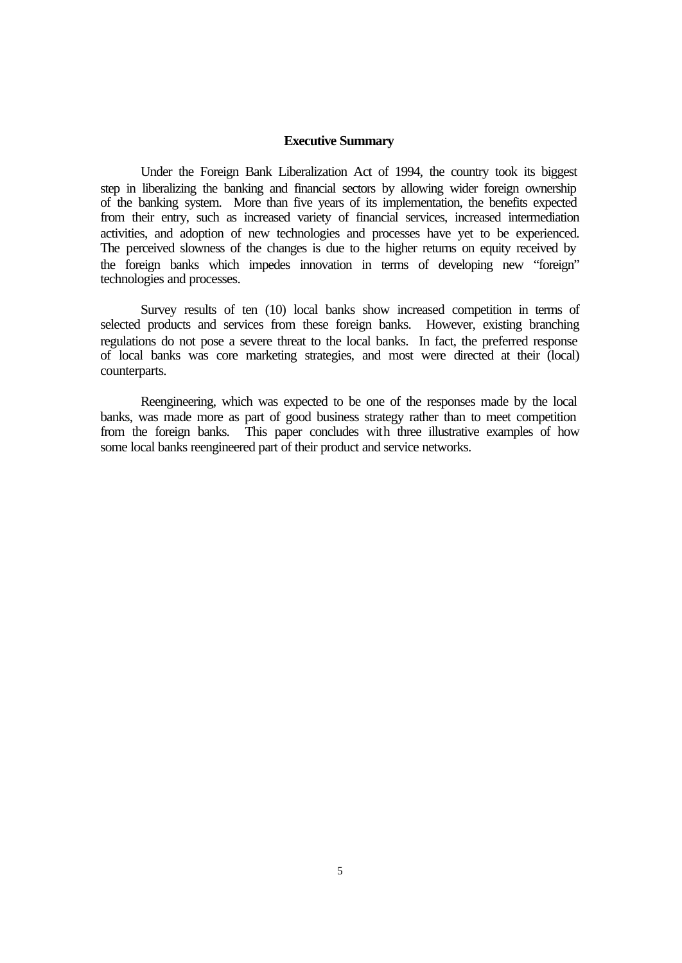#### **Executive Summary**

Under the Foreign Bank Liberalization Act of 1994, the country took its biggest step in liberalizing the banking and financial sectors by allowing wider foreign ownership of the banking system. More than five years of its implementation, the benefits expected from their entry, such as increased variety of financial services, increased intermediation activities, and adoption of new technologies and processes have yet to be experienced. The perceived slowness of the changes is due to the higher returns on equity received by the foreign banks which impedes innovation in terms of developing new "foreign" technologies and processes.

Survey results of ten (10) local banks show increased competition in terms of selected products and services from these foreign banks. However, existing branching regulations do not pose a severe threat to the local banks. In fact, the preferred response of local banks was core marketing strategies, and most were directed at their (local) counterparts.

Reengineering, which was expected to be one of the responses made by the local banks, was made more as part of good business strategy rather than to meet competition from the foreign banks. This paper concludes with three illustrative examples of how some local banks reengineered part of their product and service networks.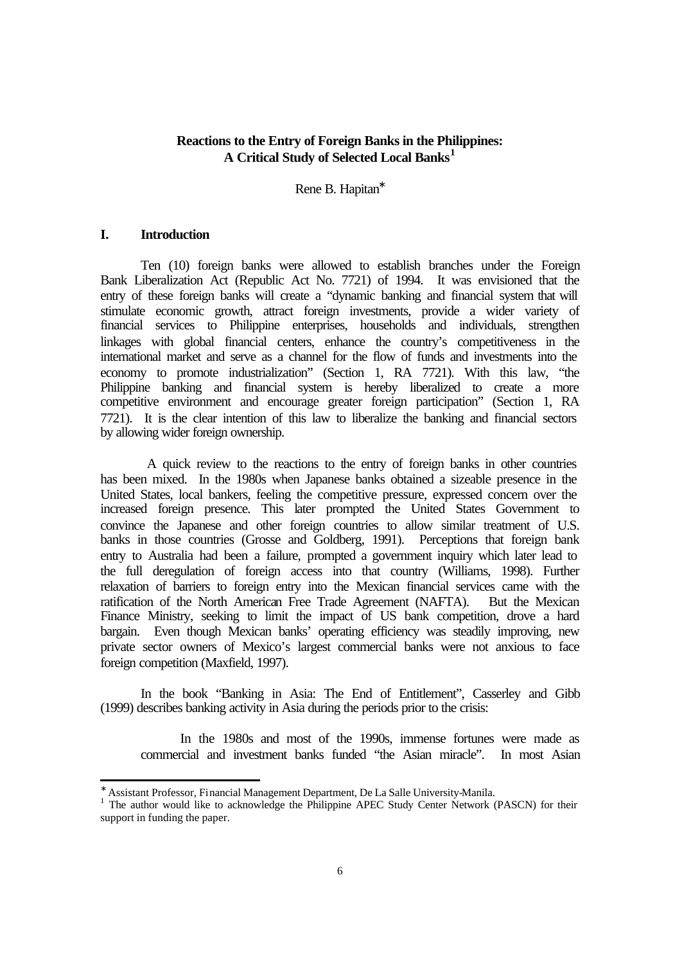# **Reactions to the Entry of Foreign Banks in the Philippines: A Critical Study of Selected Local Banks<sup>1</sup>**

Rene B. Hapitan<sup>\*</sup>

#### **I. Introduction**

l

Ten (10) foreign banks were allowed to establish branches under the Foreign Bank Liberalization Act (Republic Act No. 7721) of 1994. It was envisioned that the entry of these foreign banks will create a "dynamic banking and financial system that will stimulate economic growth, attract foreign investments, provide a wider variety of financial services to Philippine enterprises, households and individuals, strengthen linkages with global financial centers, enhance the country's competitiveness in the international market and serve as a channel for the flow of funds and investments into the economy to promote industrialization" (Section 1, RA 7721). With this law, "the Philippine banking and financial system is hereby liberalized to create a more competitive environment and encourage greater foreign participation" (Section 1, RA 7721). It is the clear intention of this law to liberalize the banking and financial sectors by allowing wider foreign ownership.

 A quick review to the reactions to the entry of foreign banks in other countries has been mixed. In the 1980s when Japanese banks obtained a sizeable presence in the United States, local bankers, feeling the competitive pressure, expressed concern over the increased foreign presence. This later prompted the United States Government to convince the Japanese and other foreign countries to allow similar treatment of U.S. banks in those countries (Grosse and Goldberg, 1991). Perceptions that foreign bank entry to Australia had been a failure, prompted a government inquiry which later lead to the full deregulation of foreign access into that country (Williams, 1998). Further relaxation of barriers to foreign entry into the Mexican financial services came with the ratification of the North American Free Trade Agreement (NAFTA). But the Mexican Finance Ministry, seeking to limit the impact of US bank competition, drove a hard bargain. Even though Mexican banks' operating efficiency was steadily improving, new private sector owners of Mexico's largest commercial banks were not anxious to face foreign competition (Maxfield, 1997).

In the book "Banking in Asia: The End of Entitlement", Casserley and Gibb (1999) describes banking activity in Asia during the periods prior to the crisis:

In the 1980s and most of the 1990s, immense fortunes were made as commercial and investment banks funded "the Asian miracle". In most Asian

<sup>∗</sup> Assistant Professor, Financial Management Department, De La Salle University-Manila.

<sup>&</sup>lt;sup>1</sup> The author would like to acknowledge the Philippine APEC Study Center Network (PASCN) for their support in funding the paper.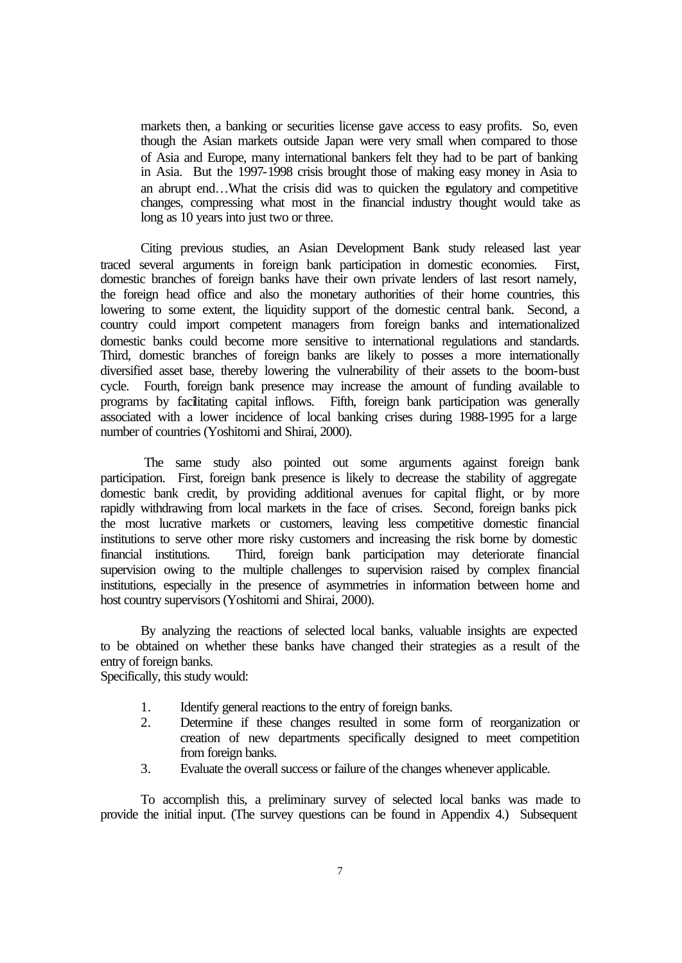markets then, a banking or securities license gave access to easy profits. So, even though the Asian markets outside Japan were very small when compared to those of Asia and Europe, many international bankers felt they had to be part of banking in Asia. But the 1997-1998 crisis brought those of making easy money in Asia to an abrupt end…What the crisis did was to quicken the regulatory and competitive changes, compressing what most in the financial industry thought would take as long as 10 years into just two or three.

Citing previous studies, an Asian Development Bank study released last year traced several arguments in foreign bank participation in domestic economies. First, domestic branches of foreign banks have their own private lenders of last resort namely, the foreign head office and also the monetary authorities of their home countries, this lowering to some extent, the liquidity support of the domestic central bank. Second, a country could import competent managers from foreign banks and internationalized domestic banks could become more sensitive to international regulations and standards. Third, domestic branches of foreign banks are likely to posses a more internationally diversified asset base, thereby lowering the vulnerability of their assets to the boom-bust cycle. Fourth, foreign bank presence may increase the amount of funding available to programs by facilitating capital inflows. Fifth, foreign bank participation was generally associated with a lower incidence of local banking crises during 1988-1995 for a large number of countries (Yoshitomi and Shirai, 2000).

 The same study also pointed out some arguments against foreign bank participation. First, foreign bank presence is likely to decrease the stability of aggregate domestic bank credit, by providing additional avenues for capital flight, or by more rapidly withdrawing from local markets in the face of crises. Second, foreign banks pick the most lucrative markets or customers, leaving less competitive domestic financial institutions to serve other more risky customers and increasing the risk borne by domestic financial institutions. Third, foreign bank participation may deteriorate financial supervision owing to the multiple challenges to supervision raised by complex financial institutions, especially in the presence of asymmetries in information between home and host country supervisors (Yoshitomi and Shirai, 2000).

By analyzing the reactions of selected local banks, valuable insights are expected to be obtained on whether these banks have changed their strategies as a result of the entry of foreign banks.

Specifically, this study would:

- 1. Identify general reactions to the entry of foreign banks.
- 2. Determine if these changes resulted in some form of reorganization or creation of new departments specifically designed to meet competition from foreign banks.
- 3. Evaluate the overall success or failure of the changes whenever applicable.

To accomplish this, a preliminary survey of selected local banks was made to provide the initial input. (The survey questions can be found in Appendix 4.) Subsequent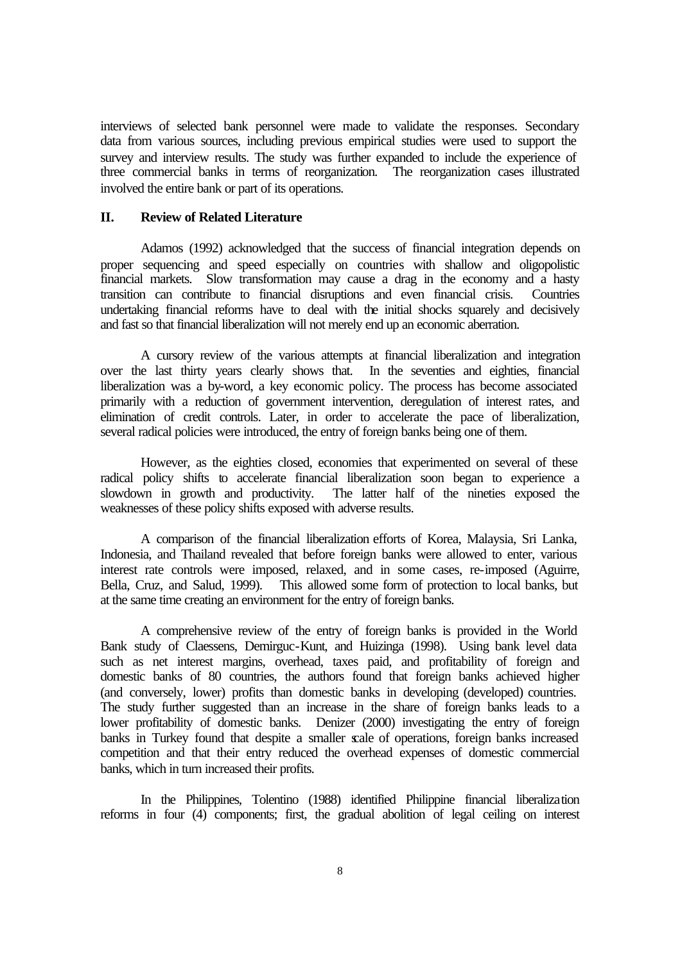interviews of selected bank personnel were made to validate the responses. Secondary data from various sources, including previous empirical studies were used to support the survey and interview results. The study was further expanded to include the experience of three commercial banks in terms of reorganization. The reorganization cases illustrated involved the entire bank or part of its operations.

#### **II. Review of Related Literature**

Adamos (1992) acknowledged that the success of financial integration depends on proper sequencing and speed especially on countries with shallow and oligopolistic financial markets. Slow transformation may cause a drag in the economy and a hasty transition can contribute to financial disruptions and even financial crisis. Countries undertaking financial reforms have to deal with the initial shocks squarely and decisively and fast so that financial liberalization will not merely end up an economic aberration.

A cursory review of the various attempts at financial liberalization and integration over the last thirty years clearly shows that. In the seventies and eighties, financial liberalization was a by-word, a key economic policy. The process has become associated primarily with a reduction of government intervention, deregulation of interest rates, and elimination of credit controls. Later, in order to accelerate the pace of liberalization, several radical policies were introduced, the entry of foreign banks being one of them.

However, as the eighties closed, economies that experimented on several of these radical policy shifts to accelerate financial liberalization soon began to experience a slowdown in growth and productivity. The latter half of the nineties exposed the weaknesses of these policy shifts exposed with adverse results.

A comparison of the financial liberalization efforts of Korea, Malaysia, Sri Lanka, Indonesia, and Thailand revealed that before foreign banks were allowed to enter, various interest rate controls were imposed, relaxed, and in some cases, re-imposed (Aguirre, Bella, Cruz, and Salud, 1999). This allowed some form of protection to local banks, but at the same time creating an environment for the entry of foreign banks.

A comprehensive review of the entry of foreign banks is provided in the World Bank study of Claessens, Demirguc-Kunt, and Huizinga (1998). Using bank level data such as net interest margins, overhead, taxes paid, and profitability of foreign and domestic banks of 80 countries, the authors found that foreign banks achieved higher (and conversely, lower) profits than domestic banks in developing (developed) countries. The study further suggested than an increase in the share of foreign banks leads to a lower profitability of domestic banks. Denizer (2000) investigating the entry of foreign banks in Turkey found that despite a smaller scale of operations, foreign banks increased competition and that their entry reduced the overhead expenses of domestic commercial banks, which in turn increased their profits.

In the Philippines, Tolentino (1988) identified Philippine financial liberalization reforms in four (4) components; first, the gradual abolition of legal ceiling on interest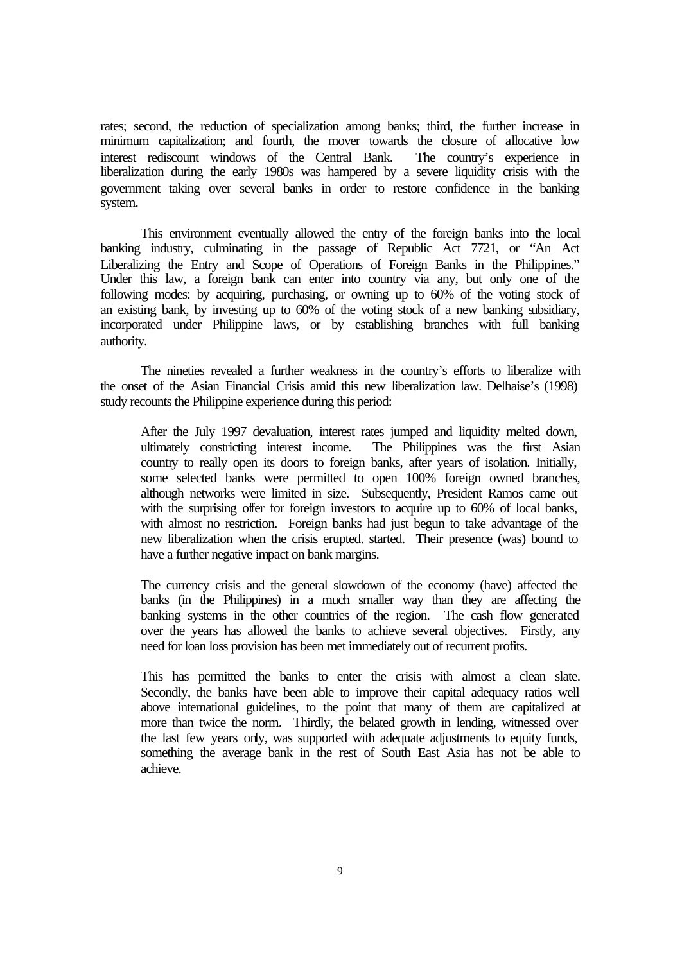rates; second, the reduction of specialization among banks; third, the further increase in minimum capitalization; and fourth, the mover towards the closure of allocative low interest rediscount windows of the Central Bank. The country's experience in liberalization during the early 1980s was hampered by a severe liquidity crisis with the government taking over several banks in order to restore confidence in the banking system.

This environment eventually allowed the entry of the foreign banks into the local banking industry, culminating in the passage of Republic Act 7721, or "An Act Liberalizing the Entry and Scope of Operations of Foreign Banks in the Philippines." Under this law, a foreign bank can enter into country via any, but only one of the following modes: by acquiring, purchasing, or owning up to 60% of the voting stock of an existing bank, by investing up to 60% of the voting stock of a new banking subsidiary, incorporated under Philippine laws, or by establishing branches with full banking authority.

The nineties revealed a further weakness in the country's efforts to liberalize with the onset of the Asian Financial Crisis amid this new liberalization law. Delhaise's (1998) study recounts the Philippine experience during this period:

After the July 1997 devaluation, interest rates jumped and liquidity melted down, ultimately constricting interest income. The Philippines was the first Asian country to really open its doors to foreign banks, after years of isolation. Initially, some selected banks were permitted to open 100% foreign owned branches, although networks were limited in size. Subsequently, President Ramos came out with the surprising offer for foreign investors to acquire up to 60% of local banks, with almost no restriction. Foreign banks had just begun to take advantage of the new liberalization when the crisis erupted. started. Their presence (was) bound to have a further negative impact on bank margins.

The currency crisis and the general slowdown of the economy (have) affected the banks (in the Philippines) in a much smaller way than they are affecting the banking systems in the other countries of the region. The cash flow generated over the years has allowed the banks to achieve several objectives. Firstly, any need for loan loss provision has been met immediately out of recurrent profits.

This has permitted the banks to enter the crisis with almost a clean slate. Secondly, the banks have been able to improve their capital adequacy ratios well above international guidelines, to the point that many of them are capitalized at more than twice the norm. Thirdly, the belated growth in lending, witnessed over the last few years only, was supported with adequate adjustments to equity funds, something the average bank in the rest of South East Asia has not be able to achieve.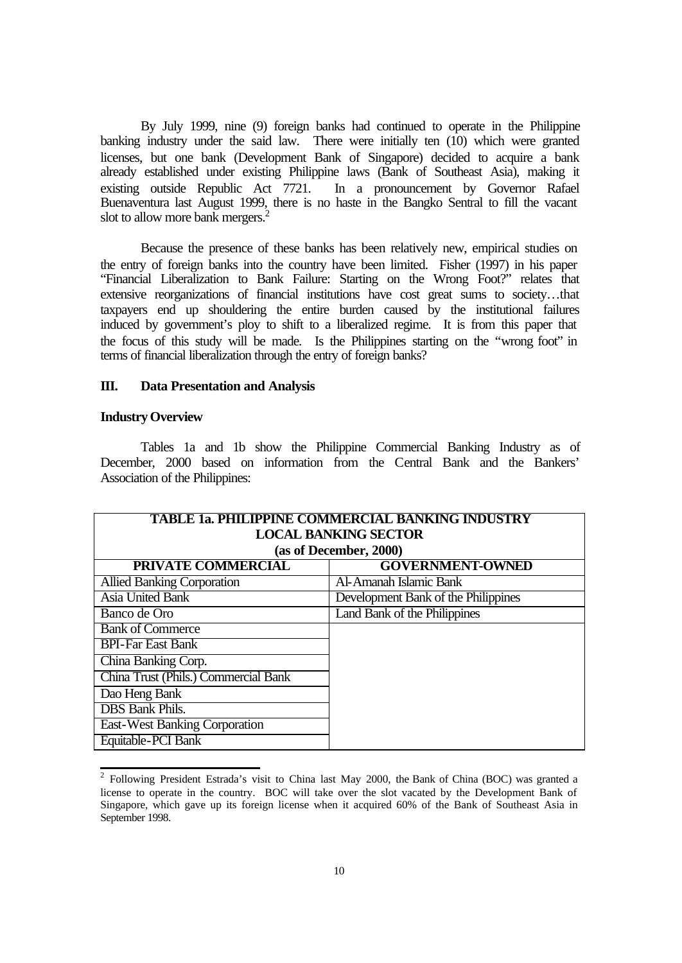By July 1999, nine (9) foreign banks had continued to operate in the Philippine banking industry under the said law. There were initially ten (10) which were granted licenses, but one bank (Development Bank of Singapore) decided to acquire a bank already established under existing Philippine laws (Bank of Southeast Asia), making it existing outside Republic Act 7721. In a pronouncement by Governor Rafael Buenaventura last August 1999, there is no haste in the Bangko Sentral to fill the vacant slot to allow more bank mergers.<sup>2</sup>

Because the presence of these banks has been relatively new, empirical studies on the entry of foreign banks into the country have been limited. Fisher (1997) in his paper "Financial Liberalization to Bank Failure: Starting on the Wrong Foot?" relates that extensive reorganizations of financial institutions have cost great sums to society…that taxpayers end up shouldering the entire burden caused by the institutional failures induced by government's ploy to shift to a liberalized regime. It is from this paper that the focus of this study will be made. Is the Philippines starting on the "wrong foot" in terms of financial liberalization through the entry of foreign banks?

#### **III. Data Presentation and Analysis**

#### **Industry Overview**

Tables 1a and 1b show the Philippine Commercial Banking Industry as of December, 2000 based on information from the Central Bank and the Bankers' Association of the Philippines:

| <b>TABLE 1a. PHILIPPINE COMMERCIAL BANKING INDUSTRY</b> |                                     |  |  |  |  |
|---------------------------------------------------------|-------------------------------------|--|--|--|--|
|                                                         | <b>LOCAL BANKING SECTOR</b>         |  |  |  |  |
|                                                         | (as of December, 2000)              |  |  |  |  |
| <b>PRIVATE COMMERCIAL</b>                               | <b>GOVERNMENT-OWNED</b>             |  |  |  |  |
| <b>Allied Banking Corporation</b>                       | Al-Amanah Islamic Bank              |  |  |  |  |
| <b>Asia United Bank</b>                                 | Development Bank of the Philippines |  |  |  |  |
| Banco de Oro                                            | Land Bank of the Philippines        |  |  |  |  |
| <b>Bank of Commerce</b>                                 |                                     |  |  |  |  |
| <b>BPI-Far East Bank</b>                                |                                     |  |  |  |  |
| China Banking Corp.                                     |                                     |  |  |  |  |
| China Trust (Phils.) Commercial Bank                    |                                     |  |  |  |  |
| Dao Heng Bank                                           |                                     |  |  |  |  |
| <b>DBS</b> Bank Phils.                                  |                                     |  |  |  |  |
| <b>East-West Banking Corporation</b>                    |                                     |  |  |  |  |
| Equitable-PCI Bank                                      |                                     |  |  |  |  |

<sup>&</sup>lt;sup>2</sup> Following President Estrada's visit to China last May 2000, the Bank of China (BOC) was granted a license to operate in the country. BOC will take over the slot vacated by the Development Bank of Singapore, which gave up its foreign license when it acquired 60% of the Bank of Southeast Asia in September 1998.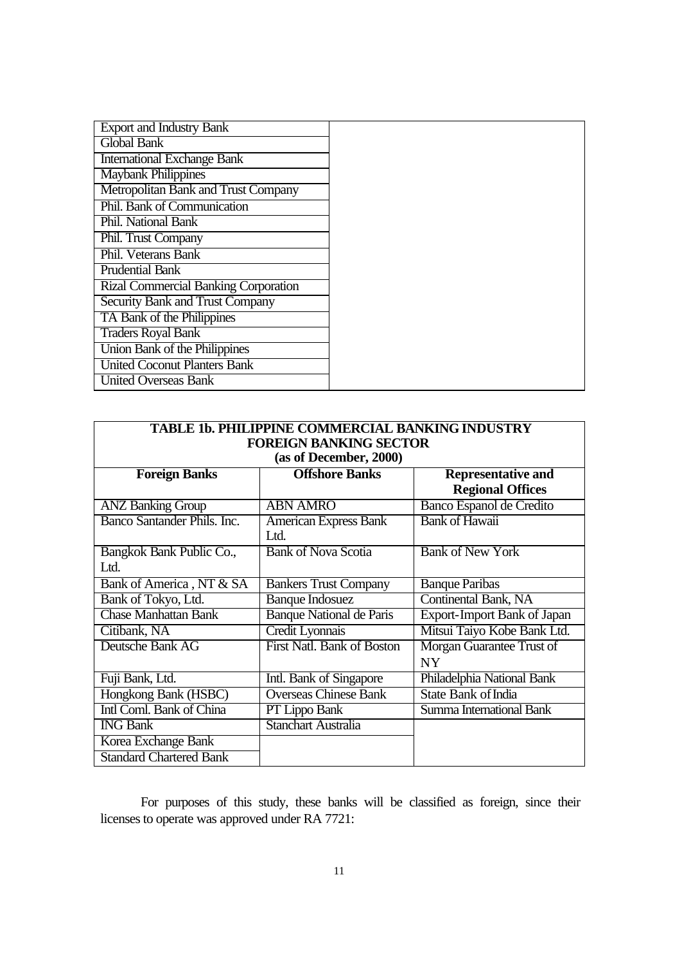| <b>Export and Industry Bank</b>        |
|----------------------------------------|
| <b>Global Bank</b>                     |
| <b>International Exchange Bank</b>     |
| <b>Maybank Philippines</b>             |
| Metropolitan Bank and Trust Company    |
| Phil. Bank of Communication            |
| Phil. National Bank                    |
| Phil. Trust Company                    |
| Phil. Veterans Bank                    |
| <b>Prudential Bank</b>                 |
| Rizal Commercial Banking Corporation   |
| <b>Security Bank and Trust Company</b> |
| TA Bank of the Philippines             |
| <b>Traders Royal Bank</b>              |
| Union Bank of the Philippines          |
| <b>United Coconut Planters Bank</b>    |
| <b>United Overseas Bank</b>            |

| TABLE 1b. PHILIPPINE COMMERCIAL BANKING INDUSTRY |                                 |                                    |  |  |  |
|--------------------------------------------------|---------------------------------|------------------------------------|--|--|--|
| <b>FOREIGN BANKING SECTOR</b>                    |                                 |                                    |  |  |  |
|                                                  | (as of December, 2000)          |                                    |  |  |  |
| <b>Offshore Banks</b><br><b>Foreign Banks</b>    |                                 | <b>Representative and</b>          |  |  |  |
|                                                  |                                 | <b>Regional Offices</b>            |  |  |  |
| <b>ANZ Banking Group</b>                         | <b>ABN AMRO</b>                 | Banco Espanol de Credito           |  |  |  |
| Banco Santander Phils. Inc.                      | <b>American Express Bank</b>    | <b>Bank of Hawaii</b>              |  |  |  |
|                                                  | Ltd.                            |                                    |  |  |  |
| Bangkok Bank Public Co.,                         | <b>Bank of Nova Scotia</b>      | <b>Bank of New York</b>            |  |  |  |
| Ltd.                                             |                                 |                                    |  |  |  |
| Bank of America, NT & SA                         | <b>Bankers Trust Company</b>    | <b>Banque Paribas</b>              |  |  |  |
| Bank of Tokyo, Ltd.                              | <b>Banque Indosuez</b>          | <b>Continental Bank, NA</b>        |  |  |  |
| <b>Chase Manhattan Bank</b>                      | <b>Banque National de Paris</b> | <b>Export-Import Bank of Japan</b> |  |  |  |
| Citibank, NA                                     | Credit Lyonnais                 | Mitsui Taiyo Kobe Bank Ltd.        |  |  |  |
| Deutsche Bank AG                                 | First Natl. Bank of Boston      | Morgan Guarantee Trust of          |  |  |  |
|                                                  |                                 | <b>NY</b>                          |  |  |  |
| Fuji Bank, Ltd.                                  | Intl. Bank of Singapore         | Philadelphia National Bank         |  |  |  |
| Hongkong Bank (HSBC)                             | <b>Overseas Chinese Bank</b>    | State Bank of India                |  |  |  |
| Intl Coml. Bank of China                         | PT Lippo Bank                   | Summa International Bank           |  |  |  |
| <b>ING Bank</b>                                  | <b>Stanchart Australia</b>      |                                    |  |  |  |
| Korea Exchange Bank                              |                                 |                                    |  |  |  |
| <b>Standard Chartered Bank</b>                   |                                 |                                    |  |  |  |

For purposes of this study, these banks will be classified as foreign, since their licenses to operate was approved under RA 7721: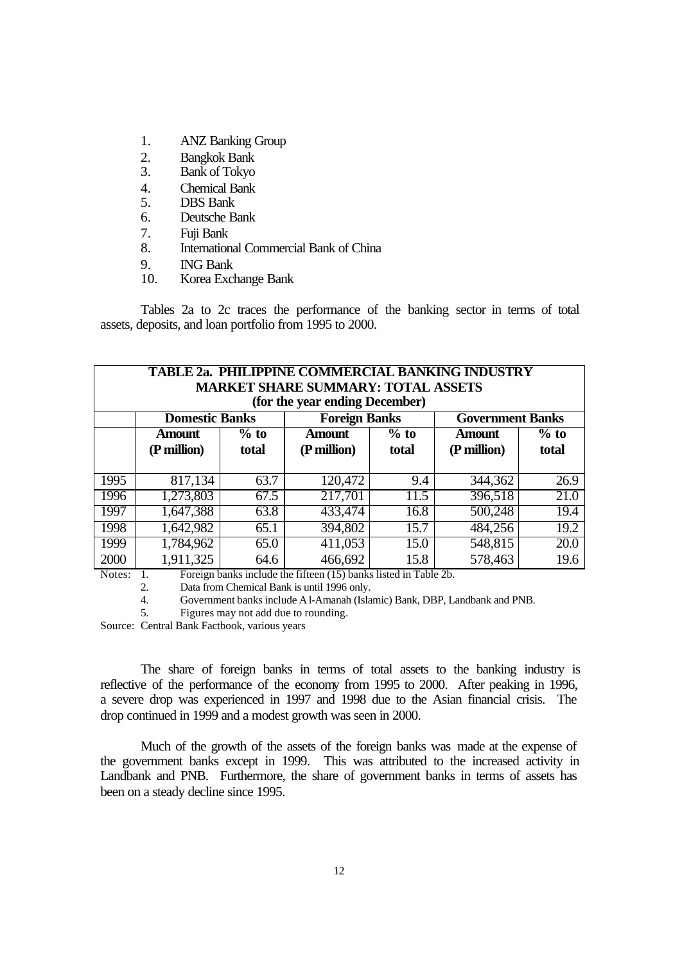- 1. ANZ Banking Group
- 2. Bangkok Bank
- 3. Bank of Tokyo
- 4. Chemical Bank
- 5. DBS Bank
- 6. Deutsche Bank
- 7. Fuji Bank
- 8. International Commercial Bank of China
- 9. ING Bank
- 10. Korea Exchange Bank

Tables 2a to 2c traces the performance of the banking sector in terms of total assets, deposits, and loan portfolio from 1995 to 2000.

| <b>TABLE 2a. PHILIPPINE COMMERCIAL BANKING INDUSTRY</b><br><b>MARKET SHARE SUMMARY: TOTAL ASSETS</b><br>(for the year ending December) |                                 |        |                                                                                 |        |                                          |        |
|----------------------------------------------------------------------------------------------------------------------------------------|---------------------------------|--------|---------------------------------------------------------------------------------|--------|------------------------------------------|--------|
|                                                                                                                                        | <b>Domestic Banks</b><br>Amount | $%$ to | <b>Foreign Banks</b><br><b>Amount</b>                                           | $%$ to | <b>Government Banks</b><br><b>Amount</b> | $%$ to |
|                                                                                                                                        | (P million)                     | total  | (P million)                                                                     | total  | (P million)                              | total  |
| 1995                                                                                                                                   | 817,134                         | 63.7   | 120,472                                                                         | 9.4    | 344,362                                  | 26.9   |
| 1996                                                                                                                                   | 1,273,803                       | 67.5   | 217,701                                                                         | 11.5   | 396,518                                  | 21.0   |
| 1997                                                                                                                                   | 1,647,388                       | 63.8   | 433,474                                                                         | 16.8   | 500,248                                  | 19.4   |
| 1998                                                                                                                                   | 1,642,982                       | 65.1   | 394,802                                                                         | 15.7   | 484,256                                  | 19.2   |
| 1999                                                                                                                                   | 1,784,962                       | 65.0   | 411,053                                                                         | 15.0   | 548,815                                  | 20.0   |
| 2000<br>$N_{\alpha\beta\alpha\alpha}$                                                                                                  | 1,911,325                       | 64.6   | 466,692<br>Equation banks include the fifteen $(15)$ banks listed in Table $2b$ | 15.8   | 578,463                                  | 19.6   |

Notes: 1. Foreign banks include the fifteen (15) banks listed in Table 2b.

2. Data from Chemical Bank is until 1996 only.

4. Government banks include Al-Amanah (Islamic) Bank, DBP, Landbank and PNB.

5. Figures may not add due to rounding.

Source: Central Bank Factbook, various years

The share of foreign banks in terms of total assets to the banking industry is reflective of the performance of the economy from 1995 to 2000. After peaking in 1996, a severe drop was experienced in 1997 and 1998 due to the Asian financial crisis. The drop continued in 1999 and a modest growth was seen in 2000.

Much of the growth of the assets of the foreign banks was made at the expense of the government banks except in 1999. This was attributed to the increased activity in Landbank and PNB. Furthermore, the share of government banks in terms of assets has been on a steady decline since 1995.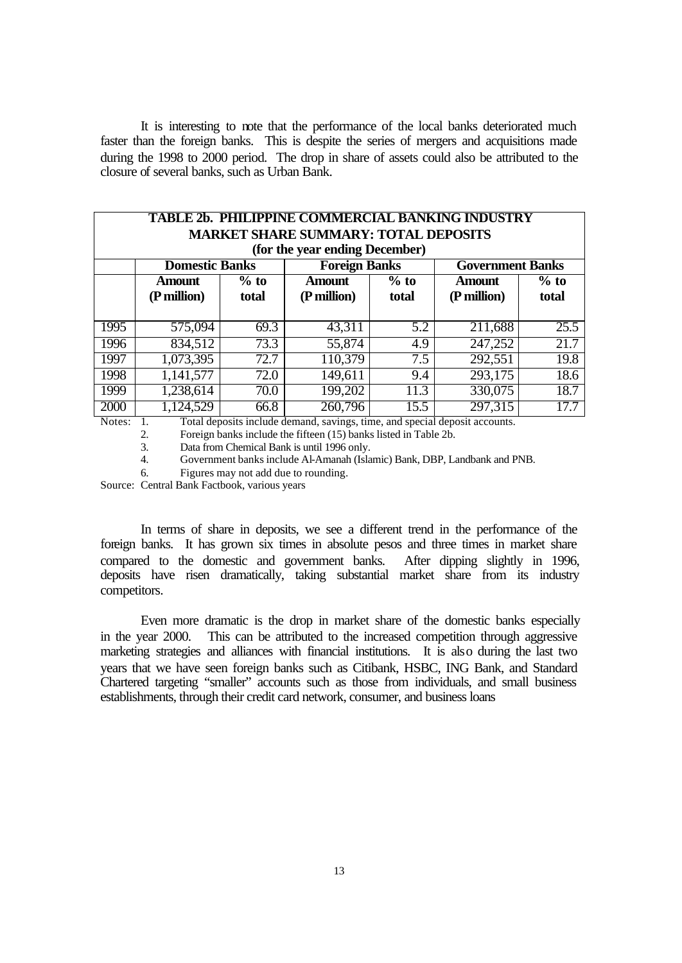It is interesting to note that the performance of the local banks deteriorated much faster than the foreign banks. This is despite the series of mergers and acquisitions made during the 1998 to 2000 period. The drop in share of assets could also be attributed to the closure of several banks, such as Urban Bank.

| <b>TABLE 2b. PHILIPPINE COMMERCIAL BANKING INDUSTRY</b><br><b>MARKET SHARE SUMMARY: TOTAL DEPOSITS</b><br>(for the year ending December) |                              |                 |                              |                 |                              |                 |
|------------------------------------------------------------------------------------------------------------------------------------------|------------------------------|-----------------|------------------------------|-----------------|------------------------------|-----------------|
|                                                                                                                                          | <b>Domestic Banks</b>        |                 | <b>Foreign Banks</b>         |                 | <b>Government Banks</b>      |                 |
|                                                                                                                                          | <b>Amount</b><br>(P million) | $%$ to<br>total | <b>Amount</b><br>(P million) | $%$ to<br>total | <b>Amount</b><br>(P million) | $%$ to<br>total |
| 1995                                                                                                                                     | 575,094                      | 69.3            | 43,311                       | 5.2             | 211,688                      | 25.5            |
| 1996                                                                                                                                     | 834,512                      | 73.3            | 55,874                       | 4.9             | 247,252                      | 21.7            |
| 1997                                                                                                                                     | 1,073,395                    | 72.7            | 110,379                      | 7.5             | 292,551                      | 19.8            |
| 1998                                                                                                                                     | 1,141,577                    | 72.0            | 149,611                      | 9.4             | 293,175                      | 18.6            |
| 1999                                                                                                                                     | 1,238,614                    | 70.0            | 199,202                      | 11.3            | 330,075                      | 18.7            |
| 2000                                                                                                                                     | 1,124,529                    | 66.8            | 260, 796                     | 15.5<br>.       | 297,315                      | 17.7            |

Notes: 1. Total deposits include demand, savings, time, and special deposit accounts.

2. Foreign banks include the fifteen (15) banks listed in Table 2b.<br>3. Data from Chemical Bank is until 1996 only.

3. Data from Chemical Bank is until 1996 only.

4. Government banks include Al-Amanah (Islamic) Bank, DBP, Landbank and PNB.

6. Figures may not add due to rounding.

Source: Central Bank Factbook, various years

In terms of share in deposits, we see a different trend in the performance of the foreign banks. It has grown six times in absolute pesos and three times in market share compared to the domestic and government banks. After dipping slightly in 1996, deposits have risen dramatically, taking substantial market share from its industry competitors.

Even more dramatic is the drop in market share of the domestic banks especially in the year 2000. This can be attributed to the increased competition through aggressive marketing strategies and alliances with financial institutions. It is also during the last two years that we have seen foreign banks such as Citibank, HSBC, ING Bank, and Standard Chartered targeting "smaller" accounts such as those from individuals, and small business establishments, through their credit card network, consumer, and business loans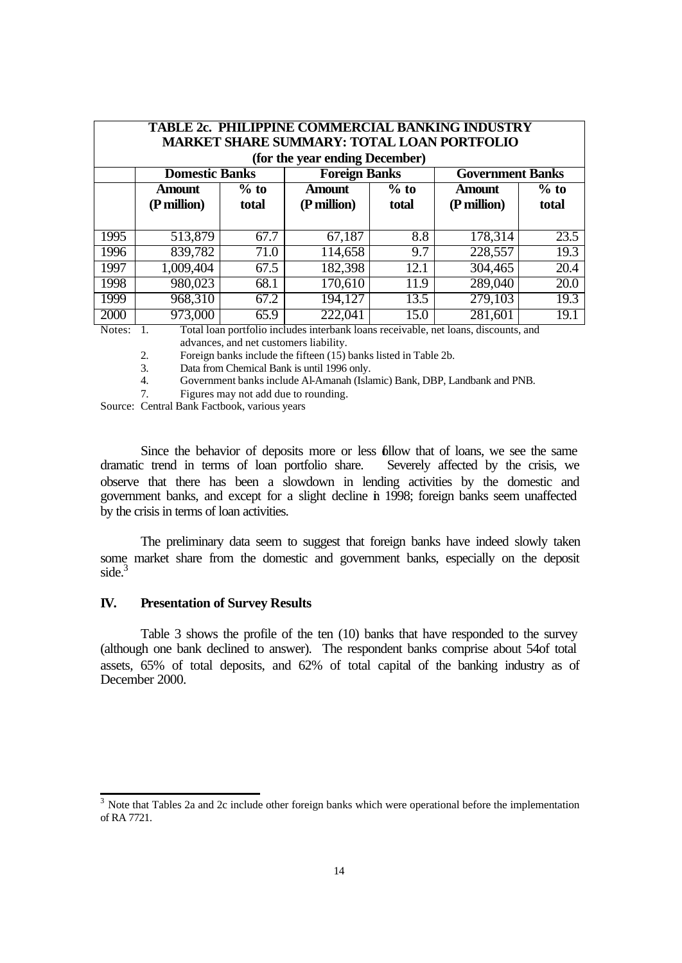| <b>TABLE 2c. PHILIPPINE COMMERCIAL BANKING INDUSTRY</b><br><b>MARKET SHARE SUMMARY: TOTAL LOAN PORTFOLIO</b><br>(for the year ending December) |                              |                 |                                                                                                 |      |                              |                 |
|------------------------------------------------------------------------------------------------------------------------------------------------|------------------------------|-----------------|-------------------------------------------------------------------------------------------------|------|------------------------------|-----------------|
|                                                                                                                                                | <b>Domestic Banks</b>        |                 | <b>Foreign Banks</b>                                                                            |      | <b>Government Banks</b>      |                 |
|                                                                                                                                                | <b>Amount</b><br>(P million) | $%$ to<br>total | $%$ to<br>Amount<br>(P million)<br>total                                                        |      | <b>Amount</b><br>(P million) | $%$ to<br>total |
| 1995                                                                                                                                           | 513,879                      | 67.7            | 67,187                                                                                          | 8.8  | 178,314                      | 23.5            |
| 1996                                                                                                                                           | 839,782                      | 71.0            | 114,658                                                                                         | 9.7  | 228,557                      | 19.3            |
| 1997                                                                                                                                           | 1,009,404                    | 67.5            | 182,398                                                                                         | 12.1 | 304,465                      | 20.4            |
| 1998                                                                                                                                           | 980,023                      | 68.1            | 170,610                                                                                         | 11.9 | 289,040                      | 20.0            |
| 1999                                                                                                                                           | 968,310                      | 67.2            | 194,127                                                                                         | 13.5 | 279,103                      | 19.3            |
| 2000<br>$N_{\alpha\beta\alpha\beta}$                                                                                                           | 973,000                      | 65.9            | 222,041<br>Total lean portfolio includes interhank leans reseaushle, not leans, diseasunts, and | 15.0 | 281,601                      | 19.1            |

Notes: 1. Total loan portfolio includes interbank loans receivable, net loans, discounts, and advances, and net customers liability.

2. Foreign banks include the fifteen (15) banks listed in Table 2b.

3. Data from Chemical Bank is until 1996 only.

4. Government banks include Al-Amanah (Islamic) Bank, DBP, Landbank and PNB.

7. Figures may not add due to rounding.

Source: Central Bank Factbook, various years

Since the behavior of deposits more or less follow that of loans, we see the same dramatic trend in terms of loan portfolio share. Severely affected by the crisis, we observe that there has been a slowdown in lending activities by the domestic and government banks, and except for a slight decline in 1998; foreign banks seem unaffected by the crisis in terms of loan activities.

The preliminary data seem to suggest that foreign banks have indeed slowly taken some market share from the domestic and government banks, especially on the deposit side.<sup>3</sup>

#### **IV. Presentation of Survey Results**

Table 3 shows the profile of the ten (10) banks that have responded to the survey (although one bank declined to answer). The respondent banks comprise about 54of total assets, 65% of total deposits, and 62% of total capital of the banking industry as of December 2000.

<sup>&</sup>lt;sup>3</sup> Note that Tables 2a and 2c include other foreign banks which were operational before the implementation of RA 7721.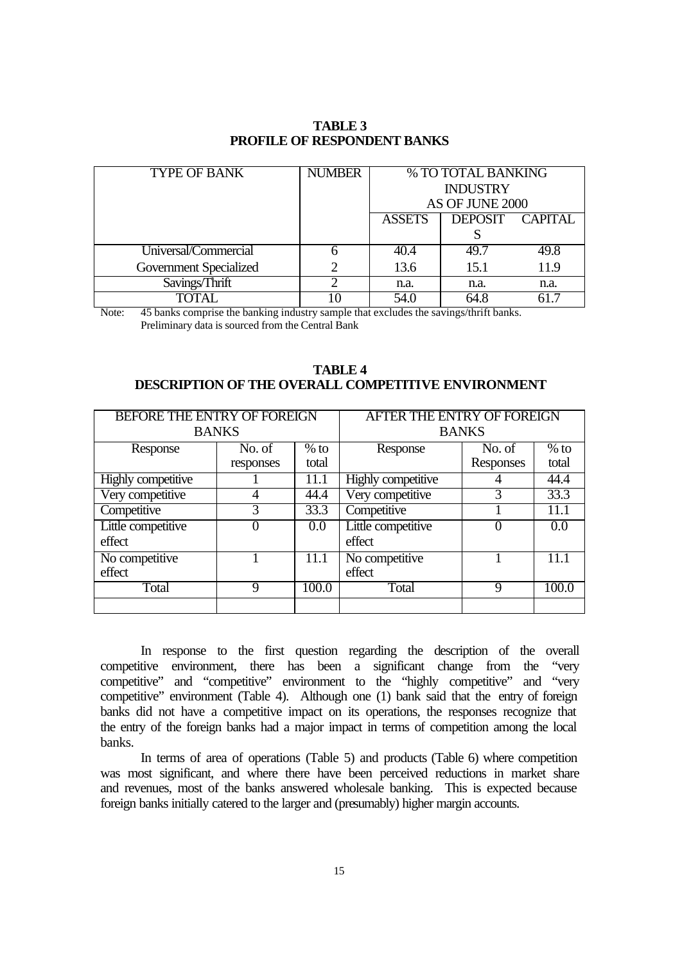| <b>TYPE OF BANK</b>           | <b>NUMBER</b> | % TO TOTAL BANKING |                |          |
|-------------------------------|---------------|--------------------|----------------|----------|
|                               |               | <b>INDUSTRY</b>    |                |          |
|                               |               | AS OF JUNE 2000    |                |          |
|                               |               | <b>ASSETS</b>      | <b>DEPOSIT</b> | CAPITAL. |
|                               |               |                    |                |          |
| Universal/Commercial          | h             | 40.4               | 49.7           | 49.8     |
| <b>Government Specialized</b> |               | 13.6               | 15.1           | 11.9     |
| Savings/Thrift                | റ             | n.a.               | n.a.           | n.a.     |
| TOTAL                         |               | 54.0               | 64.8           |          |

# **TABLE 3 PROFILE OF RESPONDENT BANKS**

Note: 45 banks comprise the banking industry sample that excludes the savings/thrift banks. Preliminary data is sourced from the Central Bank

## **TABLE 4 DESCRIPTION OF THE OVERALL COMPETITIVE ENVIRONMENT**

| <b>BEFORE THE ENTRY OF FOREIGN</b> |             |        | <b>AFTER THE ENTRY OF FOREIGN</b> |             |        |
|------------------------------------|-------------|--------|-----------------------------------|-------------|--------|
| <b>BANKS</b>                       |             |        | <b>BANKS</b>                      |             |        |
| Response                           | No. of      | $%$ to | Response                          | No. of      | $%$ to |
|                                    | responses   | total  |                                   | Responses   | total  |
| Highly competitive                 |             | 11.1   | <b>Highly competitive</b>         |             | 44.4   |
| Very competitive                   |             | 44.4   | Very competitive                  |             | 33.3   |
| Competitive                        | 3           | 33.3   | Competitive                       |             | 11.1   |
| Little competitive                 | 0           | 0.0    | Little competitive                | 0           | 0.0    |
| effect                             |             |        | effect                            |             |        |
| No competitive                     |             | 11.1   | No competitive                    |             | 11.1   |
| effect                             |             |        | effect                            |             |        |
| Total                              | $\mathbf Q$ | 100.0  | Total                             | $\mathbf Q$ | 100.0  |
|                                    |             |        |                                   |             |        |

In response to the first question regarding the description of the overall competitive environment, there has been a significant change from the "very competitive" and "competitive" environment to the "highly competitive" and "very competitive" environment (Table 4). Although one (1) bank said that the entry of foreign banks did not have a competitive impact on its operations, the responses recognize that the entry of the foreign banks had a major impact in terms of competition among the local banks.

In terms of area of operations (Table 5) and products (Table 6) where competition was most significant, and where there have been perceived reductions in market share and revenues, most of the banks answered wholesale banking. This is expected because foreign banks initially catered to the larger and (presumably) higher margin accounts.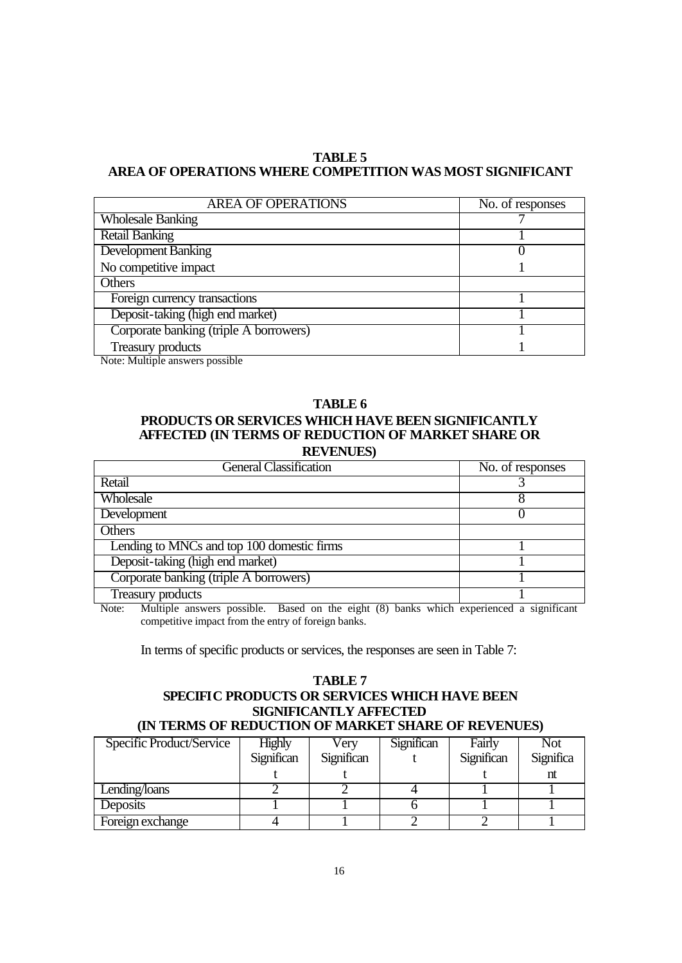# **TABLE 5 AREA OF OPERATIONS WHERE COMPETITION WAS MOST SIGNIFICANT**

| <b>AREA OF OPERATIONS</b>              | No. of responses |
|----------------------------------------|------------------|
| <b>Wholesale Banking</b>               |                  |
| <b>Retail Banking</b>                  |                  |
| <b>Development Banking</b>             |                  |
| No competitive impact                  |                  |
| Others                                 |                  |
| Foreign currency transactions          |                  |
| Deposit-taking (high end market)       |                  |
| Corporate banking (triple A borrowers) |                  |
| <b>Treasury products</b>               |                  |

Note: Multiple answers possible

### **TABLE 6**

# **PRODUCTS OR SERVICES WHICH HAVE BEEN SIGNIFICANTLY AFFECTED (IN TERMS OF REDUCTION OF MARKET SHARE OR REVENUES)**

| <b>General Classification</b>              | No. of responses |
|--------------------------------------------|------------------|
| Retail                                     |                  |
| Wholesale                                  |                  |
| <b>Development</b>                         |                  |
| Others                                     |                  |
| Lending to MNCs and top 100 domestic firms |                  |
| Deposit-taking (high end market)           |                  |
| Corporate banking (triple A borrowers)     |                  |
| Treasury products                          |                  |

Note: Multiple answers possible. Based on the eight (8) banks which experienced a significant competitive impact from the entry of foreign banks.

In terms of specific products or services, the responses are seen in Table 7:

#### **TABLE 7 SPECIFIC PRODUCTS OR SERVICES WHICH HAVE BEEN SIGNIFICANTLY AFFECTED (IN TERMS OF REDUCTION OF MARKET SHARE OF REVENUES)**

| IN TERMIO OF REDUCTION OF MEMMET SHEME OF REVENUES! |               |            |            |            |           |  |
|-----------------------------------------------------|---------------|------------|------------|------------|-----------|--|
| Specific Product/Service                            | <b>Highly</b> | Verv       | Significan | Fairly     | Not       |  |
|                                                     | Significan    | Significan |            | Significan | Significa |  |
|                                                     |               |            |            |            | nt        |  |
| Lending/loans                                       |               |            |            |            |           |  |
| Deposits                                            |               |            |            |            |           |  |
| Foreign exchange                                    |               |            |            |            |           |  |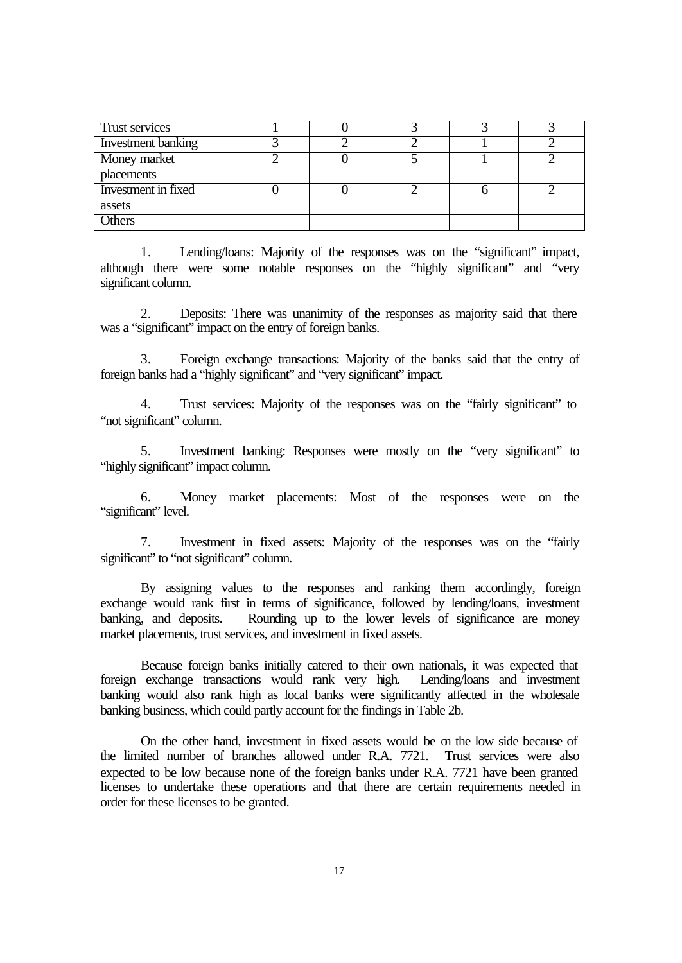| Trust services      |  |  |  |
|---------------------|--|--|--|
| Investment banking  |  |  |  |
| Money market        |  |  |  |
| placements          |  |  |  |
| Investment in fixed |  |  |  |
| assets              |  |  |  |
| <b>Others</b>       |  |  |  |

1. Lending/loans: Majority of the responses was on the "significant" impact, although there were some notable responses on the "highly significant" and "very significant column.

2. Deposits: There was unanimity of the responses as majority said that there was a "significant" impact on the entry of foreign banks.

3. Foreign exchange transactions: Majority of the banks said that the entry of foreign banks had a "highly significant" and "very significant" impact.

4. Trust services: Majority of the responses was on the "fairly significant" to "not significant" column.

5. Investment banking: Responses were mostly on the "very significant" to "highly significant" impact column.

6. Money market placements: Most of the responses were on the "significant" level.

7. Investment in fixed assets: Majority of the responses was on the "fairly significant" to "not significant" column.

By assigning values to the responses and ranking them accordingly, foreign exchange would rank first in terms of significance, followed by lending/loans, investment banking, and deposits. Rounding up to the lower levels of significance are money market placements, trust services, and investment in fixed assets.

Because foreign banks initially catered to their own nationals, it was expected that foreign exchange transactions would rank very high. Lending/loans and investment banking would also rank high as local banks were significantly affected in the wholesale banking business, which could partly account for the findings in Table 2b.

On the other hand, investment in fixed assets would be on the low side because of the limited number of branches allowed under R.A. 7721. Trust services were also expected to be low because none of the foreign banks under R.A. 7721 have been granted licenses to undertake these operations and that there are certain requirements needed in order for these licenses to be granted.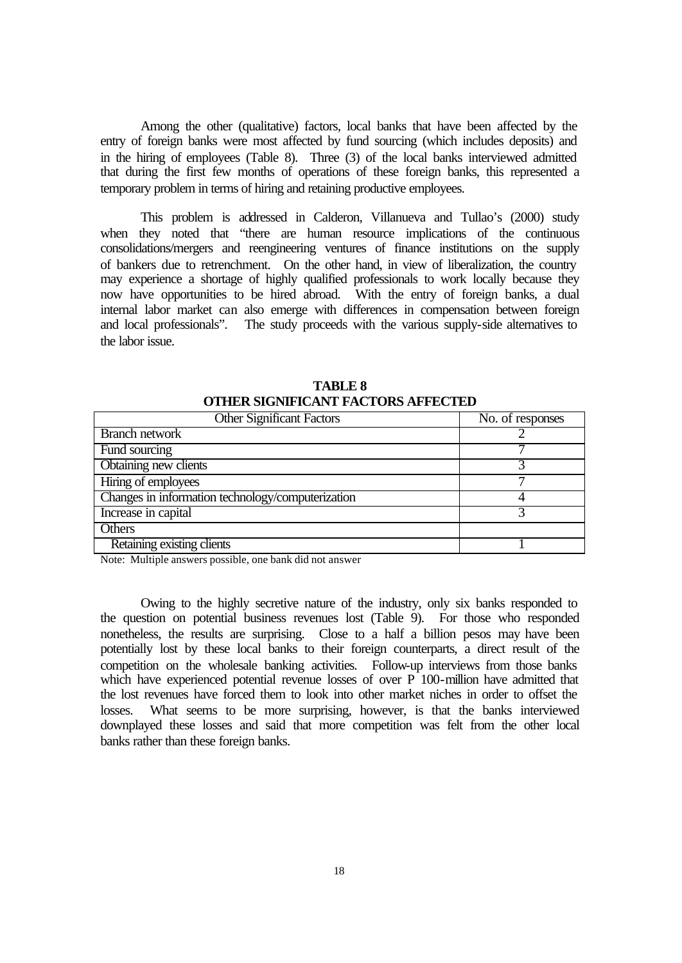Among the other (qualitative) factors, local banks that have been affected by the entry of foreign banks were most affected by fund sourcing (which includes deposits) and in the hiring of employees (Table 8). Three (3) of the local banks interviewed admitted that during the first few months of operations of these foreign banks, this represented a temporary problem in terms of hiring and retaining productive employees.

This problem is addressed in Calderon, Villanueva and Tullao's (2000) study when they noted that "there are human resource implications of the continuous consolidations/mergers and reengineering ventures of finance institutions on the supply of bankers due to retrenchment. On the other hand, in view of liberalization, the country may experience a shortage of highly qualified professionals to work locally because they now have opportunities to be hired abroad. With the entry of foreign banks, a dual internal labor market can also emerge with differences in compensation between foreign and local professionals". The study proceeds with the various supply-side alternatives to the labor issue.

| <b>Other Significant Factors</b>                  | $\overline{\text{No}}$ . of responses |
|---------------------------------------------------|---------------------------------------|
| <b>Branch network</b>                             |                                       |
| Fund sourcing                                     |                                       |
| Obtaining new clients                             |                                       |
| Hiring of employees                               |                                       |
| Changes in information technology/computerization |                                       |
| Increase in capital                               |                                       |
| <b>Others</b>                                     |                                       |
| Retaining existing clients                        |                                       |

**TABLE 8 OTHER SIGNIFICANT FACTORS AFFECTED** 

Note: Multiple answers possible, one bank did not answer

Owing to the highly secretive nature of the industry, only six banks responded to the question on potential business revenues lost (Table 9). For those who responded nonetheless, the results are surprising. Close to a half a billion pesos may have been potentially lost by these local banks to their foreign counterparts, a direct result of the competition on the wholesale banking activities. Follow-up interviews from those banks which have experienced potential revenue losses of over P 100-million have admitted that the lost revenues have forced them to look into other market niches in order to offset the losses. What seems to be more surprising, however, is that the banks interviewed downplayed these losses and said that more competition was felt from the other local banks rather than these foreign banks.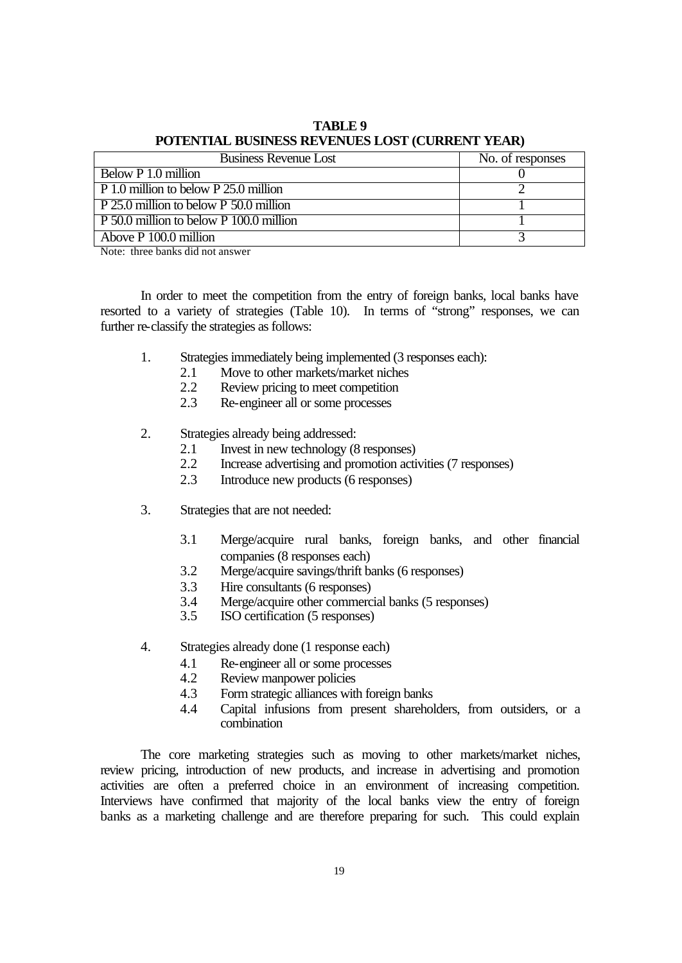| <b>Business Revenue Lost</b>              | No. of responses |
|-------------------------------------------|------------------|
| Below P 1.0 million                       |                  |
| $P_1.0$ million to below $P_25.0$ million |                  |
| P 25.0 million to below P 50.0 million    |                  |
| P 50.0 million to below P 100.0 million   |                  |
| Above P 100.0 million                     |                  |

**TABLE 9 POTENTIAL BUSINESS REVENUES LOST (CURRENT YEAR)**

Note: three banks did not answer

In order to meet the competition from the entry of foreign banks, local banks have resorted to a variety of strategies (Table 10). In terms of "strong" responses, we can further re-classify the strategies as follows:

- 1. Strategies immediately being implemented (3 responses each):
	- 2.1 Move to other markets/market niches<br>2.2 Review pricing to meet competition
	- Review pricing to meet competition
	- 2.3 Re-engineer all or some processes
- 2. Strategies already being addressed:
	- 2.1 Invest in new technology (8 responses)
	- 2.2 Increase advertising and promotion activities (7 responses)
	- 2.3 Introduce new products (6 responses)
- 3. Strategies that are not needed:
	- 3.1 Merge/acquire rural banks, foreign banks, and other financial companies (8 responses each)
	- 3.2 Merge/acquire savings/thrift banks (6 responses)
	- 3.3 Hire consultants (6 responses)
	- 3.4 Merge/acquire other commercial banks (5 responses)
	- 3.5 ISO certification (5 responses)
- 4. Strategies already done (1 response each)
	- 4.1 Re-engineer all or some processes
	- 4.2 Review manpower policies
	- 4.3 Form strategic alliances with foreign banks
	- 4.4 Capital infusions from present shareholders, from outsiders, or a combination

The core marketing strategies such as moving to other markets/market niches, review pricing, introduction of new products, and increase in advertising and promotion activities are often a preferred choice in an environment of increasing competition. Interviews have confirmed that majority of the local banks view the entry of foreign banks as a marketing challenge and are therefore preparing for such. This could explain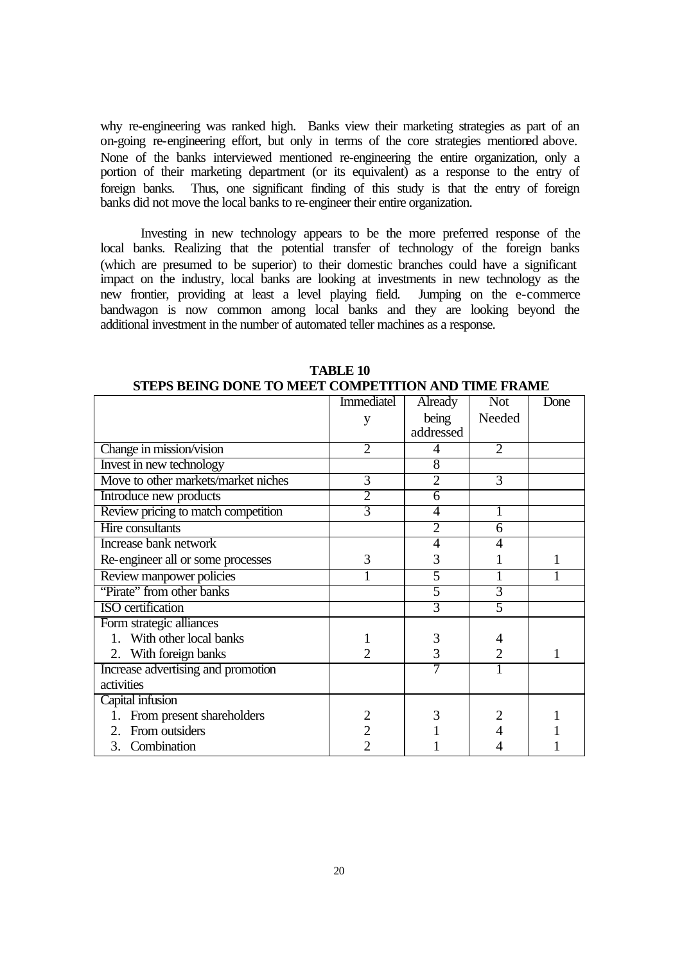why re-engineering was ranked high. Banks view their marketing strategies as part of an on-going re-engineering effort, but only in terms of the core strategies mentioned above. None of the banks interviewed mentioned re-engineering the entire organization, only a portion of their marketing department (or its equivalent) as a response to the entry of foreign banks. Thus, one significant finding of this study is that the entry of foreign banks did not move the local banks to re-engineer their entire organization.

Investing in new technology appears to be the more preferred response of the local banks. Realizing that the potential transfer of technology of the foreign banks (which are presumed to be superior) to their domestic branches could have a significant impact on the industry, local banks are looking at investments in new technology as the new frontier, providing at least a level playing field. Jumping on the e-commerce bandwagon is now common among local banks and they are looking beyond the additional investment in the number of automated teller machines as a response.

|                                     | <b>Immediatel</b> | Already        | <b>Not</b>     | Done |
|-------------------------------------|-------------------|----------------|----------------|------|
|                                     | y                 | being          | Needed         |      |
|                                     |                   | addressed      |                |      |
| Change in mission/vision            | $\overline{2}$    | 4              | $\overline{2}$ |      |
| Invest in new technology            |                   | 8              |                |      |
| Move to other markets/market niches | 3                 | $\overline{2}$ | 3              |      |
| Introduce new products              | $\overline{2}$    | 6              |                |      |
| Review pricing to match competition | 3                 | 4              |                |      |
| Hire consultants                    |                   | $\overline{2}$ | 6              |      |
| Increase bank network               |                   | 4              |                |      |
| Re-engineer all or some processes   | 3                 | 3              |                |      |
| Review manpower policies            |                   | 5              |                |      |
| "Pirate" from other banks           |                   | 5              | 3              |      |
| <b>ISO</b> certification            |                   | 3              | 5              |      |
| Form strategic alliances            |                   |                |                |      |
| 1. With other local banks           |                   | 3              |                |      |
| 2. With foreign banks               | 2                 | 3              | $\overline{2}$ |      |
| Increase advertising and promotion  |                   |                |                |      |
| activities                          |                   |                |                |      |
| Capital infusion                    |                   |                |                |      |
| From present shareholders           |                   |                |                |      |
| From outsiders<br>$2_{-}$           |                   |                |                |      |
| 3. Combination                      |                   |                |                |      |

**TABLE 10 STEPS BEING DONE TO MEET COMPETITION AND TIME FRAME**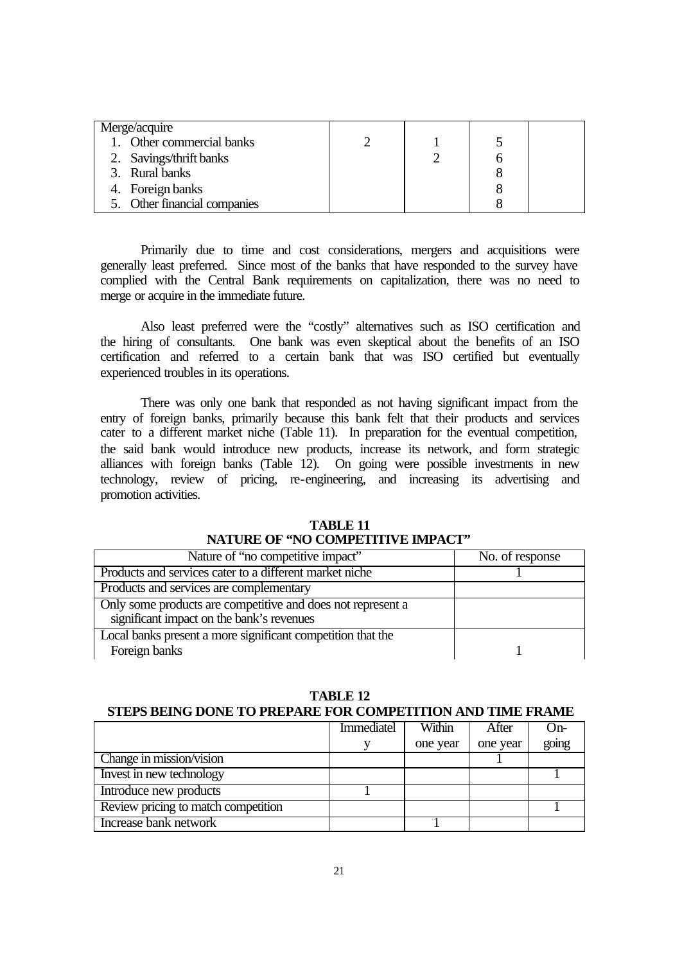| Merge/acquire                |  |  |
|------------------------------|--|--|
| 1. Other commercial banks    |  |  |
| 2. Savings/thrift banks      |  |  |
| 3. Rural banks               |  |  |
| 4. Foreign banks             |  |  |
| 5. Other financial companies |  |  |

Primarily due to time and cost considerations, mergers and acquisitions were generally least preferred. Since most of the banks that have responded to the survey have complied with the Central Bank requirements on capitalization, there was no need to merge or acquire in the immediate future.

Also least preferred were the "costly" alternatives such as ISO certification and the hiring of consultants. One bank was even skeptical about the benefits of an ISO certification and referred to a certain bank that was ISO certified but eventually experienced troubles in its operations.

There was only one bank that responded as not having significant impact from the entry of foreign banks, primarily because this bank felt that their products and services cater to a different market niche (Table 11). In preparation for the eventual competition, the said bank would introduce new products, increase its network, and form strategic alliances with foreign banks (Table 12). On going were possible investments in new technology, review of pricing, re-engineering, and increasing its advertising and promotion activities.

| TABLE <sub>11</sub>                |
|------------------------------------|
| NATURE OF 'NO COMPETITIVE IMPACT'' |

| Nature of "no competitive impact"                                                                        | No. of response |
|----------------------------------------------------------------------------------------------------------|-----------------|
| Products and services cater to a different market niche                                                  |                 |
| Products and services are complementary                                                                  |                 |
| Only some products are competitive and does not represent a<br>significant impact on the bank's revenues |                 |
| Local banks present a more significant competition that the<br>Foreign banks                             |                 |

# **TABLE 12**

# **STEPS BEING DONE TO PREPARE FOR COMPETITION AND TIME FRAME**

|                                     | <b>Immediatel</b> | Within   | After    | $On-$ |
|-------------------------------------|-------------------|----------|----------|-------|
|                                     |                   | one year | one year | going |
| Change in mission/vision            |                   |          |          |       |
| Invest in new technology            |                   |          |          |       |
| Introduce new products              |                   |          |          |       |
| Review pricing to match competition |                   |          |          |       |
| Increase bank network               |                   |          |          |       |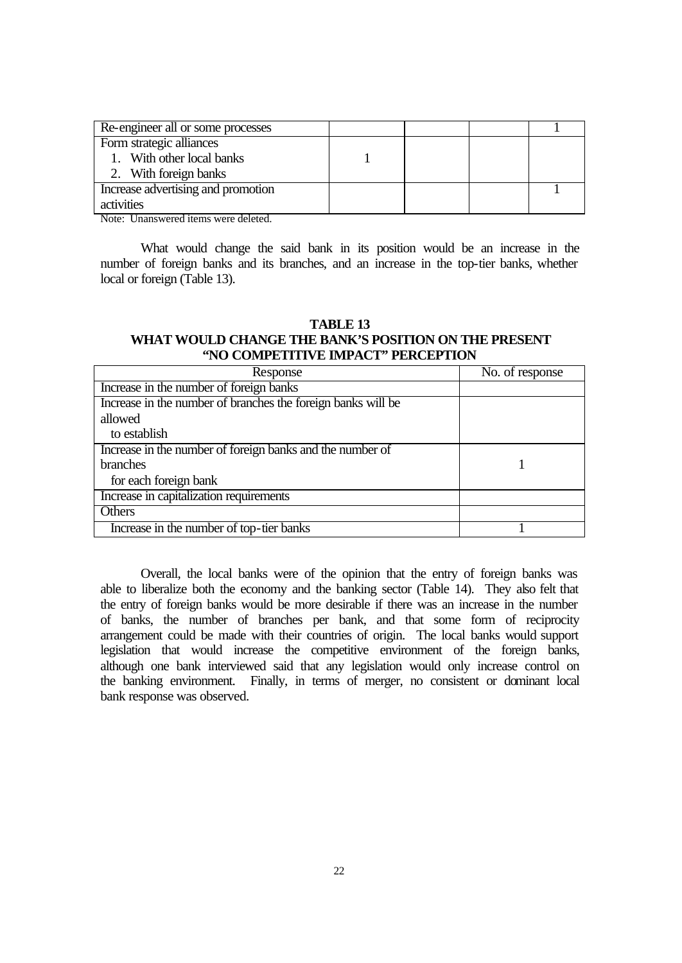| Re-engineer all or some processes  |  |  |
|------------------------------------|--|--|
| Form strategic alliances           |  |  |
| 1. With other local banks          |  |  |
| 2. With foreign banks              |  |  |
| Increase advertising and promotion |  |  |
| activities                         |  |  |

Note: Unanswered items were deleted.

What would change the said bank in its position would be an increase in the number of foreign banks and its branches, and an increase in the top-tier banks, whether local or foreign (Table 13).

# **TABLE 13 WHAT WOULD CHANGE THE BANK'S POSITION ON THE PRESENT "NO COMPETITIVE IMPACT" PERCEPTION**

| Response                                                     | No. of response |
|--------------------------------------------------------------|-----------------|
| Increase in the number of foreign banks                      |                 |
| Increase in the number of branches the foreign banks will be |                 |
| allowed                                                      |                 |
| to establish                                                 |                 |
| Increase in the number of foreign banks and the number of    |                 |
| branches                                                     |                 |
| for each foreign bank                                        |                 |
| Increase in capitalization requirements                      |                 |
| Others                                                       |                 |
| Increase in the number of top-tier banks                     |                 |

Overall, the local banks were of the opinion that the entry of foreign banks was able to liberalize both the economy and the banking sector (Table 14). They also felt that the entry of foreign banks would be more desirable if there was an increase in the number of banks, the number of branches per bank, and that some form of reciprocity arrangement could be made with their countries of origin. The local banks would support legislation that would increase the competitive environment of the foreign banks, although one bank interviewed said that any legislation would only increase control on the banking environment. Finally, in terms of merger, no consistent or dominant local bank response was observed.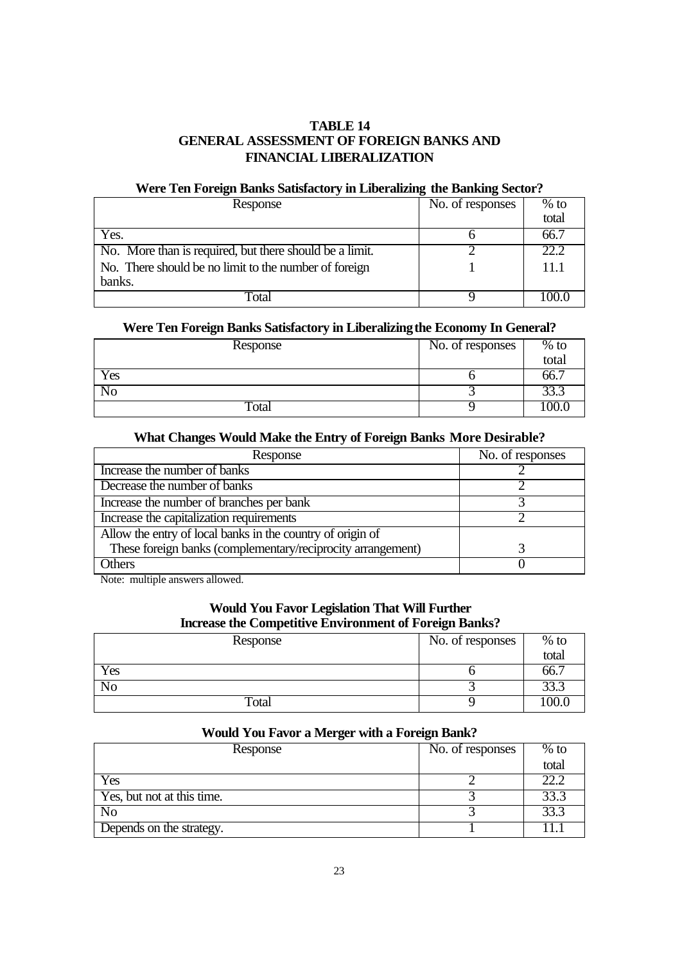# **TABLE 14 GENERAL ASSESSMENT OF FOREIGN BANKS AND FINANCIAL LIBERALIZATION**

# **Were Ten Foreign Banks Satisfactory in Liberalizing the Banking Sector?**

| Response                                                | No. of responses | $%$ to |
|---------------------------------------------------------|------------------|--------|
|                                                         |                  | total  |
| Yes.                                                    |                  | 66.7   |
| No. More than is required, but there should be a limit. |                  | 22.2   |
| No. There should be no limit to the number of foreign   |                  | 11.1   |
| banks.                                                  |                  |        |
| `ota`                                                   |                  |        |

#### **Were Ten Foreign Banks Satisfactory in Liberalizingthe Economy In General?**

| Response                  | No. of responses | $%$ to |
|---------------------------|------------------|--------|
|                           |                  | total  |
| Yes                       |                  | 66.    |
| NΟ                        |                  | 33.3   |
| $\overline{\text{Total}}$ |                  | 100.1  |

#### **What Changes Would Make the Entry of Foreign Banks More Desirable?**

| Response                                                    | No. of responses |
|-------------------------------------------------------------|------------------|
| Increase the number of banks                                |                  |
| Decrease the number of banks                                |                  |
| Increase the number of branches per bank                    |                  |
| Increase the capitalization requirements                    |                  |
| Allow the entry of local banks in the country of origin of  |                  |
| These foreign banks (complementary/reciprocity arrangement) |                  |
| <b>Ithers</b>                                               |                  |

Note: multiple answers allowed.

# **Would You Favor Legislation That Will Further Increase the Competitive Environment of Foreign Banks?**

| Response                  | No. of responses | $%$ to |
|---------------------------|------------------|--------|
|                           |                  | total  |
| $\overline{\mathrm{Yes}}$ |                  | OO. .  |
| No                        |                  | 33.3   |
| $\overline{\text{Total}}$ |                  | 00.0   |

# **Would You Favor a Merger with a Foreign Bank?**

| Response                   | No. of responses | $%$ to |
|----------------------------|------------------|--------|
|                            |                  | total  |
| Yes                        |                  | 22.2   |
| Yes, but not at this time. |                  | 33.3   |
| No                         |                  | 33.3   |
| Depends on the strategy.   |                  |        |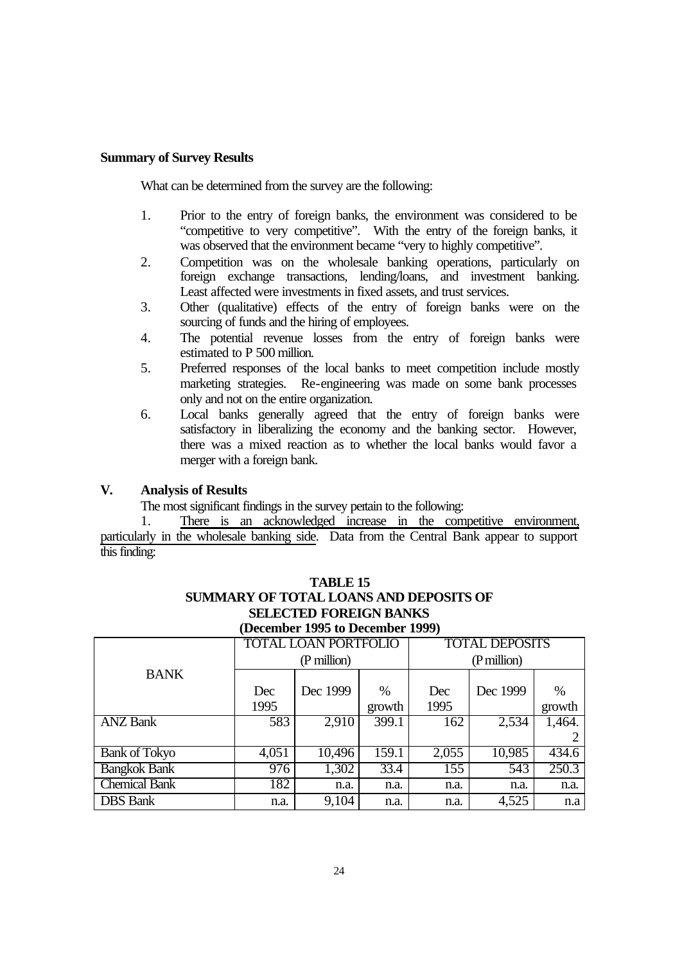## **Summary of Survey Results**

What can be determined from the survey are the following:

- 1. Prior to the entry of foreign banks, the environment was considered to be "competitive to very competitive". With the entry of the foreign banks, it was observed that the environment became "very to highly competitive".
- 2. Competition was on the wholesale banking operations, particularly on foreign exchange transactions, lending/loans, and investment banking. Least affected were investments in fixed assets, and trust services.
- 3. Other (qualitative) effects of the entry of foreign banks were on the sourcing of funds and the hiring of employees.
- 4. The potential revenue losses from the entry of foreign banks were estimated to P 500 million.
- 5. Preferred responses of the local banks to meet competition include mostly marketing strategies. Re-engineering was made on some bank processes only and not on the entire organization.
- 6. Local banks generally agreed that the entry of foreign banks were satisfactory in liberalizing the economy and the banking sector. However, there was a mixed reaction as to whether the local banks would favor a merger with a foreign bank.

# **V. Analysis of Results**

The most significant findings in the survey pertain to the following:

1. There is an acknowledged increase in the competitive environment, particularly in the wholesale banking side. Data from the Central Bank appear to support this finding:

|                      | <b>TOTAL DEPOSITS</b><br><b>TOTAL LOAN PORTFOLIO</b><br>(P million) |          |        |       |          |        |
|----------------------|---------------------------------------------------------------------|----------|--------|-------|----------|--------|
| <b>BANK</b>          | (P million)                                                         |          |        |       |          |        |
|                      | Dec                                                                 | Dec 1999 | $\%$   | Dec   | Dec 1999 | $\%$   |
|                      | 1995                                                                |          | growth | 1995  |          | growth |
| <b>ANZ Bank</b>      | 583                                                                 | 2,910    | 399.1  | 162   | 2,534    | 1,464. |
|                      |                                                                     |          |        |       |          |        |
| <b>Bank of Tokyo</b> | $\overline{4,}051$                                                  | 10,496   | 159.1  | 2,055 | 10,985   | 434.6  |
| <b>Bangkok Bank</b>  | 976                                                                 | 1,302    | 33.4   | 155   | 543      | 250.3  |
| <b>Chemical Bank</b> | 182                                                                 | n.a.     | n.a.   | n.a.  | n.a.     | n.a.   |
| <b>DBS</b> Bank      | n.a.                                                                | 9,104    | n.a.   | n.a.  | 4,525    | n.a    |

# **TABLE 15 SUMMARY OF TOTAL LOANS AND DEPOSITS OF SELECTED FOREIGN BANKS (December 1995 to December 1999)**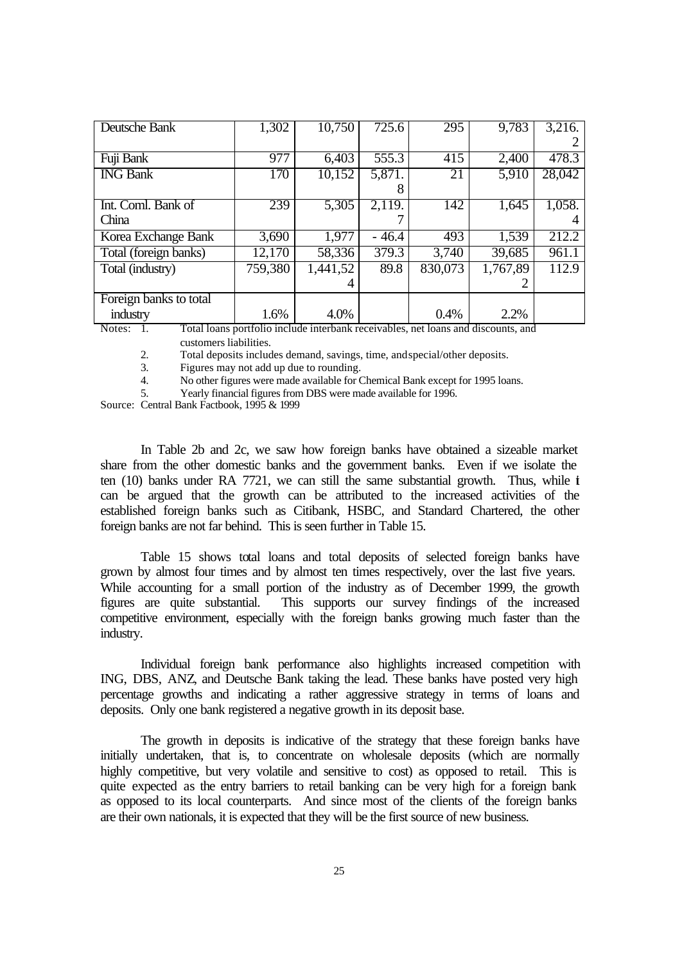| Deutsche Bank          | 1,302   | 10,750   | 725.6   | 295     | 9,783                                                                                      | 3,216. |
|------------------------|---------|----------|---------|---------|--------------------------------------------------------------------------------------------|--------|
|                        |         |          |         |         |                                                                                            |        |
| Fuji Bank              | 977     | 6,403    | 555.3   | 415     | 2,400                                                                                      | 478.3  |
| <b>ING Bank</b>        | 170     | 10,152   | 5,871.  | 21      | 5,910                                                                                      | 28,042 |
|                        |         |          | 8       |         |                                                                                            |        |
| Int. Coml. Bank of     | 239     | 5,305    | 2,119.  | 142     | 1,645                                                                                      | 1,058. |
| China                  |         |          |         |         |                                                                                            |        |
| Korea Exchange Bank    | 3,690   | 1,977    | $-46.4$ | 493     | 1,539                                                                                      | 212.2  |
| Total (foreign banks)  | 12,170  | 58,336   | 379.3   | 3,740   | 39,685                                                                                     | 961.1  |
| Total (industry)       | 759,380 | 1,441,52 | 89.8    | 830,073 | 1,767,89                                                                                   | 112.9  |
|                        |         |          |         |         |                                                                                            |        |
| Foreign banks to total |         |          |         |         |                                                                                            |        |
| industry               | 1.6%    | 4.0%     |         | 0.4%    | 2.2%<br>Total lagge neutralia include interhants measurables, not loope and discounts, and |        |

Notes: 1. Total loans portfolio include interbank receivables, net loans and discounts, and customers liabilities.

2. Total deposits includes demand, savings, time, and special/other deposits.

3. Figures may not add up due to rounding.

4. No other figures were made available for Chemical Bank except for 1995 loans.

5. Yearly financial figures from DBS were made available for 1996.

Source: Central Bank Factbook, 1995 & 1999

In Table 2b and 2c, we saw how foreign banks have obtained a sizeable market share from the other domestic banks and the government banks. Even if we isolate the ten (10) banks under RA 7721, we can still the same substantial growth. Thus, while i can be argued that the growth can be attributed to the increased activities of the established foreign banks such as Citibank, HSBC, and Standard Chartered, the other foreign banks are not far behind. This is seen further in Table 15.

Table 15 shows total loans and total deposits of selected foreign banks have grown by almost four times and by almost ten times respectively, over the last five years. While accounting for a small portion of the industry as of December 1999, the growth figures are quite substantial. This supports our survey findings of the increased competitive environment, especially with the foreign banks growing much faster than the industry.

Individual foreign bank performance also highlights increased competition with ING, DBS, ANZ, and Deutsche Bank taking the lead. These banks have posted very high percentage growths and indicating a rather aggressive strategy in terms of loans and deposits. Only one bank registered a negative growth in its deposit base.

The growth in deposits is indicative of the strategy that these foreign banks have initially undertaken, that is, to concentrate on wholesale deposits (which are normally highly competitive, but very volatile and sensitive to cost) as opposed to retail. This is quite expected as the entry barriers to retail banking can be very high for a foreign bank as opposed to its local counterparts. And since most of the clients of the foreign banks are their own nationals, it is expected that they will be the first source of new business.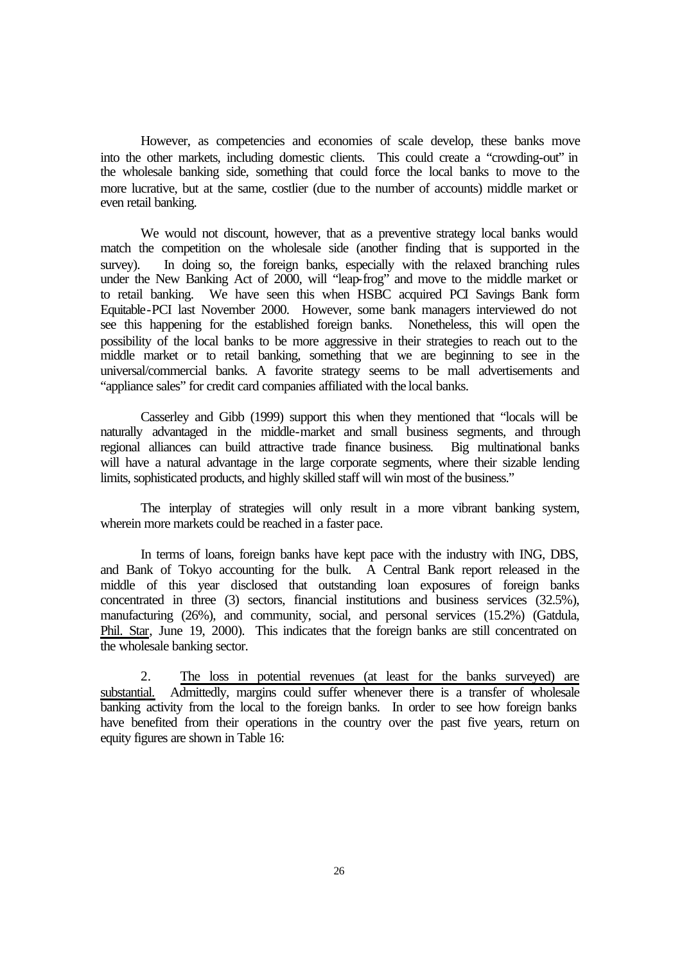However, as competencies and economies of scale develop, these banks move into the other markets, including domestic clients. This could create a "crowding-out" in the wholesale banking side, something that could force the local banks to move to the more lucrative, but at the same, costlier (due to the number of accounts) middle market or even retail banking.

We would not discount, however, that as a preventive strategy local banks would match the competition on the wholesale side (another finding that is supported in the survey). In doing so, the foreign banks, especially with the relaxed branching rules under the New Banking Act of 2000, will "leap-frog" and move to the middle market or to retail banking. We have seen this when HSBC acquired PCI Savings Bank form Equitable-PCI last November 2000. However, some bank managers interviewed do not see this happening for the established foreign banks. Nonetheless, this will open the possibility of the local banks to be more aggressive in their strategies to reach out to the middle market or to retail banking, something that we are beginning to see in the universal/commercial banks. A favorite strategy seems to be mall advertisements and "appliance sales" for credit card companies affiliated with the local banks.

Casserley and Gibb (1999) support this when they mentioned that "locals will be naturally advantaged in the middle-market and small business segments, and through regional alliances can build attractive trade finance business. Big multinational banks will have a natural advantage in the large corporate segments, where their sizable lending limits, sophisticated products, and highly skilled staff will win most of the business."

The interplay of strategies will only result in a more vibrant banking system, wherein more markets could be reached in a faster pace.

In terms of loans, foreign banks have kept pace with the industry with ING, DBS, and Bank of Tokyo accounting for the bulk. A Central Bank report released in the middle of this year disclosed that outstanding loan exposures of foreign banks concentrated in three (3) sectors, financial institutions and business services (32.5%), manufacturing (26%), and community, social, and personal services (15.2%) (Gatdula, Phil. Star, June 19, 2000). This indicates that the foreign banks are still concentrated on the wholesale banking sector.

2. The loss in potential revenues (at least for the banks surveyed) are substantial. Admittedly, margins could suffer whenever there is a transfer of wholesale banking activity from the local to the foreign banks. In order to see how foreign banks have benefited from their operations in the country over the past five years, return on equity figures are shown in Table 16: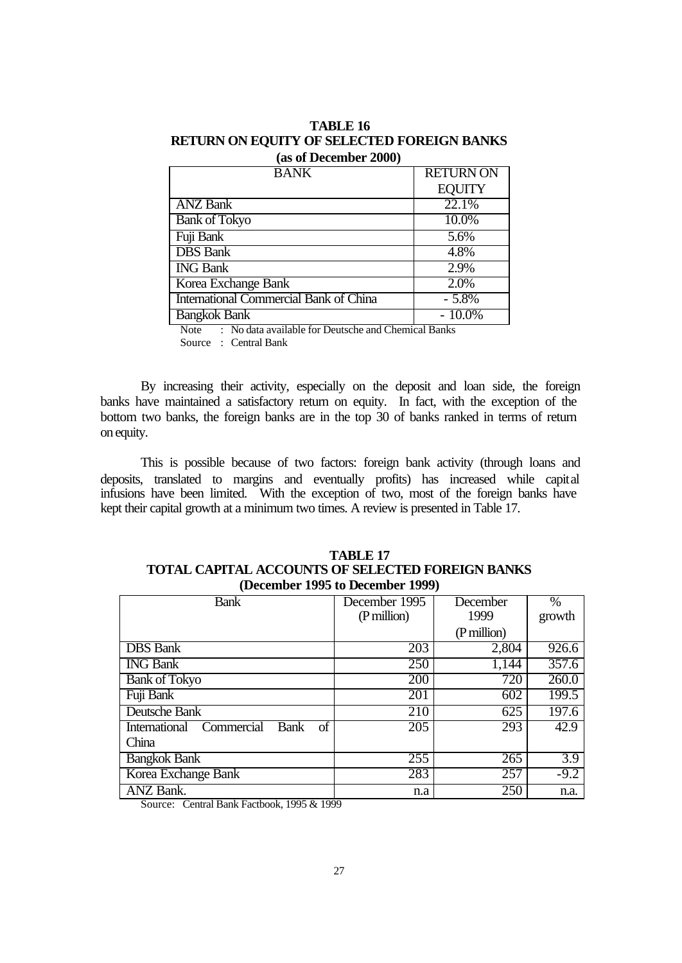| TABLE 16                                          |
|---------------------------------------------------|
| <b>RETURN ON EQUITY OF SELECTED FOREIGN BANKS</b> |
| (as of December 2000)                             |

| <b>BANK</b>                            | <b>RETURNON</b> |
|----------------------------------------|-----------------|
|                                        | <b>EQUITY</b>   |
| <b>ANZ</b> Bank                        | 22.1%           |
| <b>Bank of Tokyo</b>                   | 10.0%           |
| Fuji Bank                              | 5.6%            |
| <b>DBS</b> Bank                        | 4.8%            |
| <b>ING Bank</b>                        | 2.9%            |
| Korea Exchange Bank                    | 2.0%            |
| International Commercial Bank of China | $-5.8%$         |
| <b>Bangkok Bank</b>                    | $-10.0\%$       |

Note : No data available for Deutsche and Chemical Banks

Source : Central Bank

By increasing their activity, especially on the deposit and loan side, the foreign banks have maintained a satisfactory return on equity. In fact, with the exception of the bottom two banks, the foreign banks are in the top 30 of banks ranked in terms of return on equity.

This is possible because of two factors: foreign bank activity (through loans and deposits, translated to margins and eventually profits) has increased while capital infusions have been limited. With the exception of two, most of the foreign banks have kept their capital growth at a minimum two times. A review is presented in Table 17.

| <b>TABLE 17</b>                                         |
|---------------------------------------------------------|
| <b>TOTAL CAPITAL ACCOUNTS OF SELECTED FOREIGN BANKS</b> |
| (December 1995 to December 1999)                        |

| <b>Bank</b>                                            | December 1995 | December    | $\%$   |
|--------------------------------------------------------|---------------|-------------|--------|
|                                                        | (P million)   | 1999        | growth |
|                                                        |               | (P million) |        |
| <b>DBS</b> Bank                                        | 203           | 2,804       | 926.6  |
| <b>ING Bank</b>                                        | 250           | 1,144       | 357.6  |
| <b>Bank of Tokyo</b>                                   | 200           | 720         | 260.0  |
| Fuji Bank                                              | 201           | 602         | 199.5  |
| Deutsche Bank                                          | 210           | 625         | 197.6  |
| Commercial<br><b>International</b><br>Bank<br>of       | 205           | 293         | 42.9   |
| China                                                  |               |             |        |
| <b>Bangkok Bank</b>                                    | 255           | 265         | 3.9    |
| Korea Exchange Bank                                    | 283           | 257         | $-9.2$ |
| ANZ Bank.<br>1,000000000<br>$\cdots$ $\cdots$ $\cdots$ | n.a           | 250         | n.a.   |

Source: Central Bank Factbook, 1995 & 1999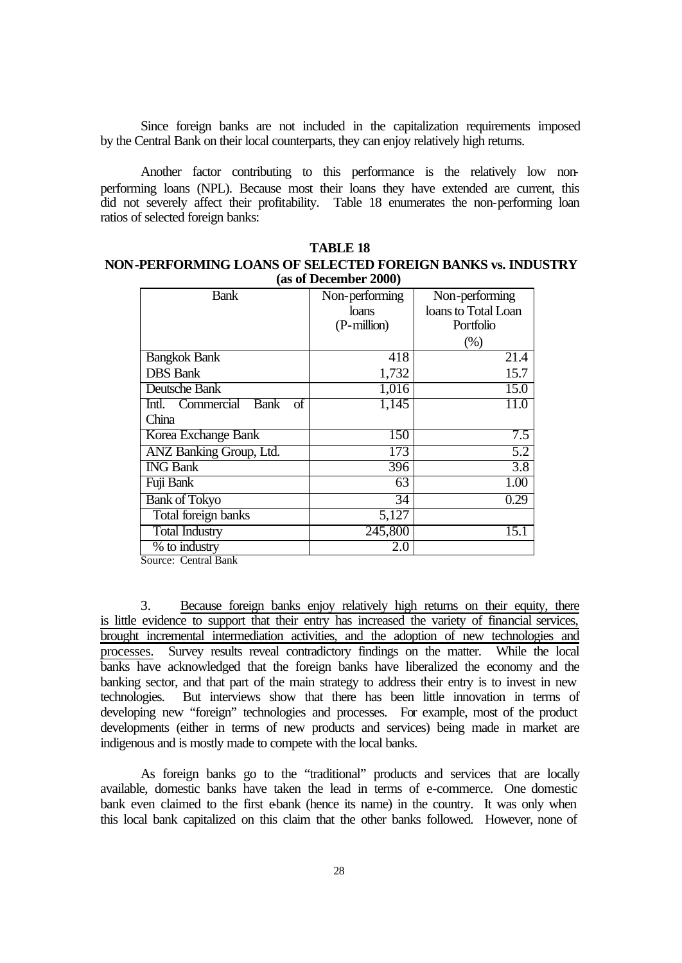Since foreign banks are not included in the capitalization requirements imposed by the Central Bank on their local counterparts, they can enjoy relatively high returns.

Another factor contributing to this performance is the relatively low nonperforming loans (NPL). Because most their loans they have extended are current, this did not severely affect their profitability. Table 18 enumerates the non-performing loan ratios of selected foreign banks:

| TADLE 10                                                    |
|-------------------------------------------------------------|
| NON-PERFORMING LOANS OF SELECTED FOREIGN BANKS vs. INDUSTRY |
| (as of December 2000)                                       |

**TABLE 10** 

| <b>Bank</b>                 | Non-performing  | Non-performing      |
|-----------------------------|-----------------|---------------------|
|                             | loans           | loans to Total Loan |
|                             | (P-million)     | Portfolio           |
|                             |                 | (% )                |
| <b>Bangkok Bank</b>         | 418             | 21.4                |
| <b>DBS</b> Bank             | 1,732           | 15.7                |
| Deutsche Bank               | 1,016           | 15.0                |
| Intl. Commercial Bank<br>οf | 1,145           | 11.0                |
| China                       |                 |                     |
| Korea Exchange Bank         | 150             | 7.5                 |
| ANZ Banking Group, Ltd.     | 173             | $\overline{5.2}$    |
| <b>ING Bank</b>             | 396             | $\overline{3.8}$    |
| Fuji Bank                   | 63              | 1.00                |
| <b>Bank of Tokyo</b>        | $\overline{34}$ | 0.29                |
| Total foreign banks         | 5,127           |                     |
| <b>Total Industry</b>       | 245,800         | 15.1                |
| % to industry               | 2.0             |                     |

Source: Central Bank

3. Because foreign banks enjoy relatively high returns on their equity, there is little evidence to support that their entry has increased the variety of financial services, brought incremental intermediation activities, and the adoption of new technologies and processes. Survey results reveal contradictory findings on the matter. While the local banks have acknowledged that the foreign banks have liberalized the economy and the banking sector, and that part of the main strategy to address their entry is to invest in new technologies. But interviews show that there has been little innovation in terms of developing new "foreign" technologies and processes. For example, most of the product developments (either in terms of new products and services) being made in market are indigenous and is mostly made to compete with the local banks.

As foreign banks go to the "traditional" products and services that are locally available, domestic banks have taken the lead in terms of e-commerce. One domestic bank even claimed to the first e-bank (hence its name) in the country. It was only when this local bank capitalized on this claim that the other banks followed. However, none of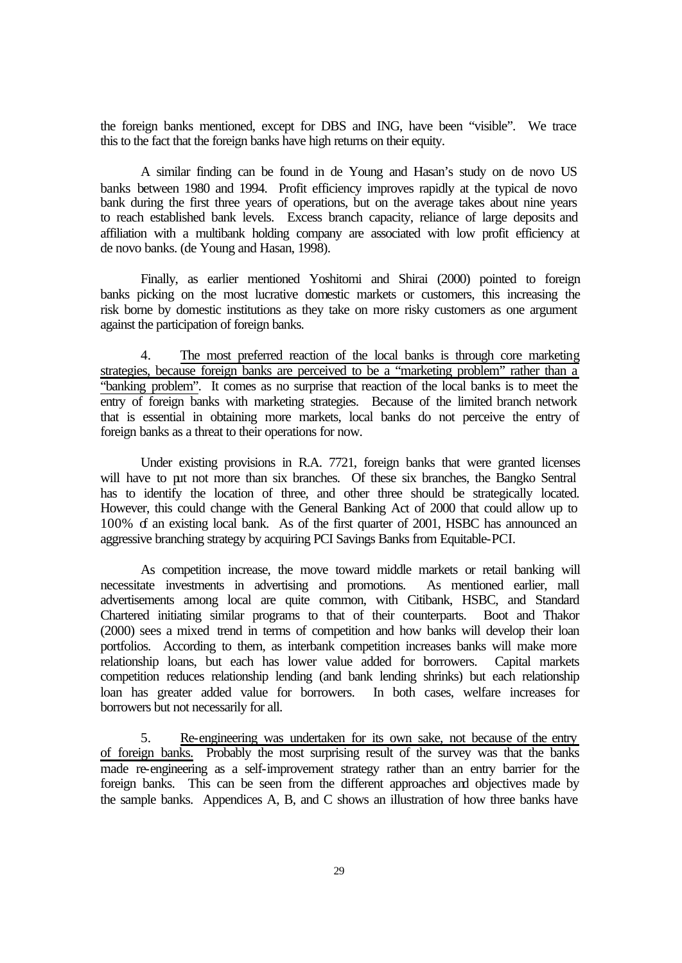the foreign banks mentioned, except for DBS and ING, have been "visible". We trace this to the fact that the foreign banks have high returns on their equity.

A similar finding can be found in de Young and Hasan's study on de novo US banks between 1980 and 1994. Profit efficiency improves rapidly at the typical de novo bank during the first three years of operations, but on the average takes about nine years to reach established bank levels. Excess branch capacity, reliance of large deposits and affiliation with a multibank holding company are associated with low profit efficiency at de novo banks. (de Young and Hasan, 1998).

Finally, as earlier mentioned Yoshitomi and Shirai (2000) pointed to foreign banks picking on the most lucrative domestic markets or customers, this increasing the risk borne by domestic institutions as they take on more risky customers as one argument against the participation of foreign banks.

4. The most preferred reaction of the local banks is through core marketing strategies, because foreign banks are perceived to be a "marketing problem" rather than a "banking problem". It comes as no surprise that reaction of the local banks is to meet the entry of foreign banks with marketing strategies. Because of the limited branch network that is essential in obtaining more markets, local banks do not perceive the entry of foreign banks as a threat to their operations for now.

Under existing provisions in R.A. 7721, foreign banks that were granted licenses will have to put not more than six branches. Of these six branches, the Bangko Sentral has to identify the location of three, and other three should be strategically located. However, this could change with the General Banking Act of 2000 that could allow up to 100% of an existing local bank. As of the first quarter of 2001, HSBC has announced an aggressive branching strategy by acquiring PCI Savings Banks from Equitable-PCI.

As competition increase, the move toward middle markets or retail banking will necessitate investments in advertising and promotions. As mentioned earlier, mall advertisements among local are quite common, with Citibank, HSBC, and Standard Chartered initiating similar programs to that of their counterparts. Boot and Thakor (2000) sees a mixed trend in terms of competition and how banks will develop their loan portfolios. According to them, as interbank competition increases banks will make more relationship loans, but each has lower value added for borrowers. Capital markets competition reduces relationship lending (and bank lending shrinks) but each relationship loan has greater added value for borrowers. In both cases, welfare increases for borrowers but not necessarily for all.

5. Re-engineering was undertaken for its own sake, not because of the entry of foreign banks. Probably the most surprising result of the survey was that the banks made re-engineering as a self-improvement strategy rather than an entry barrier for the foreign banks. This can be seen from the different approaches and objectives made by the sample banks. Appendices A, B, and C shows an illustration of how three banks have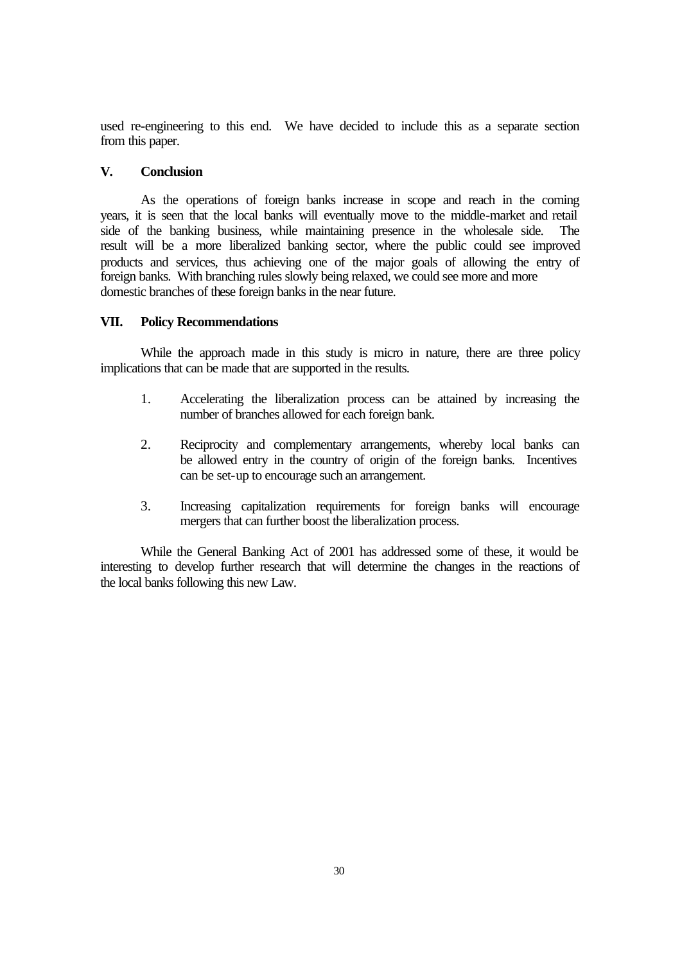used re-engineering to this end. We have decided to include this as a separate section from this paper.

## **V. Conclusion**

As the operations of foreign banks increase in scope and reach in the coming years, it is seen that the local banks will eventually move to the middle-market and retail side of the banking business, while maintaining presence in the wholesale side. The result will be a more liberalized banking sector, where the public could see improved products and services, thus achieving one of the major goals of allowing the entry of foreign banks. With branching rules slowly being relaxed, we could see more and more domestic branches of these foreign banks in the near future.

## **VII. Policy Recommendations**

While the approach made in this study is micro in nature, there are three policy implications that can be made that are supported in the results.

- 1. Accelerating the liberalization process can be attained by increasing the number of branches allowed for each foreign bank.
- 2. Reciprocity and complementary arrangements, whereby local banks can be allowed entry in the country of origin of the foreign banks. Incentives can be set-up to encourage such an arrangement.
- 3. Increasing capitalization requirements for foreign banks will encourage mergers that can further boost the liberalization process.

While the General Banking Act of 2001 has addressed some of these, it would be interesting to develop further research that will determine the changes in the reactions of the local banks following this new Law.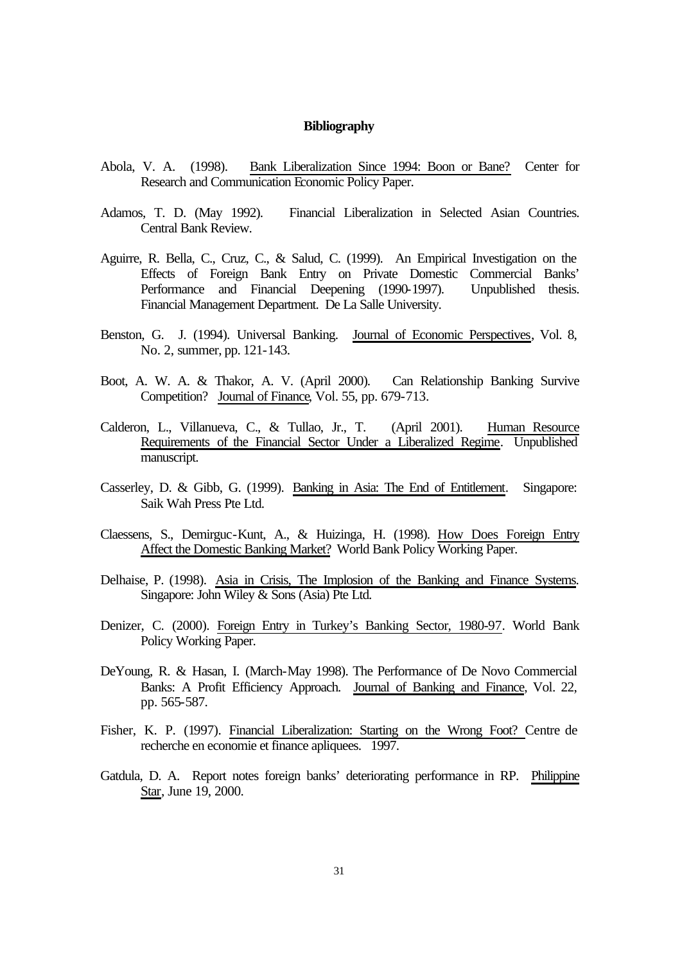#### **Bibliography**

- Abola, V. A. (1998). Bank Liberalization Since 1994: Boon or Bane? Center for Research and Communication Economic Policy Paper.
- Adamos, T. D. (May 1992). Financial Liberalization in Selected Asian Countries. Central Bank Review.
- Aguirre, R. Bella, C., Cruz, C., & Salud, C. (1999). An Empirical Investigation on the Effects of Foreign Bank Entry on Private Domestic Commercial Banks' Performance and Financial Deepening (1990-1997). Unpublished thesis. Financial Management Department. De La Salle University.
- Benston, G. J. (1994). Universal Banking. Journal of Economic Perspectives, Vol. 8, No. 2, summer, pp. 121-143.
- Boot, A. W. A. & Thakor, A. V. (April 2000). Can Relationship Banking Survive Competition? Journal of Finance, Vol. 55, pp. 679-713.
- Calderon, L., Villanueva, C., & Tullao, Jr., T. (April 2001). Human Resource Requirements of the Financial Sector Under a Liberalized Regime. Unpublished manuscript.
- Casserley, D. & Gibb, G. (1999). Banking in Asia: The End of Entitlement. Singapore: Saik Wah Press Pte Ltd.
- Claessens, S., Demirguc-Kunt, A., & Huizinga, H. (1998). How Does Foreign Entry Affect the Domestic Banking Market? World Bank Policy Working Paper.
- Delhaise, P. (1998). Asia in Crisis, The Implosion of the Banking and Finance Systems. Singapore: John Wiley & Sons (Asia) Pte Ltd.
- Denizer, C. (2000). Foreign Entry in Turkey's Banking Sector, 1980-97. World Bank Policy Working Paper.
- DeYoung, R. & Hasan, I. (March-May 1998). The Performance of De Novo Commercial Banks: A Profit Efficiency Approach. Journal of Banking and Finance, Vol. 22, pp. 565-587.
- Fisher, K. P. (1997). Financial Liberalization: Starting on the Wrong Foot? Centre de recherche en economie et finance apliquees. 1997.
- Gatdula, D. A. Report notes foreign banks' deteriorating performance in RP. Philippine Star, June 19, 2000.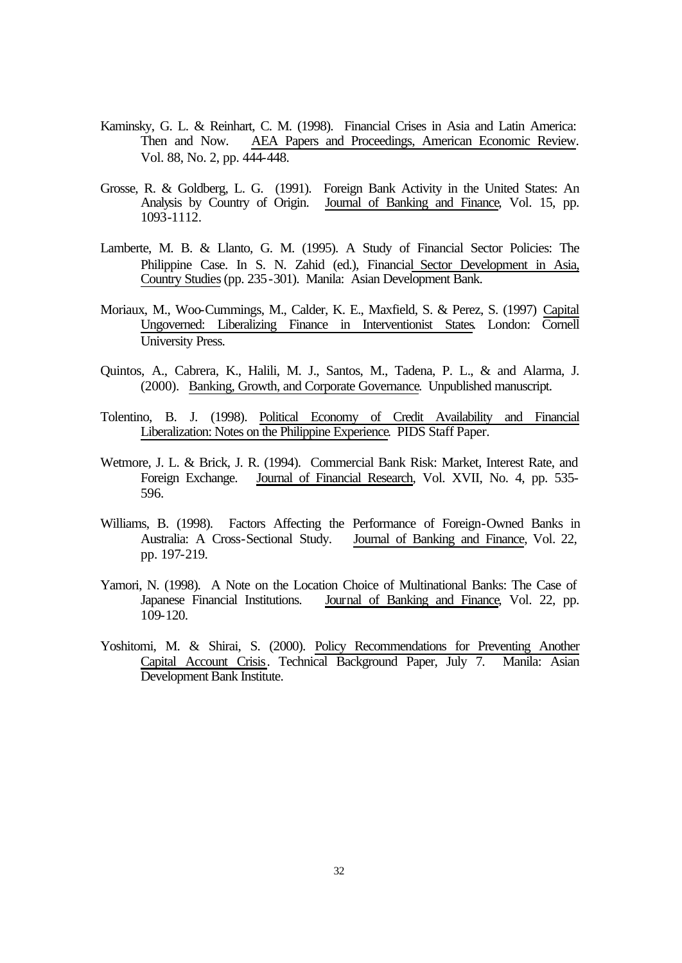- Kaminsky, G. L. & Reinhart, C. M. (1998). Financial Crises in Asia and Latin America: Then and Now. AEA Papers and Proceedings, American Economic Review. Vol. 88, No. 2, pp. 444-448.
- Grosse, R. & Goldberg, L. G. (1991). Foreign Bank Activity in the United States: An Analysis by Country of Origin. Journal of Banking and Finance, Vol. 15, pp. 1093-1112.
- Lamberte, M. B. & Llanto, G. M. (1995). A Study of Financial Sector Policies: The Philippine Case. In S. N. Zahid (ed.), Financial Sector Development in Asia, Country Studies (pp. 235-301). Manila: Asian Development Bank.
- Moriaux, M., Woo-Cummings, M., Calder, K. E., Maxfield, S. & Perez, S. (1997) Capital Ungoverned: Liberalizing Finance in Interventionist States. London: Cornell University Press.
- Quintos, A., Cabrera, K., Halili, M. J., Santos, M., Tadena, P. L., & and Alarma, J. (2000). Banking, Growth, and Corporate Governance. Unpublished manuscript.
- Tolentino, B. J. (1998). Political Economy of Credit Availability and Financial Liberalization: Notes on the Philippine Experience. PIDS Staff Paper.
- Wetmore, J. L. & Brick, J. R. (1994). Commercial Bank Risk: Market, Interest Rate, and Foreign Exchange. Journal of Financial Research, Vol. XVII, No. 4, pp. 535- 596.
- Williams, B. (1998). Factors Affecting the Performance of Foreign-Owned Banks in Australia: A Cross-Sectional Study. Journal of Banking and Finance, Vol. 22, pp. 197-219.
- Yamori, N. (1998). A Note on the Location Choice of Multinational Banks: The Case of Japanese Financial Institutions. Journal of Banking and Finance, Vol. 22, pp. 109-120.
- Yoshitomi, M. & Shirai, S. (2000). Policy Recommendations for Preventing Another Capital Account Crisis. Technical Background Paper, July 7. Manila: Asian Development Bank Institute.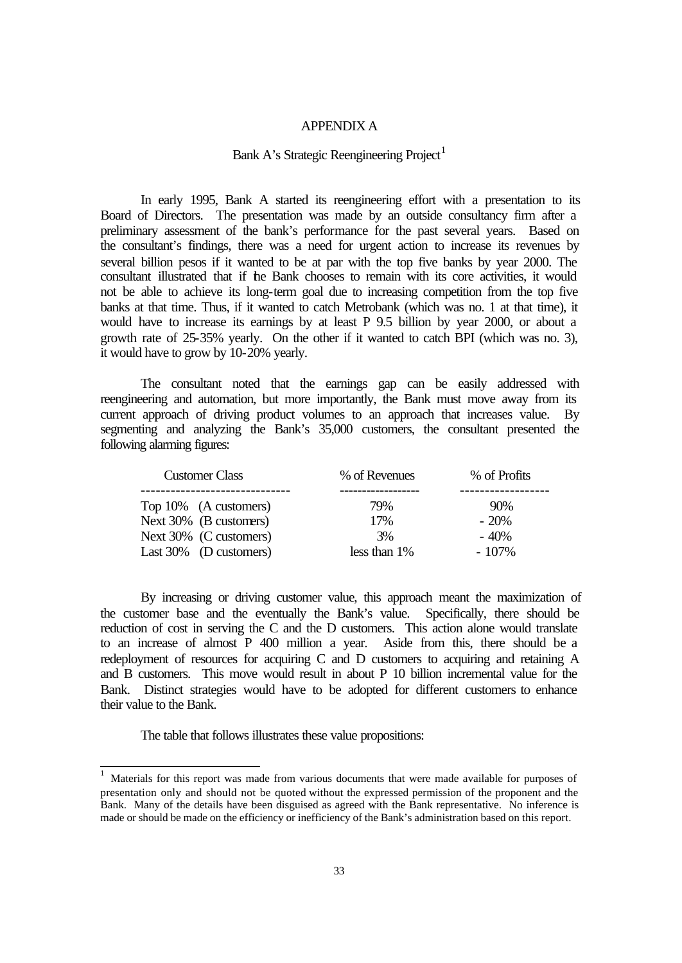#### APPENDIX A

## Bank A's Strategic Reengineering Project<sup>1</sup>

In early 1995, Bank A started its reengineering effort with a presentation to its Board of Directors. The presentation was made by an outside consultancy firm after a preliminary assessment of the bank's performance for the past several years. Based on the consultant's findings, there was a need for urgent action to increase its revenues by several billion pesos if it wanted to be at par with the top five banks by year 2000. The consultant illustrated that if the Bank chooses to remain with its core activities, it would not be able to achieve its long-term goal due to increasing competition from the top five banks at that time. Thus, if it wanted to catch Metrobank (which was no. 1 at that time), it would have to increase its earnings by at least P 9.5 billion by year 2000, or about a growth rate of 25-35% yearly. On the other if it wanted to catch BPI (which was no. 3), it would have to grow by 10-20% yearly.

The consultant noted that the earnings gap can be easily addressed with reengineering and automation, but more importantly, the Bank must move away from its current approach of driving product volumes to an approach that increases value. By segmenting and analyzing the Bank's 35,000 customers, the consultant presented the following alarming figures:

| <b>Customer Class</b> |                           | % of Revenues   | % of Profits |
|-----------------------|---------------------------|-----------------|--------------|
|                       | Top 10% (A customers)     | 79%             | $90\%$       |
|                       | Next 30% (B customers)    | 17%             | $-20\%$      |
|                       | Next 30% (C customers)    | 3%              | $-40%$       |
|                       | Last $30\%$ (D customers) | less than $1\%$ | $-107\%$     |

By increasing or driving customer value, this approach meant the maximization of the customer base and the eventually the Bank's value. Specifically, there should be reduction of cost in serving the C and the D customers. This action alone would translate to an increase of almost P 400 million a year. Aside from this, there should be a redeployment of resources for acquiring C and D customers to acquiring and retaining A and B customers. This move would result in about P 10 billion incremental value for the Bank. Distinct strategies would have to be adopted for different customers to enhance their value to the Bank.

The table that follows illustrates these value propositions:

 $\,1$ <sup>1</sup> Materials for this report was made from various documents that were made available for purposes of presentation only and should not be quoted without the expressed permission of the proponent and the Bank. Many of the details have been disguised as agreed with the Bank representative. No inference is made or should be made on the efficiency or inefficiency of the Bank's administration based on this report.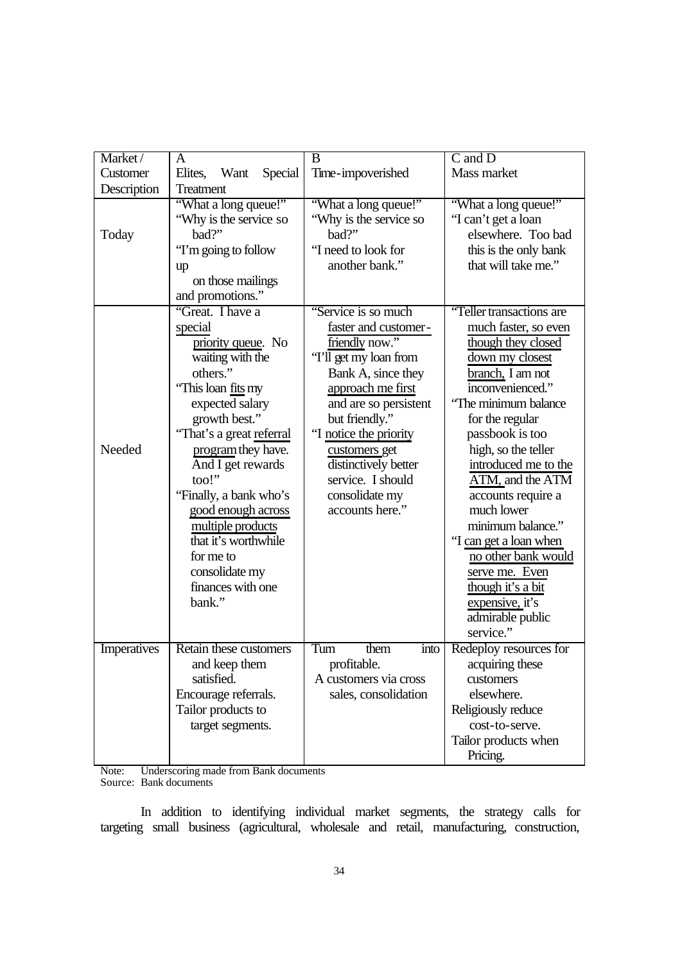| Market/     | A                          | $\overline{\mathrm{B}}$ | $C$ and $D$              |
|-------------|----------------------------|-------------------------|--------------------------|
| Customer    | Elites,<br>Want<br>Special | Time-impoverished       | Mass market              |
|             |                            |                         |                          |
| Description | Treatment                  |                         |                          |
|             | "What a long queue!"       | "What a long queue!"    | "What a long queue!"     |
|             | "Why is the service so     | "Why is the service so  | "I can't get a loan      |
| Today       | bad?"                      | bad?"                   | elsewhere. Too bad       |
|             | "I'm going to follow"      | "I need to look for     | this is the only bank    |
|             | up                         | another bank."          | that will take me."      |
|             | on those mailings          |                         |                          |
|             | and promotions."           |                         |                          |
|             | "Great. I have a           | "Service is so much     | "Teller transactions are |
|             | special                    | faster and customer-    | much faster, so even     |
|             | priority queue. No         | friendly now."          | though they closed       |
|             | waiting with the           | 'T'll get my loan from  | down my closest          |
|             | others."                   | Bank A, since they      | branch, I am not         |
|             | "This loan fits my         | approach me first       | inconvenienced."         |
|             | expected salary            | and are so persistent   | 'The minimum balance     |
|             | growth best."              | but friendly."          |                          |
|             |                            |                         | for the regular          |
|             | "That's a great referral   | "I notice the priority  | passbook is too          |
| Needed      | program they have.         | customers get           | high, so the teller      |
|             | And I get rewards          | distinctively better    | introduced me to the     |
|             | $\text{too}!$              | service. I should       | ATM, and the ATM         |
|             | "Finally, a bank who's     | consolidate my          | accounts require a       |
|             | good enough across         | accounts here."         | much lower               |
|             | multiple products          |                         | minimum balance."        |
|             | that it's worthwhile       |                         | "I can get a loan when   |
|             | for me to                  |                         | no other bank would      |
|             | consolidate my             |                         | serve me. Even           |
|             | finances with one          |                         | <u>though it's a bit</u> |
|             | bank."                     |                         | expensive, it's          |
|             |                            |                         | admirable public         |
|             |                            |                         | service."                |
|             |                            |                         |                          |
| Imperatives | Retain these customers     | Turn<br>them<br>into    | Redeploy resources for   |
|             | and keep them              | profitable.             | acquiring these          |
|             | satisfied.                 | A customers via cross   | customers                |
|             | Encourage referrals.       | sales, consolidation    | elsewhere.               |
|             | Tailor products to         |                         | Religiously reduce       |
|             | target segments.           |                         | cost-to-serve.           |
|             |                            |                         | Tailor products when     |
|             |                            |                         | Pricing.                 |

Note: Underscoring made from Bank documents Source: Bank documents

In addition to identifying individual market segments, the strategy calls for targeting small business (agricultural, wholesale and retail, manufacturing, construction,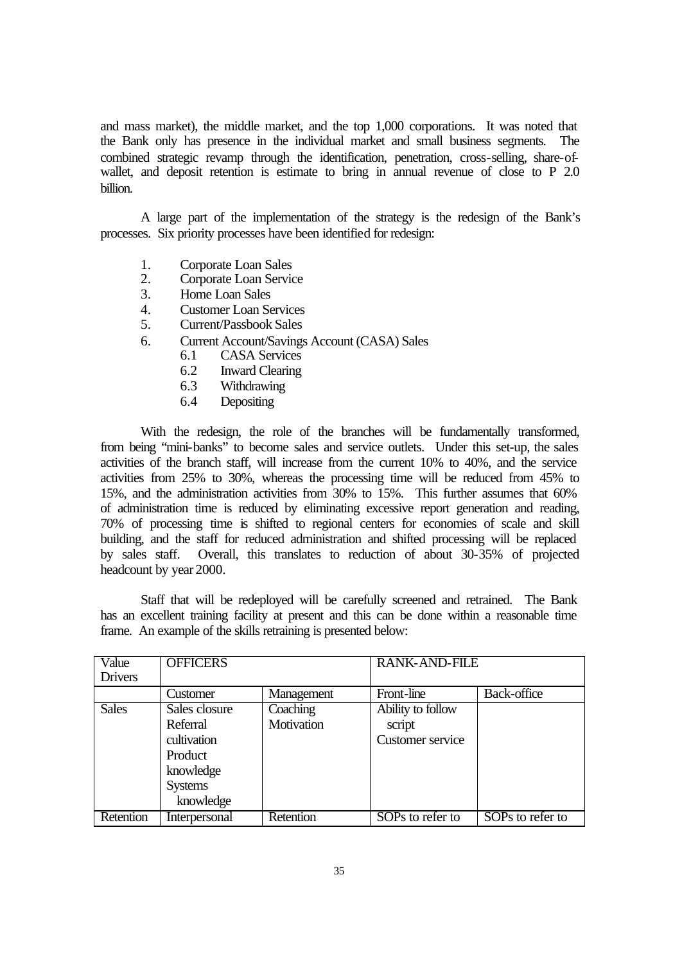and mass market), the middle market, and the top 1,000 corporations. It was noted that the Bank only has presence in the individual market and small business segments. The combined strategic revamp through the identification, penetration, cross-selling, share-ofwallet, and deposit retention is estimate to bring in annual revenue of close to P 2.0 billion.

A large part of the implementation of the strategy is the redesign of the Bank's processes. Six priority processes have been identified for redesign:

- 1. Corporate Loan Sales
- 2. Corporate Loan Service
- 3. Home Loan Sales
- 4. Customer Loan Services
- 5. Current/Passbook Sales
- 6. Current Account/Savings Account (CASA) Sales
	- 6.1 CASA Services
	- 6.2 Inward Clearing
	- 6.3 Withdrawing
	- 6.4 Depositing

With the redesign, the role of the branches will be fundamentally transformed, from being "mini-banks" to become sales and service outlets. Under this set-up, the sales activities of the branch staff, will increase from the current 10% to 40%, and the service activities from 25% to 30%, whereas the processing time will be reduced from 45% to 15%, and the administration activities from 30% to 15%. This further assumes that 60% of administration time is reduced by eliminating excessive report generation and reading, 70% of processing time is shifted to regional centers for economies of scale and skill building, and the staff for reduced administration and shifted processing will be replaced by sales staff. Overall, this translates to reduction of about 30-35% of projected headcount by year 2000.

Staff that will be redeployed will be carefully screened and retrained. The Bank has an excellent training facility at present and this can be done within a reasonable time frame. An example of the skills retraining is presented below:

|              |                                                                                                 |                        |                                                 | <b>RANK-AND-FILE</b> |  |
|--------------|-------------------------------------------------------------------------------------------------|------------------------|-------------------------------------------------|----------------------|--|
|              | Customer                                                                                        | Management             | Front-line                                      | <b>Back-office</b>   |  |
| <b>Sales</b> | Sales closure<br>Referral<br>cultivation<br>Product<br>knowledge<br><b>Systems</b><br>knowledge | Coaching<br>Motivation | Ability to follow<br>script<br>Customer service |                      |  |
| Retention    | Interpersonal                                                                                   | Retention              | SOPs to refer to                                | SOPs to refer to     |  |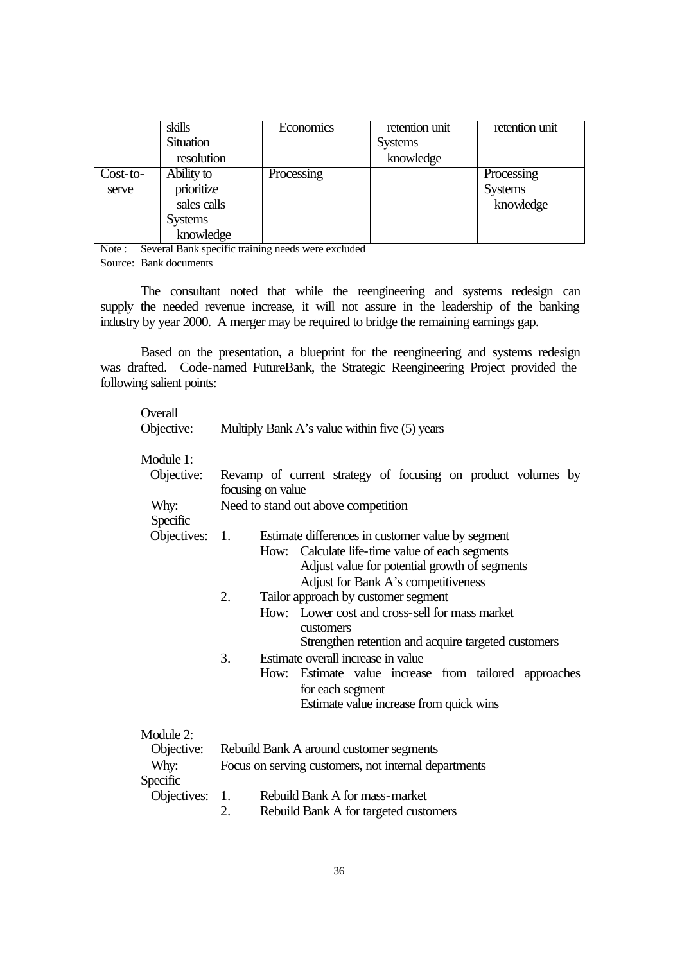|            | skills           | Economics  | retention unit | retention unit |
|------------|------------------|------------|----------------|----------------|
|            | <b>Situation</b> |            | <b>Systems</b> |                |
|            | resolution       |            | knowledge      |                |
| $Cost-to-$ | Ability to       | Processing |                | Processing     |
| serve      | prioritize       |            |                | <b>Systems</b> |
|            | sales calls      |            |                | knowledge      |
|            | <b>Systems</b>   |            |                |                |
|            | knowledge        |            |                |                |

Note : Several Bank specific training needs were excluded Source: Bank documents

The consultant noted that while the reengineering and systems redesign can supply the needed revenue increase, it will not assure in the leadership of the banking industry by year 2000. A merger may be required to bridge the remaining earnings gap.

Based on the presentation, a blueprint for the reengineering and systems redesign was drafted. Code-named FutureBank, the Strategic Reengineering Project provided the following salient points:

| Module 1:<br>Objective:<br>focusing on value<br>Why:<br>Need to stand out above competition<br>Specific<br>Objectives:<br>Estimate differences in customer value by segment<br>1.<br>Calculate life-time value of each segments<br>How:<br>Adjust value for potential growth of segments<br>Adjust for Bank A's competitiveness<br>2.<br>Tailor approach by customer segment<br>How: Lower cost and cross-sell for mass market | Overall<br>Objective: | Multiply Bank A's value within five (5) years                |  |  |
|--------------------------------------------------------------------------------------------------------------------------------------------------------------------------------------------------------------------------------------------------------------------------------------------------------------------------------------------------------------------------------------------------------------------------------|-----------------------|--------------------------------------------------------------|--|--|
|                                                                                                                                                                                                                                                                                                                                                                                                                                |                       | Revamp of current strategy of focusing on product volumes by |  |  |
|                                                                                                                                                                                                                                                                                                                                                                                                                                |                       |                                                              |  |  |
|                                                                                                                                                                                                                                                                                                                                                                                                                                |                       |                                                              |  |  |
|                                                                                                                                                                                                                                                                                                                                                                                                                                |                       |                                                              |  |  |
|                                                                                                                                                                                                                                                                                                                                                                                                                                |                       |                                                              |  |  |
|                                                                                                                                                                                                                                                                                                                                                                                                                                |                       |                                                              |  |  |
|                                                                                                                                                                                                                                                                                                                                                                                                                                |                       |                                                              |  |  |
|                                                                                                                                                                                                                                                                                                                                                                                                                                |                       |                                                              |  |  |
| customers                                                                                                                                                                                                                                                                                                                                                                                                                      |                       |                                                              |  |  |
| Strengthen retention and acquire targeted customers                                                                                                                                                                                                                                                                                                                                                                            |                       |                                                              |  |  |
| Estimate overall increase in value<br>3.                                                                                                                                                                                                                                                                                                                                                                                       |                       |                                                              |  |  |
|                                                                                                                                                                                                                                                                                                                                                                                                                                |                       | How: Estimate value increase from tailored approaches        |  |  |
| for each segment                                                                                                                                                                                                                                                                                                                                                                                                               |                       |                                                              |  |  |
| Estimate value increase from quick wins                                                                                                                                                                                                                                                                                                                                                                                        |                       |                                                              |  |  |
| Module 2:                                                                                                                                                                                                                                                                                                                                                                                                                      |                       |                                                              |  |  |
| Objective:<br>Rebuild Bank A around customer segments                                                                                                                                                                                                                                                                                                                                                                          |                       |                                                              |  |  |
| Focus on serving customers, not internal departments<br>Why:                                                                                                                                                                                                                                                                                                                                                                   |                       |                                                              |  |  |
| Specific                                                                                                                                                                                                                                                                                                                                                                                                                       |                       |                                                              |  |  |
| Objectives:<br>Rebuild Bank A for mass-market<br>1.                                                                                                                                                                                                                                                                                                                                                                            |                       |                                                              |  |  |
| 2.<br>Rebuild Bank A for targeted customers                                                                                                                                                                                                                                                                                                                                                                                    |                       |                                                              |  |  |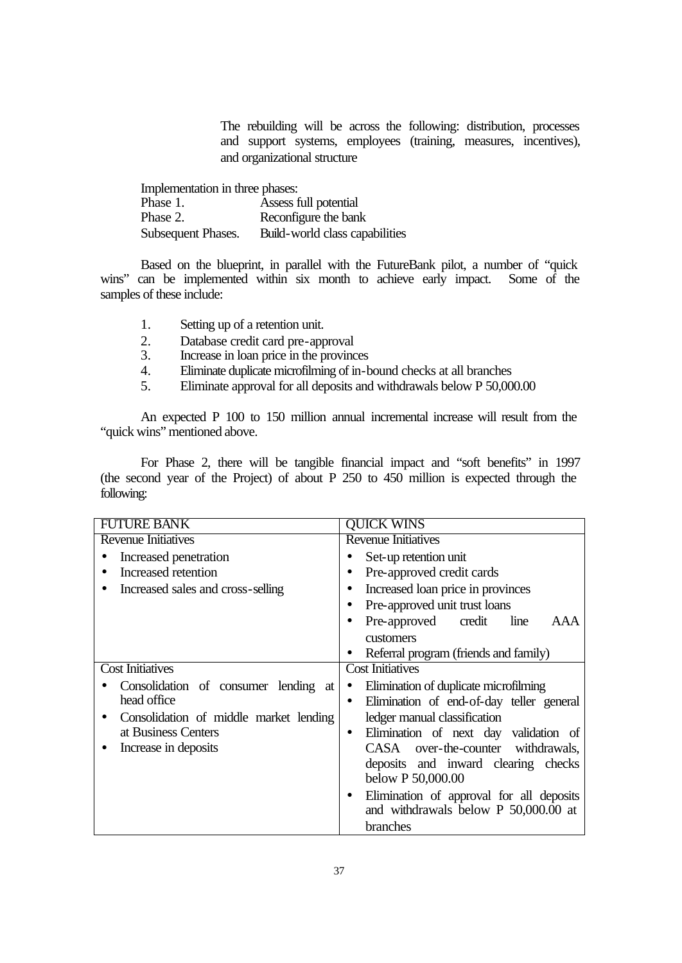The rebuilding will be across the following: distribution, processes and support systems, employees (training, measures, incentives), and organizational structure

| Implementation in three phases: |                                |  |  |
|---------------------------------|--------------------------------|--|--|
| Phase 1.                        | Assess full potential          |  |  |
| Phase 2.                        | Reconfigure the bank           |  |  |
| Subsequent Phases.              | Build-world class capabilities |  |  |

Based on the blueprint, in parallel with the FutureBank pilot, a number of "quick wins" can be implemented within six month to achieve early impact. Some of the samples of these include:

- 1. Setting up of a retention unit.
- 2. Database credit card pre-approval
- 3. Increase in loan price in the provinces
- 4. Eliminate duplicate microfilming of in-bound checks at all branches
- 5. Eliminate approval for all deposits and withdrawals below P 50,000.00

An expected P 100 to 150 million annual incremental increase will result from the "quick wins" mentioned above.

For Phase 2, there will be tangible financial impact and "soft benefits" in 1997 (the second year of the Project) of about P 250 to 450 million is expected through the following:

| <b>FUTURE BANK</b>                     | <b>QUICK WINS</b>                                  |  |  |
|----------------------------------------|----------------------------------------------------|--|--|
| <b>Revenue Initiatives</b>             | <b>Revenue Initiatives</b>                         |  |  |
| Increased penetration                  | Set-up retention unit                              |  |  |
| Increased retention                    | Pre-approved credit cards                          |  |  |
| Increased sales and cross-selling      | Increased loan price in provinces                  |  |  |
|                                        | Pre-approved unit trust loans                      |  |  |
|                                        | Pre-approved credit<br>line<br>AAA                 |  |  |
|                                        | customers                                          |  |  |
|                                        | Referral program (friends and family)              |  |  |
| <b>Cost Initiatives</b>                | <b>Cost Initiatives</b>                            |  |  |
| Consolidation of consumer lending at   | Elimination of duplicate microfilming              |  |  |
| head office                            | Elimination of end-of-day teller general           |  |  |
| Consolidation of middle market lending | ledger manual classification                       |  |  |
| at Business Centers                    | Elimination of next day validation of<br>$\bullet$ |  |  |
| Increase in deposits                   | CASA over-the-counter withdrawals,                 |  |  |
|                                        | deposits and inward clearing checks                |  |  |
|                                        | below P 50,000.00                                  |  |  |
|                                        | Elimination of approval for all deposits           |  |  |
|                                        | and withdrawals below P 50,000.00 at               |  |  |
|                                        | branches                                           |  |  |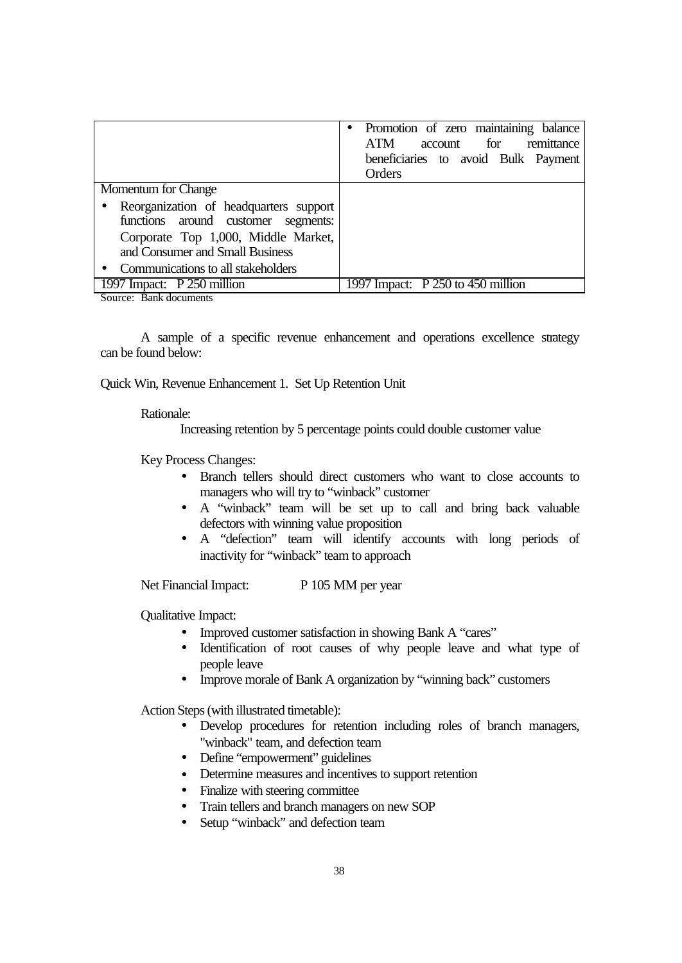|                                                                                                                                                         | • Promotion of zero maintaining balance<br><b>ATM</b><br>account for<br>remittance<br>beneficiaries to avoid Bulk Payment<br>Orders |
|---------------------------------------------------------------------------------------------------------------------------------------------------------|-------------------------------------------------------------------------------------------------------------------------------------|
| Momentum for Change                                                                                                                                     |                                                                                                                                     |
| Reorganization of headquarters support<br>functions around customer segments:<br>Corporate Top 1,000, Middle Market,<br>and Consumer and Small Business |                                                                                                                                     |
| Communications to all stakeholders                                                                                                                      |                                                                                                                                     |
| 1997 Impact: P 250 million                                                                                                                              | 1997 Impact: $P\overline{250}$ to 450 million                                                                                       |

Source: Bank documents

A sample of a specific revenue enhancement and operations excellence strategy can be found below:

Quick Win, Revenue Enhancement 1. Set Up Retention Unit

Rationale:

Increasing retention by 5 percentage points could double customer value

Key Process Changes:

- Branch tellers should direct customers who want to close accounts to managers who will try to "winback" customer
- A "winback" team will be set up to call and bring back valuable defectors with winning value proposition
- A "defection" team will identify accounts with long periods of inactivity for "winback" team to approach

Net Financial Impact: P 105 MM per year

Qualitative Impact:

- Improved customer satisfaction in showing Bank A "cares"
- Identification of root causes of why people leave and what type of people leave
- Improve morale of Bank A organization by "winning back" customers

Action Steps (with illustrated timetable):

- Develop procedures for retention including roles of branch managers, "winback" team, and defection team
- Define "empowerment" guidelines
- Determine measures and incentives to support retention
- Finalize with steering committee
- Train tellers and branch managers on new SOP
- Setup "winback" and defection team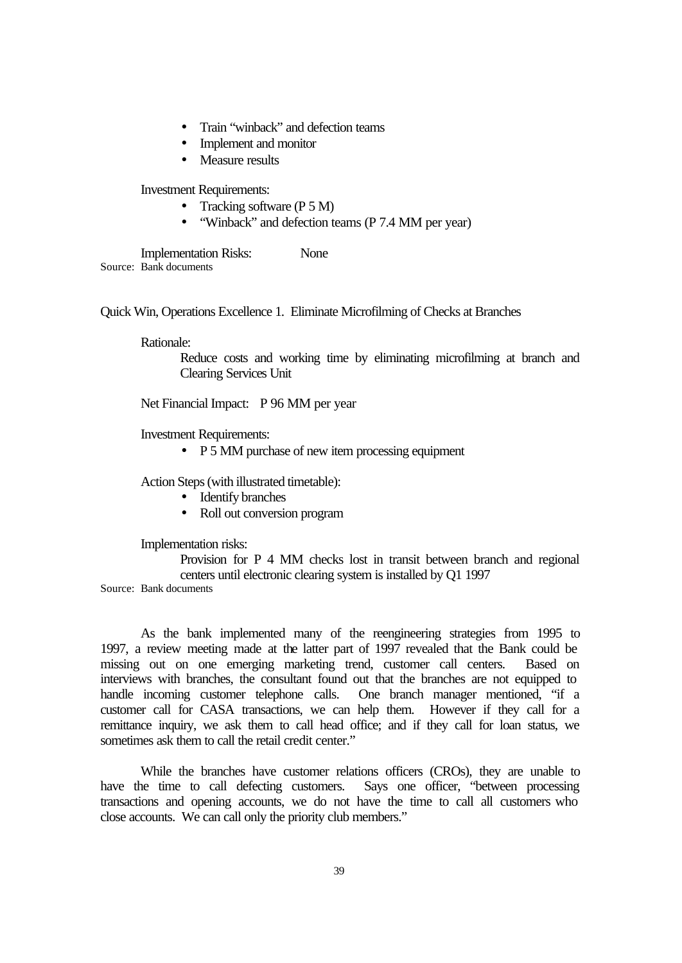- Train "winback" and defection teams
- Implement and monitor
- Measure results

Investment Requirements:

- Tracking software (P 5 M)
- "Winback" and defection teams (P 7.4 MM per year)

Implementation Risks: None Source: Bank documents

Quick Win, Operations Excellence 1. Eliminate Microfilming of Checks at Branches

Rationale:

Reduce costs and working time by eliminating microfilming at branch and Clearing Services Unit

Net Financial Impact: P 96 MM per year

Investment Requirements:

• P 5 MM purchase of new item processing equipment

Action Steps (with illustrated timetable):

- Identify branches
- Roll out conversion program

Implementation risks:

Provision for P 4 MM checks lost in transit between branch and regional centers until electronic clearing system is installed by Q1 1997

Source: Bank documents

As the bank implemented many of the reengineering strategies from 1995 to 1997, a review meeting made at the latter part of 1997 revealed that the Bank could be missing out on one emerging marketing trend, customer call centers. Based on interviews with branches, the consultant found out that the branches are not equipped to handle incoming customer telephone calls. One branch manager mentioned, "if a customer call for CASA transactions, we can help them. However if they call for a remittance inquiry, we ask them to call head office; and if they call for loan status, we sometimes ask them to call the retail credit center."

While the branches have customer relations officers (CROs), they are unable to have the time to call defecting customers. Says one officer, "between processing transactions and opening accounts, we do not have the time to call all customers who close accounts. We can call only the priority club members."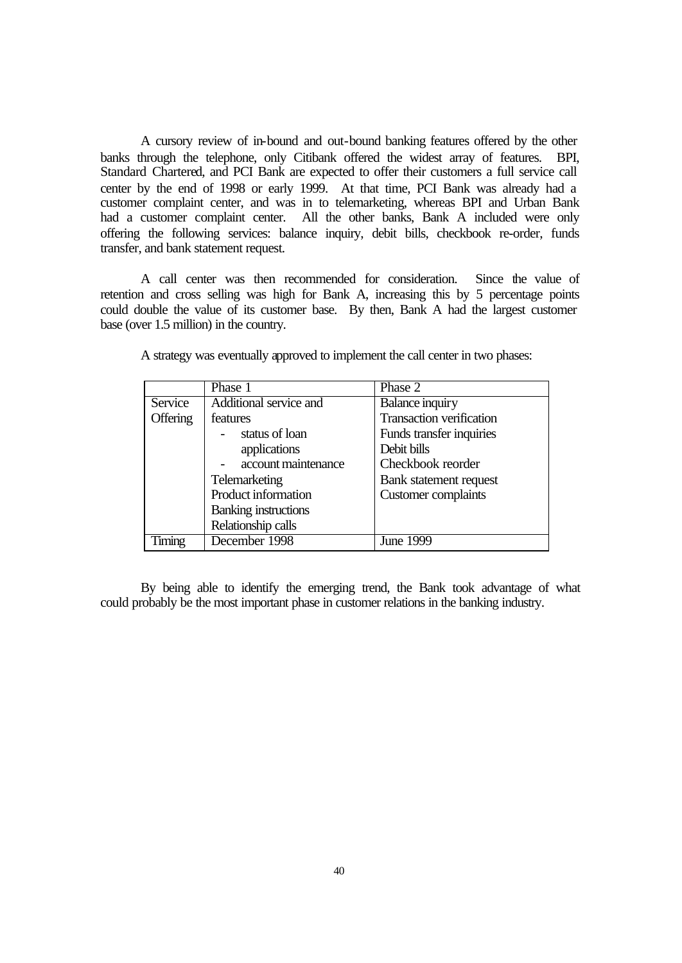A cursory review of in-bound and out-bound banking features offered by the other banks through the telephone, only Citibank offered the widest array of features. BPI, Standard Chartered, and PCI Bank are expected to offer their customers a full service call center by the end of 1998 or early 1999. At that time, PCI Bank was already had a customer complaint center, and was in to telemarketing, whereas BPI and Urban Bank had a customer complaint center. All the other banks, Bank A included were only offering the following services: balance inquiry, debit bills, checkbook re-order, funds transfer, and bank statement request.

A call center was then recommended for consideration. Since the value of retention and cross selling was high for Bank A, increasing this by 5 percentage points could double the value of its customer base. By then, Bank A had the largest customer base (over 1.5 million) in the country.

|          | Phase 1                     | Phase 2                         |
|----------|-----------------------------|---------------------------------|
| Service  | Additional service and      | <b>Balance inquiry</b>          |
| Offering | features                    | <b>Transaction verification</b> |
|          | status of loan              | Funds transfer inquiries        |
|          | applications                | Debit bills                     |
|          | account maintenance         | Checkbook reorder               |
|          | Telemarketing               | Bank statement request          |
|          | Product information         | <b>Customer</b> complaints      |
|          | <b>Banking instructions</b> |                                 |
|          | Relationship calls          |                                 |
| Timing   | December 1998               | <b>June 1999</b>                |

A strategy was eventually approved to implement the call center in two phases:

By being able to identify the emerging trend, the Bank took advantage of what could probably be the most important phase in customer relations in the banking industry.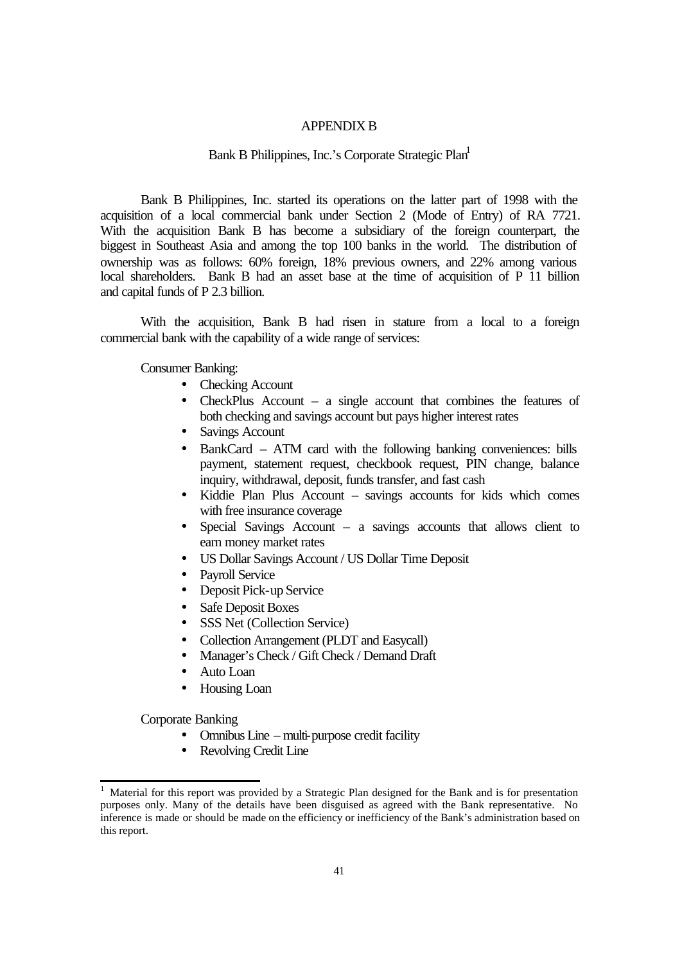## APPENDIX B

#### Bank B Philippines, Inc.'s Corporate Strategic Plan<sup>1</sup>

Bank B Philippines, Inc. started its operations on the latter part of 1998 with the acquisition of a local commercial bank under Section 2 (Mode of Entry) of RA 7721. With the acquisition Bank B has become a subsidiary of the foreign counterpart, the biggest in Southeast Asia and among the top 100 banks in the world. The distribution of ownership was as follows: 60% foreign, 18% previous owners, and 22% among various local shareholders. Bank B had an asset base at the time of acquisition of P 11 billion and capital funds of P 2.3 billion.

With the acquisition, Bank B had risen in stature from a local to a foreign commercial bank with the capability of a wide range of services:

Consumer Banking:

- Checking Account
- CheckPlus Account a single account that combines the features of both checking and savings account but pays higher interest rates
- Savings Account
- BankCard ATM card with the following banking conveniences: bills payment, statement request, checkbook request, PIN change, balance inquiry, withdrawal, deposit, funds transfer, and fast cash
- Kiddie Plan Plus Account savings accounts for kids which comes with free insurance coverage
- Special Savings Account a savings accounts that allows client to earn money market rates
- US Dollar Savings Account / US Dollar Time Deposit
- Payroll Service
- Deposit Pick-up Service
- Safe Deposit Boxes
- SSS Net (Collection Service)
- Collection Arrangement (PLDT and Easycall)
- Manager's Check / Gift Check / Demand Draft
- Auto Loan
- Housing Loan

Corporate Banking

l

- Omnibus Line multi-purpose credit facility
- Revolving Credit Line

<sup>1</sup> Material for this report was provided by a Strategic Plan designed for the Bank and is for presentation purposes only. Many of the details have been disguised as agreed with the Bank representative. No inference is made or should be made on the efficiency or inefficiency of the Bank's administration based on this report.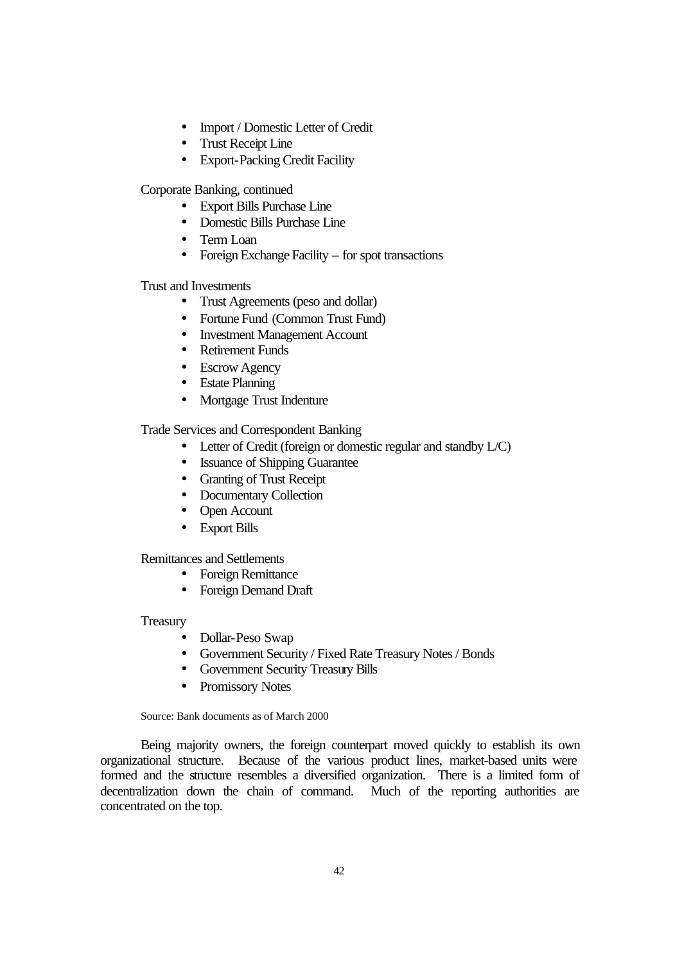- Import / Domestic Letter of Credit
- Trust Receipt Line
- Export-Packing Credit Facility

Corporate Banking, continued

- Export Bills Purchase Line
- Domestic Bills Purchase Line
- Term Loan
- Foreign Exchange Facility for spot transactions

Trust and Investments

- Trust Agreements (peso and dollar)
- Fortune Fund (Common Trust Fund)
- Investment Management Account
- Retirement Funds
- Escrow Agency
- Estate Planning
- Mortgage Trust Indenture

Trade Services and Correspondent Banking

- Letter of Credit (foreign or domestic regular and standby L/C)
- Issuance of Shipping Guarantee
- Granting of Trust Receipt
- Documentary Collection
- Open Account
- Export Bills

Remittances and Settlements

- Foreign Remittance
- Foreign Demand Draft

Treasury

- Dollar-Peso Swap
- Government Security / Fixed Rate Treasury Notes / Bonds
- Government Security Treasury Bills
- Promissory Notes

Source: Bank documents as of March 2000

Being majority owners, the foreign counterpart moved quickly to establish its own organizational structure. Because of the various product lines, market-based units were formed and the structure resembles a diversified organization. There is a limited form of decentralization down the chain of command. Much of the reporting authorities are concentrated on the top.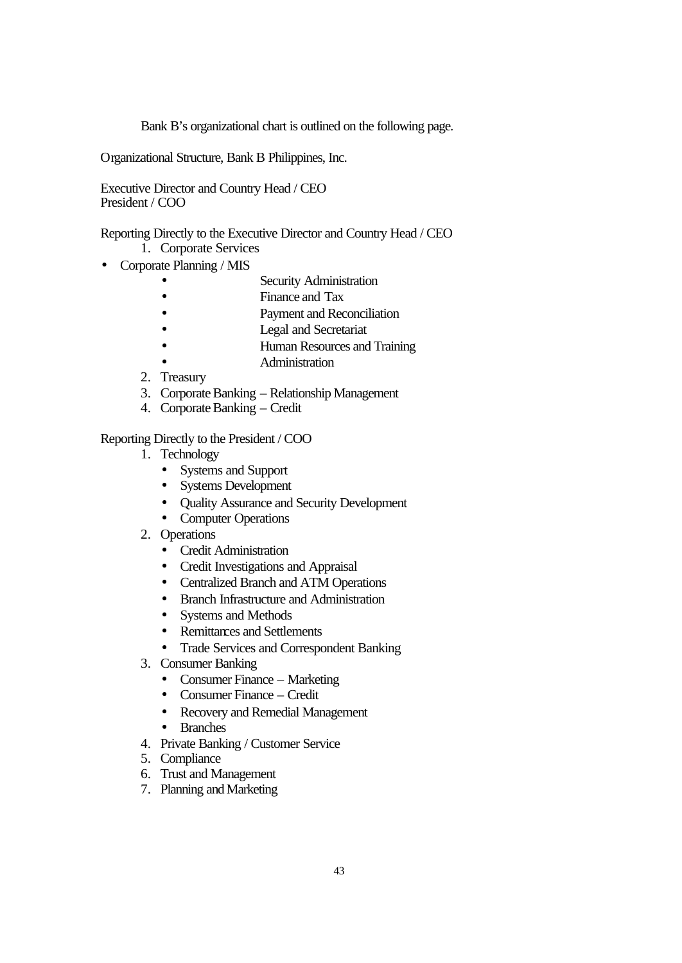Bank B's organizational chart is outlined on the following page.

Organizational Structure, Bank B Philippines, Inc.

Executive Director and Country Head / CEO President / COO

Reporting Directly to the Executive Director and Country Head / CEO 1. Corporate Services

- Corporate Planning / MIS
	- **Security Administration**
	- Finance and Tax
	- **Payment and Reconciliation**
	- **Legal and Secretariat**
	- Human Resources and Training
	- Administration
	- 2. Treasury
	- 3. Corporate Banking Relationship Management
	- 4. Corporate Banking Credit

Reporting Directly to the President / COO

- 1. Technology
	- Systems and Support
	- Systems Development
	- Quality Assurance and Security Development
	- Computer Operations
- 2. Operations
	- Credit Administration
	- Credit Investigations and Appraisal
	- Centralized Branch and ATM Operations
	- Branch Infrastructure and Administration
	- Systems and Methods
	- Remittances and Settlements
	- Trade Services and Correspondent Banking
- 3. Consumer Banking
	- Consumer Finance Marketing
	- Consumer Finance Credit
	- Recovery and Remedial Management
	- Branches
- 4. Private Banking / Customer Service
- 5. Compliance
- 6. Trust and Management
- 7. Planning and Marketing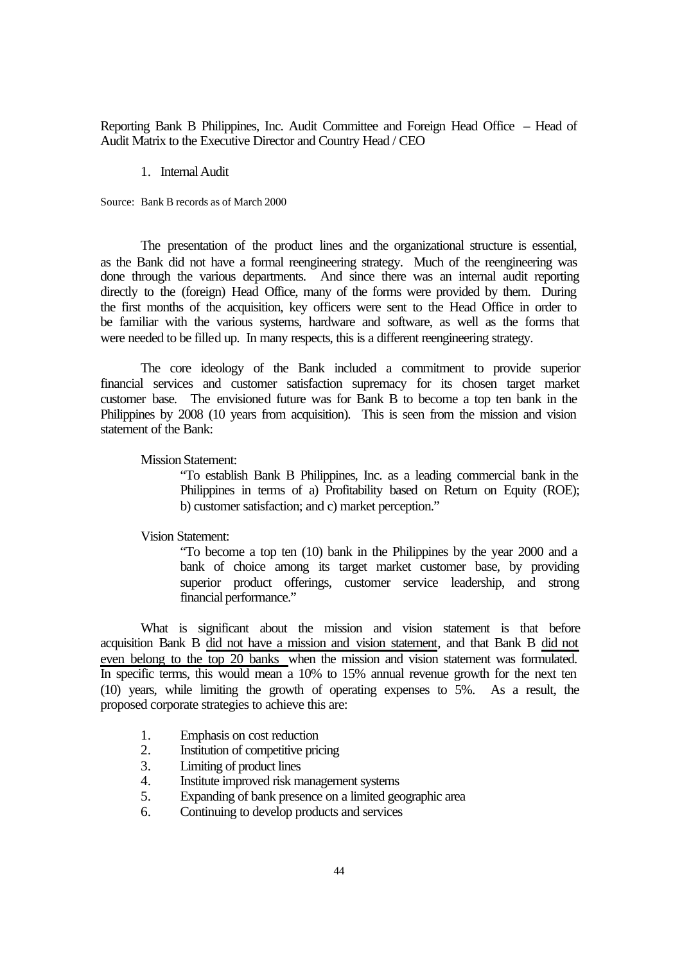Reporting Bank B Philippines, Inc. Audit Committee and Foreign Head Office – Head of Audit Matrix to the Executive Director and Country Head / CEO

#### 1. Internal Audit

Source: Bank B records as of March 2000

The presentation of the product lines and the organizational structure is essential, as the Bank did not have a formal reengineering strategy. Much of the reengineering was done through the various departments. And since there was an internal audit reporting directly to the (foreign) Head Office, many of the forms were provided by them. During the first months of the acquisition, key officers were sent to the Head Office in order to be familiar with the various systems, hardware and software, as well as the forms that were needed to be filled up. In many respects, this is a different reengineering strategy.

The core ideology of the Bank included a commitment to provide superior financial services and customer satisfaction supremacy for its chosen target market customer base. The envisioned future was for Bank B to become a top ten bank in the Philippines by 2008 (10 years from acquisition). This is seen from the mission and vision statement of the Bank:

Mission Statement:

"To establish Bank B Philippines, Inc. as a leading commercial bank in the Philippines in terms of a) Profitability based on Return on Equity (ROE); b) customer satisfaction; and c) market perception."

#### Vision Statement:

"To become a top ten (10) bank in the Philippines by the year 2000 and a bank of choice among its target market customer base, by providing superior product offerings, customer service leadership, and strong financial performance."

What is significant about the mission and vision statement is that before acquisition Bank B did not have a mission and vision statement, and that Bank B did not even belong to the top 20 banks when the mission and vision statement was formulated. In specific terms, this would mean a 10% to 15% annual revenue growth for the next ten (10) years, while limiting the growth of operating expenses to 5%. As a result, the proposed corporate strategies to achieve this are:

- 1. Emphasis on cost reduction<br>2. Institution of competitive price
- 2. Institution of competitive pricing
- 3. Limiting of product lines
- 4. Institute improved risk management systems
- 5. Expanding of bank presence on a limited geographic area
- 6. Continuing to develop products and services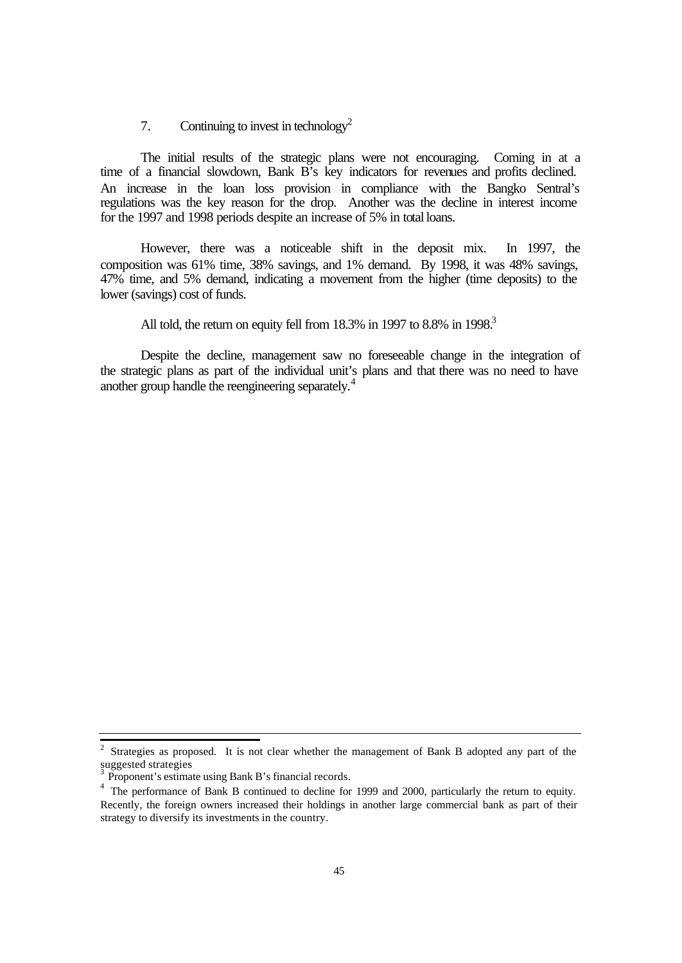# 7. Continuing to invest in technology<sup>2</sup>

The initial results of the strategic plans were not encouraging. Coming in at a time of a financial slowdown, Bank B's key indicators for revenues and profits declined. An increase in the loan loss provision in compliance with the Bangko Sentral's regulations was the key reason for the drop. Another was the decline in interest income for the 1997 and 1998 periods despite an increase of 5% in total loans.

However, there was a noticeable shift in the deposit mix. In 1997, the composition was 61% time, 38% savings, and 1% demand. By 1998, it was 48% savings, 47% time, and 5% demand, indicating a movement from the higher (time deposits) to the lower (savings) cost of funds.

All told, the return on equity fell from  $18.3\%$  in  $1997$  to  $8.8\%$  in  $1998<sup>3</sup>$ 

Despite the decline, management saw no foreseeable change in the integration of the strategic plans as part of the individual unit's plans and that there was no need to have another group handle the reengineering separately.<sup>4</sup>

<sup>&</sup>lt;sup>2</sup> Strategies as proposed. It is not clear whether the management of Bank B adopted any part of the suggested strategies

Proponent's estimate using Bank B's financial records.

<sup>&</sup>lt;sup>4</sup> The performance of Bank B continued to decline for 1999 and 2000, particularly the return to equity. Recently, the foreign owners increased their holdings in another large commercial bank as part of their strategy to diversify its investments in the country.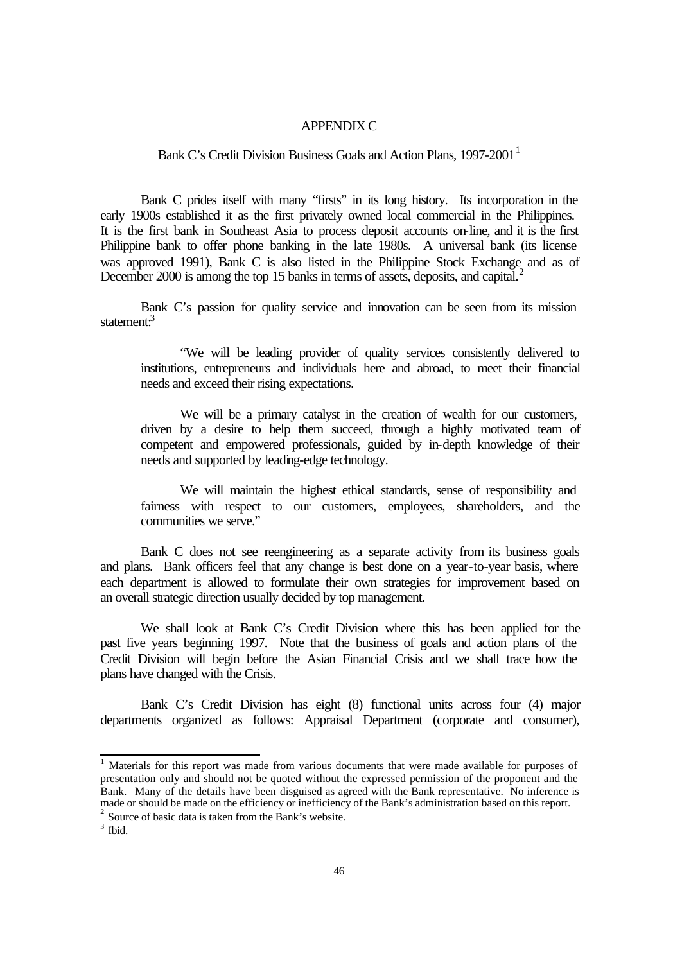### APPENDIX C

Bank C's Credit Division Business Goals and Action Plans, 1997-2001<sup>1</sup>

Bank C prides itself with many "firsts" in its long history. Its incorporation in the early 1900s established it as the first privately owned local commercial in the Philippines. It is the first bank in Southeast Asia to process deposit accounts on-line, and it is the first Philippine bank to offer phone banking in the late 1980s. A universal bank (its license was approved 1991), Bank C is also listed in the Philippine Stock Exchange and as of December 2000 is among the top 15 banks in terms of assets, deposits, and capital.<sup>2</sup>

Bank C's passion for quality service and innovation can be seen from its mission statement<sup>3</sup>

"We will be leading provider of quality services consistently delivered to institutions, entrepreneurs and individuals here and abroad, to meet their financial needs and exceed their rising expectations.

We will be a primary catalyst in the creation of wealth for our customers, driven by a desire to help them succeed, through a highly motivated team of competent and empowered professionals, guided by in-depth knowledge of their needs and supported by leading-edge technology.

We will maintain the highest ethical standards, sense of responsibility and fairness with respect to our customers, employees, shareholders, and the communities we serve."

Bank C does not see reengineering as a separate activity from its business goals and plans. Bank officers feel that any change is best done on a year-to-year basis, where each department is allowed to formulate their own strategies for improvement based on an overall strategic direction usually decided by top management.

We shall look at Bank C's Credit Division where this has been applied for the past five years beginning 1997. Note that the business of goals and action plans of the Credit Division will begin before the Asian Financial Crisis and we shall trace how the plans have changed with the Crisis.

Bank C's Credit Division has eight (8) functional units across four (4) major departments organized as follows: Appraisal Department (corporate and consumer),

 1 Materials for this report was made from various documents that were made available for purposes of presentation only and should not be quoted without the expressed permission of the proponent and the Bank. Many of the details have been disguised as agreed with the Bank representative. No inference is made or should be made on the efficiency or inefficiency of the Bank's administration based on this report. 2 Source of basic data is taken from the Bank's website.

 $3$  Ibid.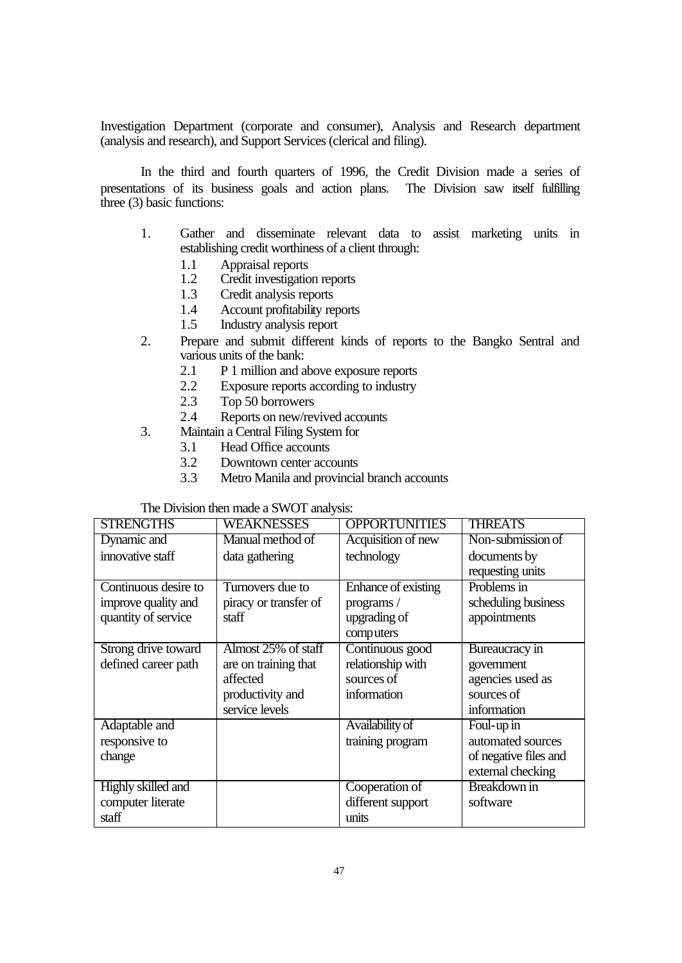Investigation Department (corporate and consumer), Analysis and Research department (analysis and research), and Support Services (clerical and filing).

In the third and fourth quarters of 1996, the Credit Division made a series of presentations of its business goals and action plans. The Division saw itself fulfilling three (3) basic functions:

- 1. Gather and disseminate relevant data to assist marketing units in establishing credit worthiness of a client through:
	- 1.1 Appraisal reports
	- 1.2 Credit investigation reports
	- 1.3 Credit analysis reports
	- 1.4 Account profitability reports
	- 1.5 Industry analysis report
- 2. Prepare and submit different kinds of reports to the Bangko Sentral and various units of the bank:
	- 2.1 P 1 million and above exposure reports
	- 2.2 Exposure reports according to industry
	- 2.3 Top 50 borrowers
	- 2.4 Reports on new/revived accounts
- 3. Maintain a Central Filing System for
	- 3.1 Head Office accounts
	- 3.2 Downtown center accounts
	- 3.3 Metro Manila and provincial branch accounts

## The Division then made a SWOT analysis:

| <b>STRENGTHS</b>     | <b>WEAKNESSES</b>     | <b>OPPORTUNITIES</b> | <b>THREATS</b>        |
|----------------------|-----------------------|----------------------|-----------------------|
| Dynamic and          | Manual method of      | Acquisition of new   | Non-submission of     |
| innovative staff     | data gathering        | technology           | documents by          |
|                      |                       |                      | requesting units      |
| Continuous desire to | Turnovers due to      | Enhance of existing  | Problems in           |
| improve quality and  | piracy or transfer of | programs/            | scheduling business   |
| quantity of service  | staff                 | upgrading of         | appointments          |
|                      |                       | computers            |                       |
| Strong drive toward  | Almost 25% of staff   | Continuous good      | Bureaucracy in        |
| defined career path  | are on training that  | relationship with    | government            |
|                      | affected              | sources of           | agencies used as      |
|                      | productivity and      | information          | sources of            |
|                      | service levels        |                      | information           |
| Adaptable and        |                       | Availability of      | Foul-up in            |
| responsive to        |                       | training program     | automated sources     |
| change               |                       |                      | of negative files and |
|                      |                       |                      | external checking     |
| Highly skilled and   |                       | Cooperation of       | Breakdown in          |
| computer literate    |                       | different support    | software              |
| staff                |                       | units                |                       |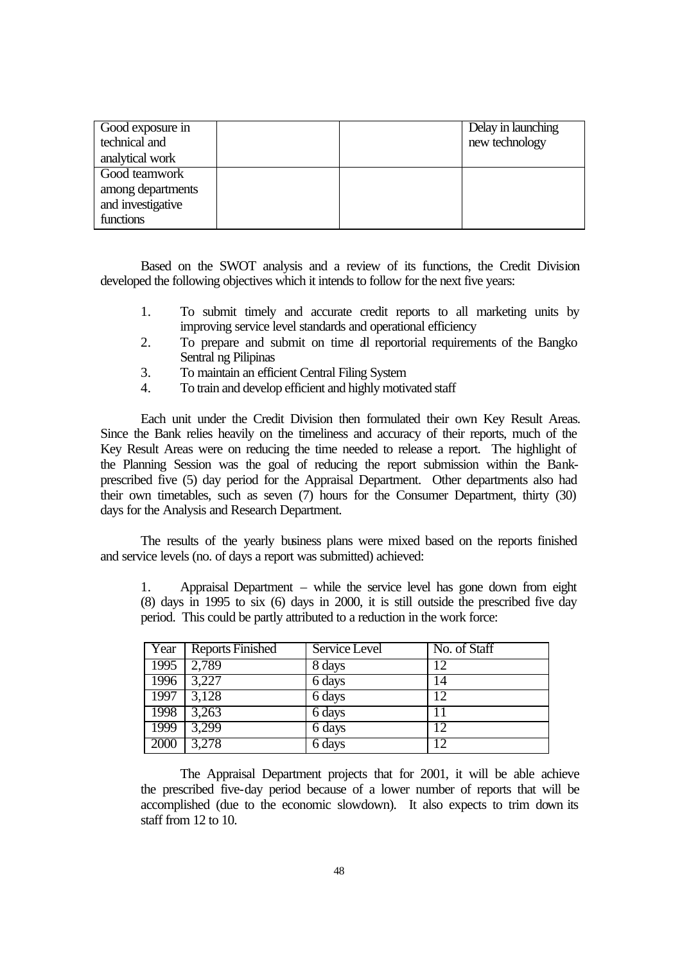| Good exposure in<br>technical and |  | Delay in launching<br>new technology |
|-----------------------------------|--|--------------------------------------|
| analytical work                   |  |                                      |
| Good teamwork                     |  |                                      |
| among departments                 |  |                                      |
| and investigative                 |  |                                      |
| functions                         |  |                                      |

Based on the SWOT analysis and a review of its functions, the Credit Division developed the following objectives which it intends to follow for the next five years:

- 1. To submit timely and accurate credit reports to all marketing units by improving service level standards and operational efficiency
- 2. To prepare and submit on time all reportorial requirements of the Bangko Sentral ng Pilipinas
- 3. To maintain an efficient Central Filing System
- 4. To train and develop efficient and highly motivated staff

Each unit under the Credit Division then formulated their own Key Result Areas. Since the Bank relies heavily on the timeliness and accuracy of their reports, much of the Key Result Areas were on reducing the time needed to release a report. The highlight of the Planning Session was the goal of reducing the report submission within the Bankprescribed five (5) day period for the Appraisal Department. Other departments also had their own timetables, such as seven (7) hours for the Consumer Department, thirty (30) days for the Analysis and Research Department.

The results of the yearly business plans were mixed based on the reports finished and service levels (no. of days a report was submitted) achieved:

1. Appraisal Department – while the service level has gone down from eight (8) days in 1995 to six (6) days in 2000, it is still outside the prescribed five day period. This could be partly attributed to a reduction in the work force:

| Year | <b>Reports Finished</b> | Service Level | No. of Staff |
|------|-------------------------|---------------|--------------|
| 1995 | 2,789                   | 8 days        | 12           |
| 1996 | 3,227                   | 6 days        | 14           |
| 1997 | 3,128                   | 6 days        | 12           |
| 1998 | 3,263                   | 6 days        |              |
| 1999 | 3,299                   | 6 days        | 12           |
| 2000 | 3,278                   | 6 days        | 12           |

The Appraisal Department projects that for 2001, it will be able achieve the prescribed five-day period because of a lower number of reports that will be accomplished (due to the economic slowdown). It also expects to trim down its staff from 12 to 10.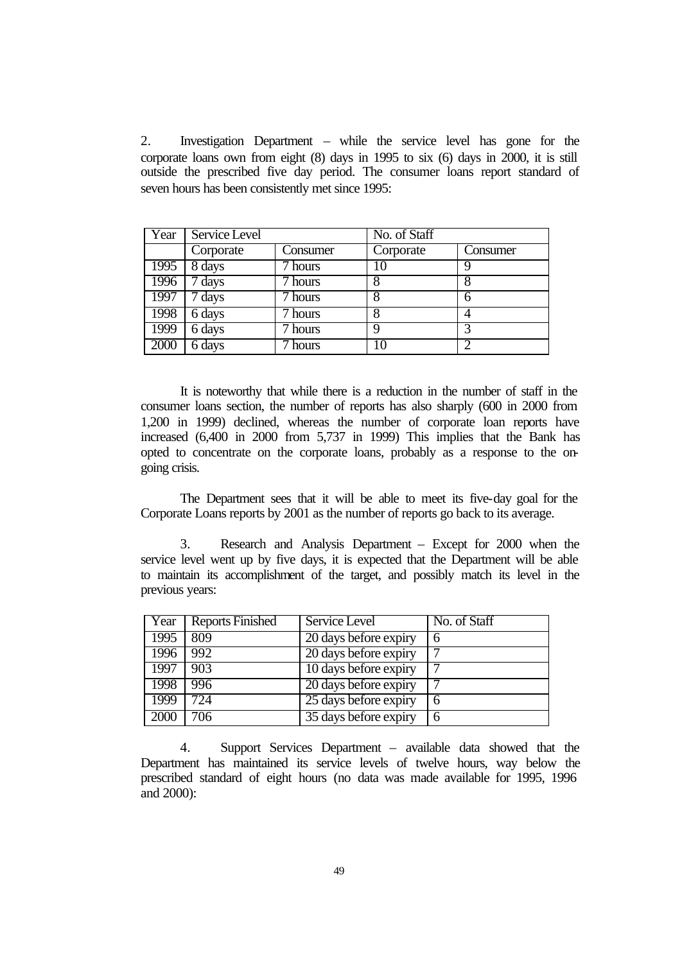2. Investigation Department – while the service level has gone for the corporate loans own from eight (8) days in 1995 to six (6) days in 2000, it is still outside the prescribed five day period. The consumer loans report standard of seven hours has been consistently met since 1995:

| Year | Service Level |          | No. of Staff |          |
|------|---------------|----------|--------------|----------|
|      | Corporate     | Consumer | Corporate    | Consumer |
| 1995 | 8 days        | 7 hours  | 10           | q        |
| 1996 | 7 days        | 7 hours  |              |          |
| 1997 | 7 days        | 7 hours  |              | 6        |
| 1998 | 6 days        | hours    | 8            | 4        |
| 1999 | 6 days        | hours    | 9            | 3        |
| 2000 | 6 days        | hours    | 10           | ာ        |

It is noteworthy that while there is a reduction in the number of staff in the consumer loans section, the number of reports has also sharply (600 in 2000 from 1,200 in 1999) declined, whereas the number of corporate loan reports have increased (6,400 in 2000 from 5,737 in 1999) This implies that the Bank has opted to concentrate on the corporate loans, probably as a response to the ongoing crisis.

The Department sees that it will be able to meet its five-day goal for the Corporate Loans reports by 2001 as the number of reports go back to its average.

3. Research and Analysis Department – Except for 2000 when the service level went up by five days, it is expected that the Department will be able to maintain its accomplishment of the target, and possibly match its level in the previous years:

| Year | Reports Finished | Service Level         | No. of Staff |
|------|------------------|-----------------------|--------------|
| 1995 | 809              | 20 days before expiry | 6            |
| 1996 | 992              | 20 days before expiry |              |
| 1997 | $-903$           | 10 days before expiry |              |
| 1998 | 996              | 20 days before expiry |              |
| 1999 | 724              | 25 days before expiry | 6            |
| 2000 | 706              | 35 days before expiry | 6            |

4. Support Services Department – available data showed that the Department has maintained its service levels of twelve hours, way below the prescribed standard of eight hours (no data was made available for 1995, 1996 and 2000):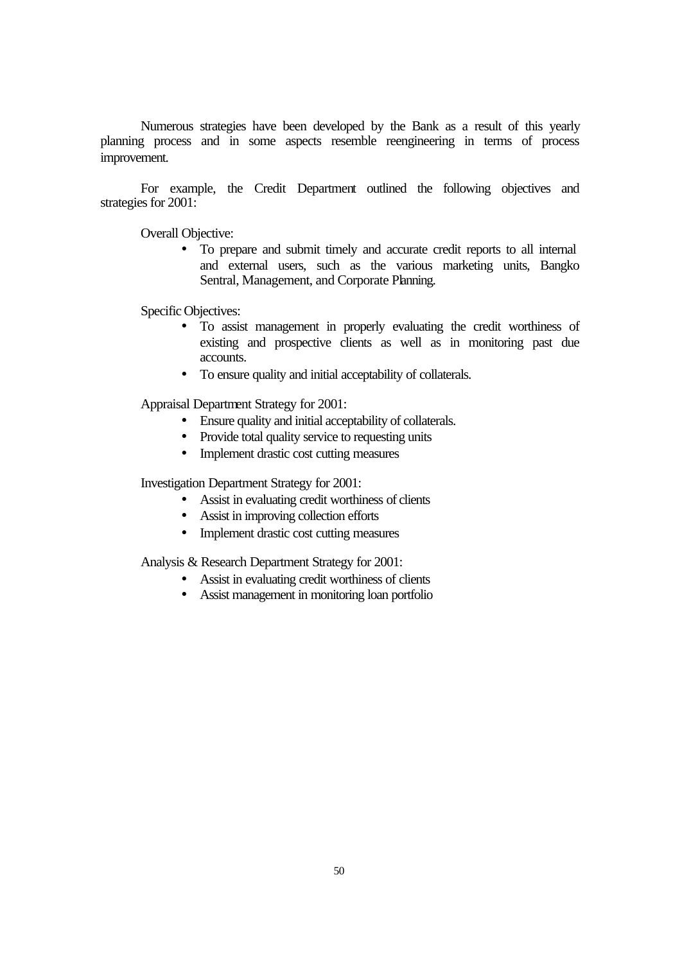Numerous strategies have been developed by the Bank as a result of this yearly planning process and in some aspects resemble reengineering in terms of process improvement.

For example, the Credit Department outlined the following objectives and strategies for 2001:

Overall Objective:

• To prepare and submit timely and accurate credit reports to all internal and external users, such as the various marketing units, Bangko Sentral, Management, and Corporate Planning.

Specific Objectives:

- To assist management in properly evaluating the credit worthiness of existing and prospective clients as well as in monitoring past due accounts.
- To ensure quality and initial acceptability of collaterals.

Appraisal Department Strategy for 2001:

- Ensure quality and initial acceptability of collaterals.
- Provide total quality service to requesting units
- Implement drastic cost cutting measures

Investigation Department Strategy for 2001:

- Assist in evaluating credit worthiness of clients
- Assist in improving collection efforts
- Implement drastic cost cutting measures

Analysis & Research Department Strategy for 2001:

- Assist in evaluating credit worthiness of clients
- Assist management in monitoring loan portfolio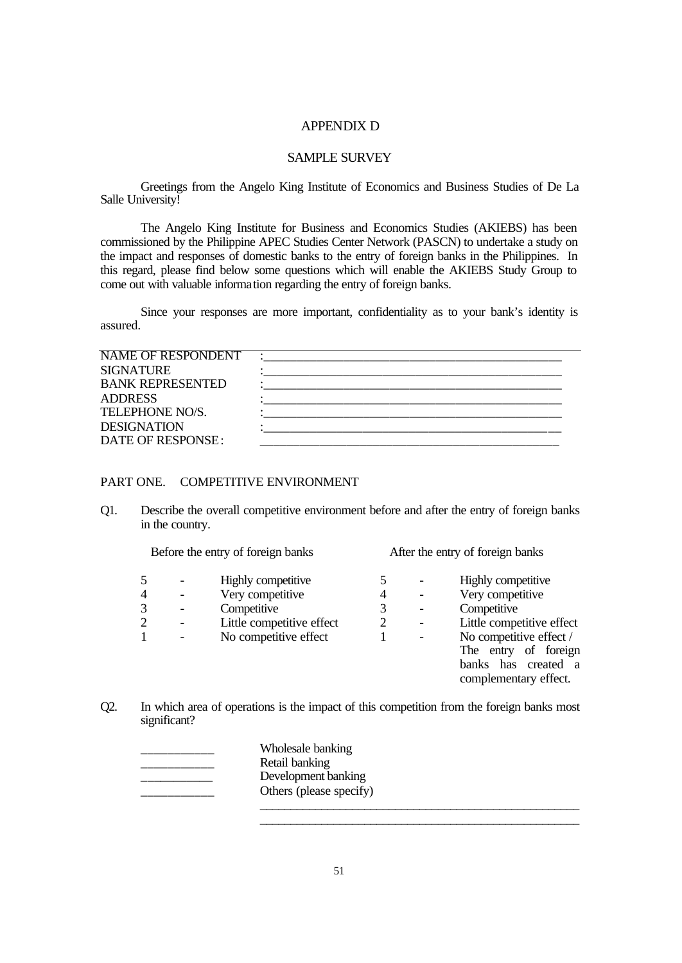## APPENDIX D

#### SAMPLE SURVEY

Greetings from the Angelo King Institute of Economics and Business Studies of De La Salle University!

The Angelo King Institute for Business and Economics Studies (AKIEBS) has been commissioned by the Philippine APEC Studies Center Network (PASCN) to undertake a study on the impact and responses of domestic banks to the entry of foreign banks in the Philippines. In this regard, please find below some questions which will enable the AKIEBS Study Group to come out with valuable information regarding the entry of foreign banks.

Since your responses are more important, confidentiality as to your bank's identity is assured.

| NAME OF RESPONDENT       |  |
|--------------------------|--|
| <b>SIGNATURE</b>         |  |
| <b>BANK REPRESENTED</b>  |  |
| <b>ADDRESS</b>           |  |
| <b>TELEPHONE NO/S.</b>   |  |
| <b>DESIGNATION</b>       |  |
| <b>DATE OF RESPONSE:</b> |  |
|                          |  |

## PART ONE. COMPETITIVE ENVIRONMENT

Q1. Describe the overall competitive environment before and after the entry of foreign banks in the country.

|                | Before the entry of foreign banks           |                                                       |   | After the entry of foreign banks                                                                |
|----------------|---------------------------------------------|-------------------------------------------------------|---|-------------------------------------------------------------------------------------------------|
| 5<br>4<br>3    | $\qquad \qquad$<br>$\overline{\phantom{0}}$ | Highly competitive<br>Very competitive<br>Competitive | 4 | Highly competitive<br>Very competitive<br>Competitive                                           |
| $\overline{2}$ |                                             | Little competitive effect                             |   | Little competitive effect                                                                       |
|                |                                             | No competitive effect                                 |   | No competitive effect /<br>The entry of foreign<br>banks has created a<br>complementary effect. |

Q2. In which area of operations is the impact of this competition from the foreign banks most significant?

| Wholesale banking       |
|-------------------------|
| Retail banking          |
| Development banking     |
| Others (please specify) |
|                         |

\_\_\_\_\_\_\_\_\_\_\_\_\_\_\_\_\_\_\_\_\_\_\_\_\_\_\_\_\_\_\_\_\_\_\_\_\_\_\_\_\_\_\_\_\_\_\_\_\_\_\_\_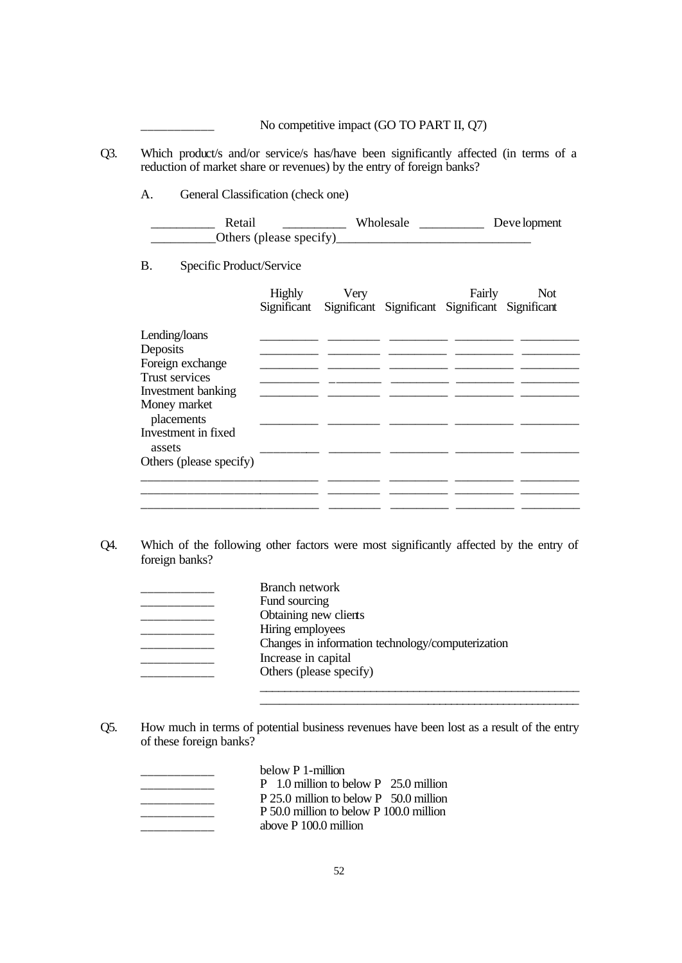No competitive impact (GO TO PART II, Q7) Q3. Which product/s and/or service/s has/have been significantly affected (in terms of a reduction of market share or revenues) by the entry of foreign banks? A. General Classification (check one) Retail \_\_\_\_\_\_\_\_\_\_\_\_ Wholesale \_\_\_\_\_\_\_\_\_\_\_\_ Deve lopment \_\_\_\_\_\_\_\_\_\_Others (please specify)\_\_\_\_\_\_\_\_\_\_\_\_\_\_\_\_\_\_\_\_\_\_\_\_\_\_\_\_\_\_ B. Specific Product/Service Highly Very Fairly Not Significant Significant Significant Significant Significant Lending/loans  $\qquad \qquad$ Deposits \_\_\_\_\_\_\_\_\_ \_\_\_\_\_\_\_\_ \_\_\_\_\_\_\_\_\_ \_\_\_\_\_\_\_\_\_ \_\_\_\_\_\_\_\_\_ Foreign exchange \_\_\_\_\_\_\_\_\_ \_\_\_\_\_\_\_\_ \_\_\_\_\_\_\_\_\_ \_\_\_\_\_\_\_\_\_ \_\_\_\_\_\_\_\_\_ Trust services \_\_\_\_\_\_\_\_\_ \_\_\_\_\_\_\_\_ \_\_\_\_\_\_\_\_\_ \_\_\_\_\_\_\_\_\_ \_\_\_\_\_\_\_\_\_ Investment banking \_\_\_\_\_\_\_\_\_ \_\_\_\_\_\_\_\_ \_\_\_\_\_\_\_\_\_ \_\_\_\_\_\_\_\_\_ \_\_\_\_\_\_\_\_\_ Money market placements Investment in fixed  $\text{asserts}$   $\frac{1}{\text{---}}$   $\frac{1}{\text{---}}$   $\frac{1}{\text{---}}$   $\frac{1}{\text{---}}$   $\frac{1}{\text{---}}$   $\frac{1}{\text{---}}$ Others (please specify)

Q4. Which of the following other factors were most significantly affected by the entry of foreign banks?

\_\_\_\_\_\_\_\_\_\_\_\_\_\_\_\_\_\_\_\_\_\_\_\_\_\_\_ \_\_\_\_\_\_\_\_ \_\_\_\_\_\_\_\_\_ \_\_\_\_\_\_\_\_\_ \_\_\_\_\_\_\_\_\_

\_\_\_\_\_\_\_\_\_\_\_\_\_\_\_\_\_\_\_\_\_\_\_\_\_\_\_\_\_\_\_\_\_\_\_\_\_\_\_\_\_\_\_\_\_\_\_\_\_\_\_\_

\_\_\_\_\_\_\_\_\_\_\_\_\_\_\_\_\_\_\_\_\_\_\_\_\_\_\_ \_\_\_\_\_\_\_\_ \_\_\_\_\_\_\_\_\_ \_\_\_\_\_\_\_\_\_ \_\_\_\_\_\_\_\_\_ \_\_\_\_\_\_\_\_\_\_\_\_\_\_\_\_\_\_\_\_\_\_\_\_\_\_\_ \_\_\_\_\_\_\_\_ \_\_\_\_\_\_\_\_\_ \_\_\_\_\_\_\_\_\_ \_\_\_\_\_\_\_\_\_

| Branch network                                    |
|---------------------------------------------------|
| Fund sourcing                                     |
| Obtaining new clients                             |
| Hiring employees                                  |
| Changes in information technology/computerization |
| Increase in capital                               |
| Others (please specify)                           |
|                                                   |

Q5. How much in terms of potential business revenues have been lost as a result of the entry of these foreign banks?

below P 1-million P 1.0 million to below P 25.0 million P 25.0 million to below P 50.0 million P 50.0 million to below P 100.0 million \_\_\_\_\_\_\_\_\_\_\_ above P 100.0 million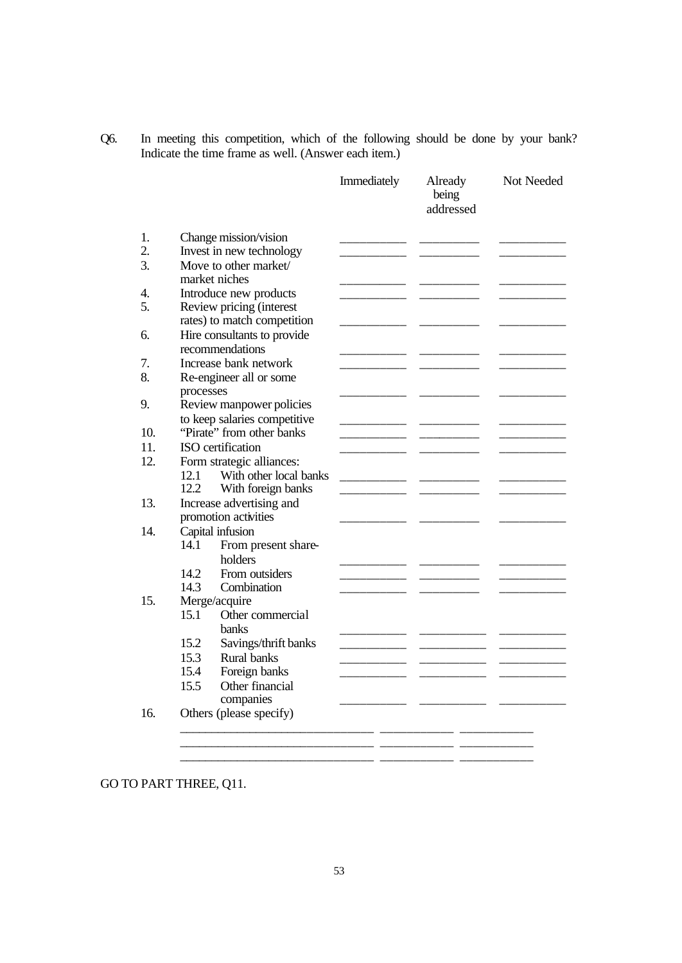Q6. In meeting this competition, which of the following should be done by your bank? Indicate the time frame as well. (Answer each item.)

|                  |                              | Immediately | Already<br>being<br>addressed | Not Needed |
|------------------|------------------------------|-------------|-------------------------------|------------|
|                  | Change mission/vision        |             |                               |            |
|                  | Invest in new technology     |             |                               |            |
|                  | Move to other market/        |             |                               |            |
|                  | market niches                |             |                               |            |
|                  | Introduce new products       |             |                               |            |
|                  | Review pricing (interest     |             |                               |            |
|                  | rates) to match competition  |             |                               |            |
|                  | Hire consultants to provide  |             |                               |            |
|                  | recommendations              |             |                               |            |
|                  | Increase bank network        |             |                               |            |
|                  | Re-engineer all or some      |             |                               |            |
| processes        |                              |             |                               |            |
|                  | Review manpower policies     |             |                               |            |
|                  | to keep salaries competitive |             |                               |            |
|                  | "Pirate" from other banks    |             |                               |            |
|                  | ISO certification            |             |                               |            |
|                  | Form strategic alliances:    |             |                               |            |
| 12.1             | With other local banks       |             |                               |            |
| 12.2             | With foreign banks           |             |                               |            |
|                  | Increase advertising and     |             |                               |            |
|                  | promotion activities         |             |                               |            |
| Capital infusion |                              |             |                               |            |
| 14.1             | From present share-          |             |                               |            |
|                  | holders                      |             |                               |            |
| 14.2             | From outsiders               |             |                               |            |
| 14.3             | Combination                  |             |                               |            |
|                  | Merge/acquire                |             |                               |            |
| 15.1             | Other commercial             |             |                               |            |
|                  | <b>banks</b>                 |             |                               |            |
| 15.2             | Savings/thrift banks         |             |                               |            |
| 15.3             | <b>Rural banks</b>           |             |                               |            |
| 15.4             | Foreign banks                |             |                               |            |
| 15.5             | Other financial              |             |                               |            |
|                  | companies                    |             |                               |            |
|                  | Others (please specify)      |             |                               |            |

GO TO PART THREE, Q11.

\_\_\_\_\_\_\_\_\_\_\_\_\_\_\_\_\_\_\_\_\_\_\_\_\_\_\_\_\_\_ \_\_\_\_\_\_\_\_\_\_\_ \_\_\_\_\_\_\_\_\_\_\_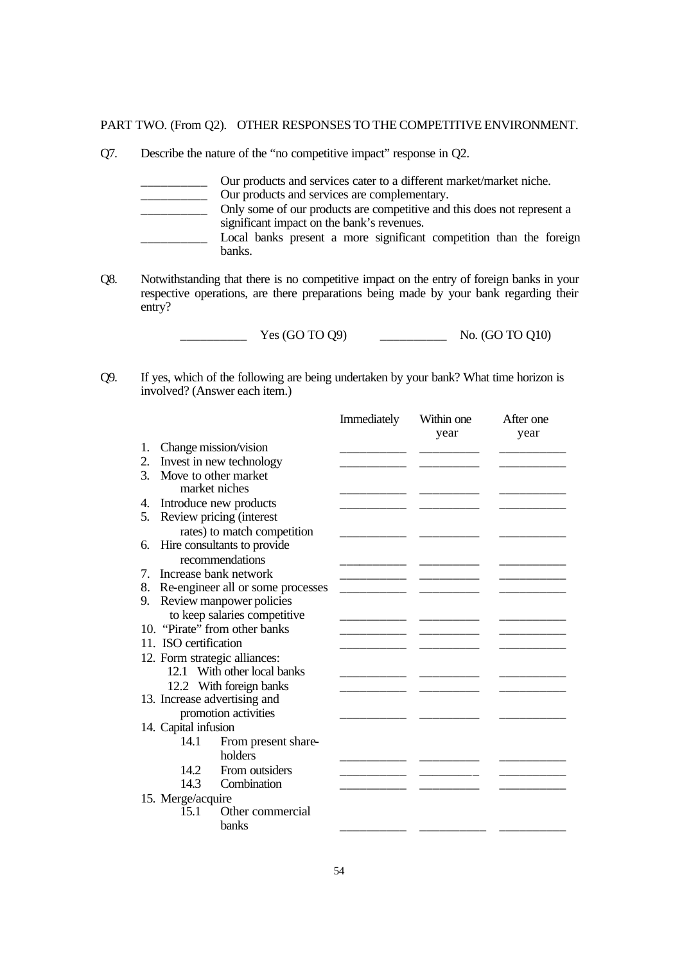PART TWO. (From Q2). OTHER RESPONSES TO THE COMPETITIVE ENVIRONMENT.

Q7. Describe the nature of the "no competitive impact" response in Q2.

\_\_\_\_\_\_\_\_\_\_ Our products and services cater to a different market/market niche. Our products and services are complementary. \_\_\_\_\_\_\_\_\_\_ Only some of our products are competitive and this does not represent a significant impact on the bank's revenues. \_\_\_\_\_\_\_\_\_\_ Local banks present a more significant competition than the foreign banks.

Q8. Notwithstanding that there is no competitive impact on the entry of foreign banks in your respective operations, are there preparations being made by your bank regarding their entry?

 $\frac{\text{Yes (GO TO Q9)}}{\text{Yes (GO TO Q9)}}$  No. (GO TO Q10)

Q9. If yes, which of the following are being undertaken by your bank? What time horizon is involved? (Answer each item.)

|    |                       |                                      | Immediately | Within one<br>year | After one<br>year |
|----|-----------------------|--------------------------------------|-------------|--------------------|-------------------|
| 1. | Change mission/vision |                                      |             |                    |                   |
| 2. |                       | Invest in new technology             |             |                    |                   |
| 3. | Move to other market  |                                      |             |                    |                   |
|    |                       | market niches                        |             |                    |                   |
| 4. |                       | Introduce new products               |             |                    |                   |
| 5. |                       | Review pricing (interest             |             |                    |                   |
|    |                       | rates) to match competition          |             |                    |                   |
| 6. |                       | Hire consultants to provide          |             |                    |                   |
|    |                       | recommendations                      |             |                    |                   |
| 7. |                       | Increase bank network                |             |                    |                   |
|    |                       | 8. Re-engineer all or some processes |             |                    |                   |
| 9. |                       | Review manpower policies             |             |                    |                   |
|    |                       | to keep salaries competitive         |             |                    |                   |
|    |                       | 10. "Pirate" from other banks        |             |                    |                   |
|    | 11. ISO certification |                                      |             |                    |                   |
|    |                       | 12. Form strategic alliances:        |             |                    |                   |
|    |                       | 12.1 With other local banks          |             |                    |                   |
|    |                       | 12.2 With foreign banks              |             |                    |                   |
|    |                       | 13. Increase advertising and         |             |                    |                   |
|    |                       | promotion activities                 |             |                    |                   |
|    | 14. Capital infusion  |                                      |             |                    |                   |
|    | 14.1                  | From present share-                  |             |                    |                   |
|    |                       | holders                              |             |                    |                   |
|    | 142.                  | From outsiders                       |             |                    |                   |
|    | 14.3                  | Combination                          |             |                    |                   |
|    | 15. Merge/acquire     |                                      |             |                    |                   |
|    | 15.1                  | Other commercial                     |             |                    |                   |
|    |                       | <b>banks</b>                         |             |                    |                   |
|    |                       |                                      |             |                    |                   |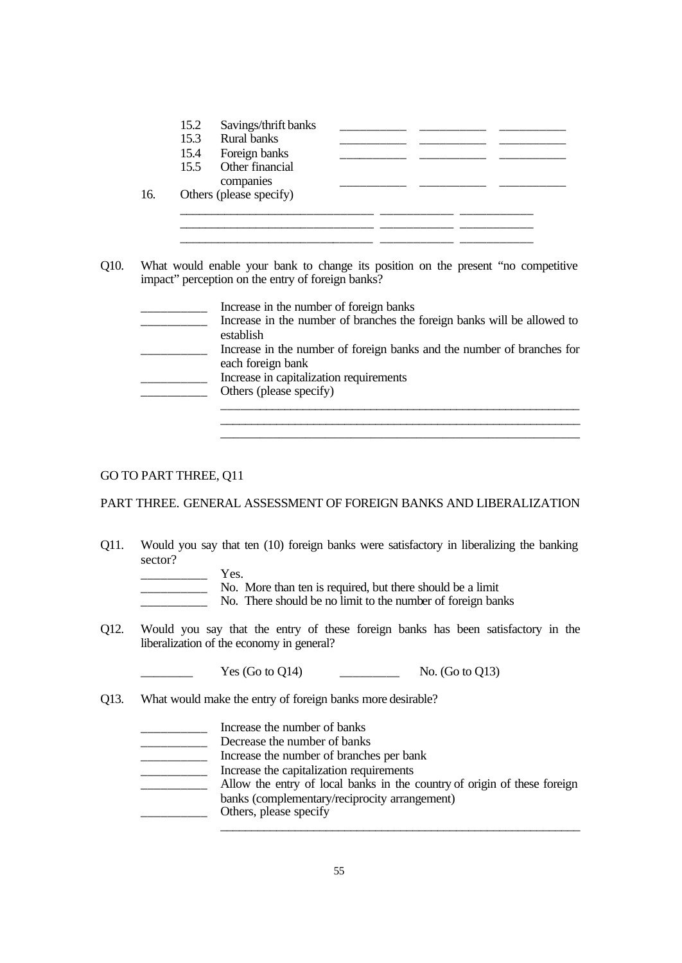| 15.4 |                                   |  |  |
|------|-----------------------------------|--|--|
|      | Foreign banks                     |  |  |
|      | 15.5 Other financial<br>companies |  |  |
|      | Others (please specify)           |  |  |

Q10. What would enable your bank to change its position on the present "no competitive impact" perception on the entry of foreign banks?

| Increase in the number of foreign banks                                 |
|-------------------------------------------------------------------------|
| Increase in the number of branches the foreign banks will be allowed to |
| establish                                                               |
| Increase in the number of foreign banks and the number of branches for  |
| each foreign bank                                                       |
| Increase in capitalization requirements                                 |
| Others (please specify)                                                 |
|                                                                         |

\_\_\_\_\_\_\_\_\_\_\_\_\_\_\_\_\_\_\_\_\_\_\_\_\_\_\_\_\_\_\_\_\_\_\_\_\_\_\_\_\_\_\_\_\_\_\_\_\_\_\_\_\_\_\_\_\_\_ \_\_\_\_\_\_\_\_\_\_\_\_\_\_\_\_\_\_\_\_\_\_\_\_\_\_\_\_\_\_\_\_\_\_\_\_\_\_\_\_\_\_\_\_\_\_\_\_\_\_\_\_\_\_\_

#### GO TO PART THREE, Q11

#### PART THREE. GENERAL ASSESSMENT OF FOREIGN BANKS AND LIBERALIZATION

Q11. Would you say that ten (10) foreign banks were satisfactory in liberalizing the banking sector?

| Yes.                                                        |
|-------------------------------------------------------------|
| No. More than ten is required, but there should be a limit  |
| No. There should be no limit to the number of foreign banks |

Q12. Would you say that the entry of these foreign banks has been satisfactory in the liberalization of the economy in general?

 $Yes (Go to Q14)$   $No. (Go to Q13)$ 

Q13. What would make the entry of foreign banks more desirable?

| Increase the number of banks                                             |
|--------------------------------------------------------------------------|
| Decrease the number of banks                                             |
| Increase the number of branches per bank                                 |
| Increase the capitalization requirements                                 |
| Allow the entry of local banks in the country of origin of these foreign |
| banks (complementary/reciprocity arrangement)                            |
| Others, please specify                                                   |
|                                                                          |